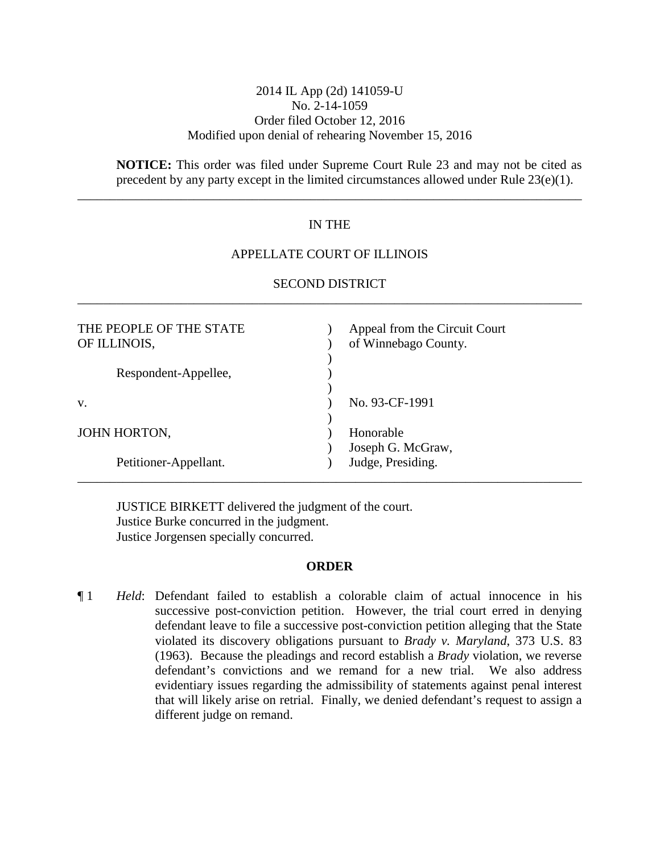## 2014 IL App (2d) 141059-U No. 2-14-1059 Order filed October 12, 2016 Modified upon denial of rehearing November 15, 2016

**NOTICE:** This order was filed under Supreme Court Rule 23 and may not be cited as precedent by any party except in the limited circumstances allowed under Rule 23(e)(1).

## IN THE

\_\_\_\_\_\_\_\_\_\_\_\_\_\_\_\_\_\_\_\_\_\_\_\_\_\_\_\_\_\_\_\_\_\_\_\_\_\_\_\_\_\_\_\_\_\_\_\_\_\_\_\_\_\_\_\_\_\_\_\_\_\_\_\_\_\_\_\_\_\_\_\_\_\_\_\_\_\_

### APPELLATE COURT OF ILLINOIS

| THE PEOPLE OF THE STATE<br>OF ILLINOIS, | Appeal from the Circuit Court<br>of Winnebago County. |
|-----------------------------------------|-------------------------------------------------------|
| Respondent-Appellee,                    |                                                       |
| V.                                      | No. 93-CF-1991                                        |
| JOHN HORTON,                            | Honorable<br>Joseph G. McGraw,                        |
| Petitioner-Appellant.                   | Judge, Presiding.                                     |

# SECOND DISTRICT \_\_\_\_\_\_\_\_\_\_\_\_\_\_\_\_\_\_\_\_\_\_\_\_\_\_\_\_\_\_\_\_\_\_\_\_\_\_\_\_\_\_\_\_\_\_\_\_\_\_\_\_\_\_\_\_\_\_\_\_\_\_\_\_\_\_\_\_\_\_\_\_\_\_\_\_\_\_

JUSTICE BIRKETT delivered the judgment of the court. Justice Burke concurred in the judgment. Justice Jorgensen specially concurred.

#### **ORDER**

¶ 1 *Held*: Defendant failed to establish a colorable claim of actual innocence in his successive post-conviction petition. However, the trial court erred in denying defendant leave to file a successive post-conviction petition alleging that the State violated its discovery obligations pursuant to *Brady v. Maryland*, 373 U.S. 83 (1963). Because the pleadings and record establish a *Brady* violation, we reverse defendant's convictions and we remand for a new trial. We also address evidentiary issues regarding the admissibility of statements against penal interest that will likely arise on retrial. Finally, we denied defendant's request to assign a different judge on remand.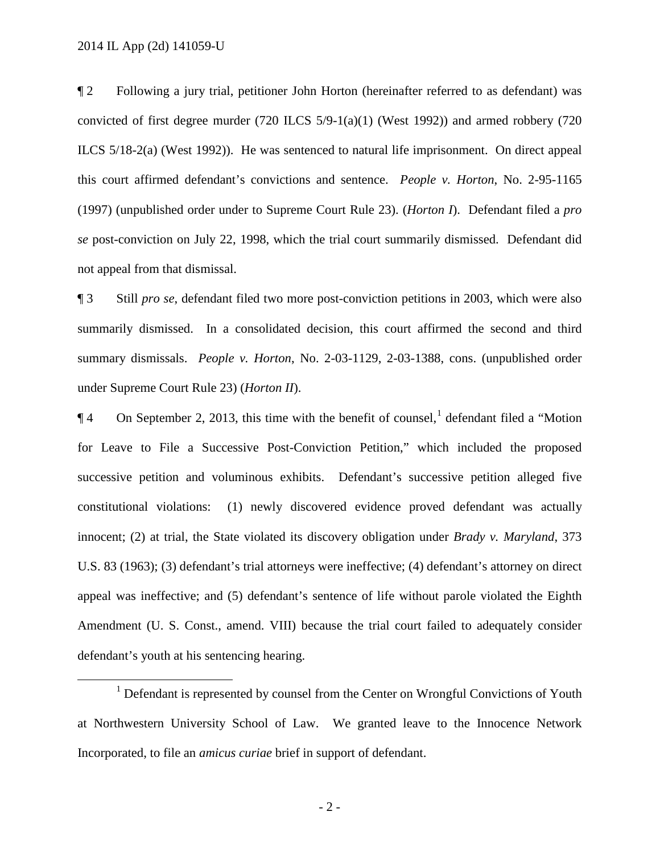¶ 2 Following a jury trial, petitioner John Horton (hereinafter referred to as defendant) was convicted of first degree murder (720 ILCS 5/9-1(a)(1) (West 1992)) and armed robbery (720 ILCS 5/18-2(a) (West 1992)). He was sentenced to natural life imprisonment. On direct appeal this court affirmed defendant's convictions and sentence. *People v. Horton*, No. 2-95-1165 (1997) (unpublished order under to Supreme Court Rule 23). (*Horton I*). Defendant filed a *pro se* post-conviction on July 22, 1998, which the trial court summarily dismissed. Defendant did not appeal from that dismissal.

¶ 3 Still *pro se*, defendant filed two more post-conviction petitions in 2003, which were also summarily dismissed. In a consolidated decision, this court affirmed the second and third summary dismissals. *People v. Horton*, No. 2-03-1129, 2-03-1388, cons. (unpublished order under Supreme Court Rule 23) (*Horton II*).

 $\P$ 4 On September 2, 20[1](#page-1-0)3, this time with the benefit of counsel, defendant filed a "Motion" for Leave to File a Successive Post-Conviction Petition," which included the proposed successive petition and voluminous exhibits. Defendant's successive petition alleged five constitutional violations: (1) newly discovered evidence proved defendant was actually innocent; (2) at trial, the State violated its discovery obligation under *Brady v. Maryland*, 373 U.S. 83 (1963); (3) defendant's trial attorneys were ineffective; (4) defendant's attorney on direct appeal was ineffective; and (5) defendant's sentence of life without parole violated the Eighth Amendment (U. S. Const., amend. VIII) because the trial court failed to adequately consider defendant's youth at his sentencing hearing.

<span id="page-1-0"></span><sup>&</sup>lt;sup>1</sup> Defendant is represented by counsel from the Center on Wrongful Convictions of Youth at Northwestern University School of Law. We granted leave to the Innocence Network Incorporated, to file an *amicus curiae* brief in support of defendant.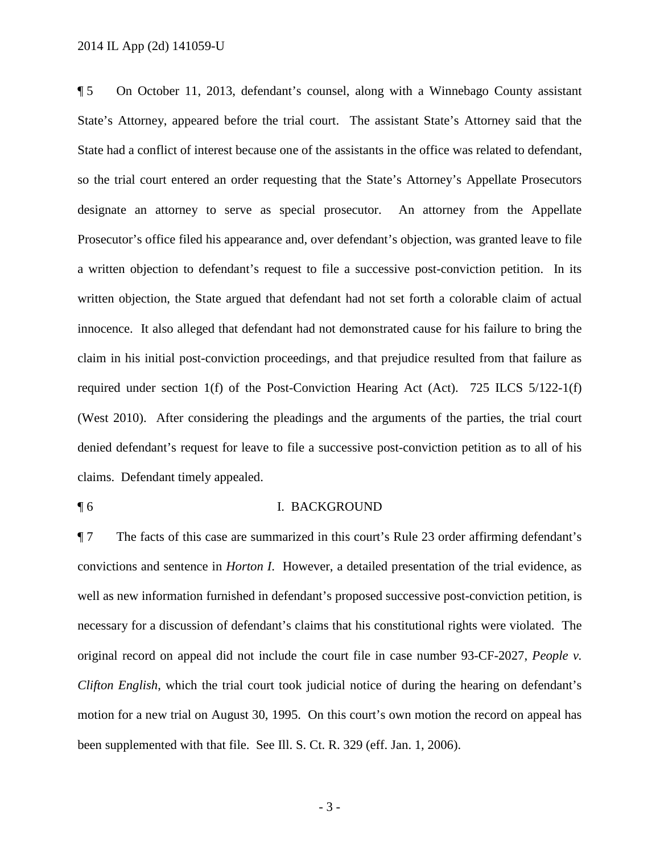¶ 5 On October 11, 2013, defendant's counsel, along with a Winnebago County assistant State's Attorney, appeared before the trial court. The assistant State's Attorney said that the State had a conflict of interest because one of the assistants in the office was related to defendant, so the trial court entered an order requesting that the State's Attorney's Appellate Prosecutors designate an attorney to serve as special prosecutor. An attorney from the Appellate Prosecutor's office filed his appearance and, over defendant's objection, was granted leave to file a written objection to defendant's request to file a successive post-conviction petition. In its written objection, the State argued that defendant had not set forth a colorable claim of actual innocence. It also alleged that defendant had not demonstrated cause for his failure to bring the claim in his initial post-conviction proceedings, and that prejudice resulted from that failure as required under section 1(f) of the Post-Conviction Hearing Act (Act). 725 ILCS 5/122-1(f) (West 2010). After considering the pleadings and the arguments of the parties, the trial court denied defendant's request for leave to file a successive post-conviction petition as to all of his claims. Defendant timely appealed.

#### ¶ 6 I. BACKGROUND

¶ 7 The facts of this case are summarized in this court's Rule 23 order affirming defendant's convictions and sentence in *Horton I*. However, a detailed presentation of the trial evidence, as well as new information furnished in defendant's proposed successive post-conviction petition, is necessary for a discussion of defendant's claims that his constitutional rights were violated. The original record on appeal did not include the court file in case number 93-CF-2027, *People v. Clifton English*, which the trial court took judicial notice of during the hearing on defendant's motion for a new trial on August 30, 1995. On this court's own motion the record on appeal has been supplemented with that file. See Ill. S. Ct. R. 329 (eff. Jan. 1, 2006).

- 3 -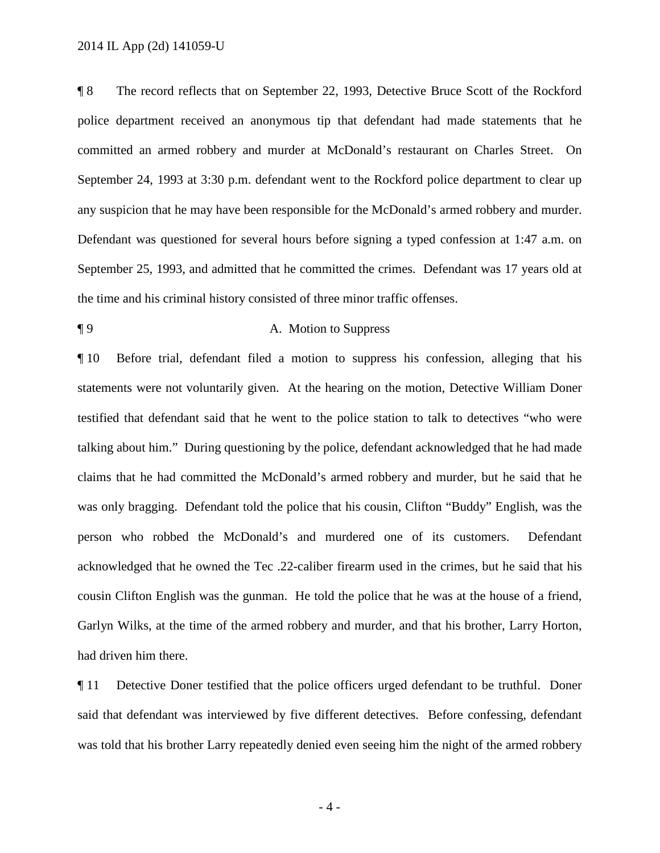¶ 8 The record reflects that on September 22, 1993, Detective Bruce Scott of the Rockford police department received an anonymous tip that defendant had made statements that he committed an armed robbery and murder at McDonald's restaurant on Charles Street. On September 24, 1993 at 3:30 p.m. defendant went to the Rockford police department to clear up any suspicion that he may have been responsible for the McDonald's armed robbery and murder. Defendant was questioned for several hours before signing a typed confession at 1:47 a.m. on September 25, 1993, and admitted that he committed the crimes. Defendant was 17 years old at the time and his criminal history consisted of three minor traffic offenses.

# ¶ 9 A. Motion to Suppress

¶ 10 Before trial, defendant filed a motion to suppress his confession, alleging that his statements were not voluntarily given. At the hearing on the motion, Detective William Doner testified that defendant said that he went to the police station to talk to detectives "who were talking about him." During questioning by the police, defendant acknowledged that he had made claims that he had committed the McDonald's armed robbery and murder, but he said that he was only bragging. Defendant told the police that his cousin, Clifton "Buddy" English, was the person who robbed the McDonald's and murdered one of its customers. Defendant acknowledged that he owned the Tec .22-caliber firearm used in the crimes, but he said that his cousin Clifton English was the gunman. He told the police that he was at the house of a friend, Garlyn Wilks, at the time of the armed robbery and murder, and that his brother, Larry Horton, had driven him there.

¶ 11 Detective Doner testified that the police officers urged defendant to be truthful. Doner said that defendant was interviewed by five different detectives. Before confessing, defendant was told that his brother Larry repeatedly denied even seeing him the night of the armed robbery

- 4 -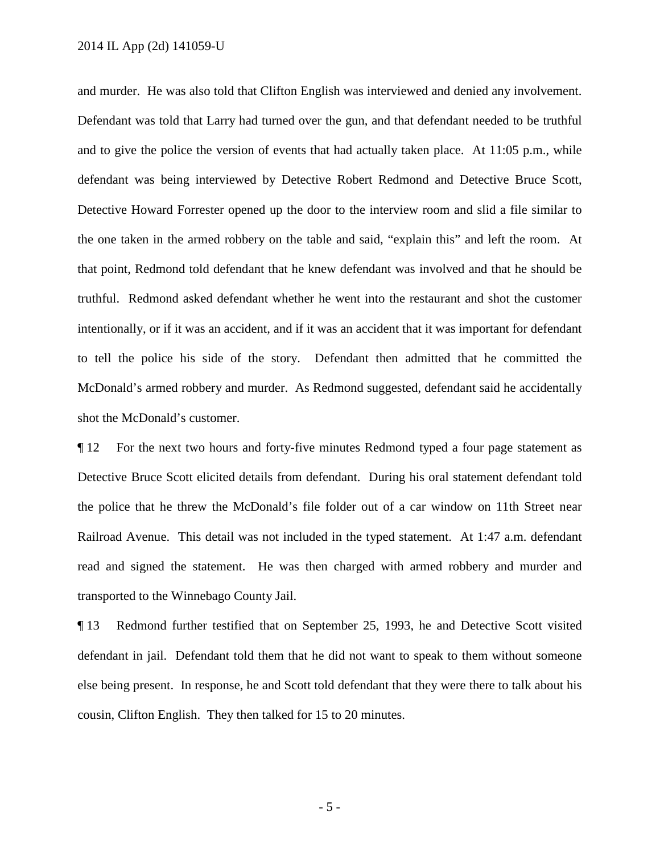### 2014 IL App (2d) 141059-U

and murder. He was also told that Clifton English was interviewed and denied any involvement. Defendant was told that Larry had turned over the gun, and that defendant needed to be truthful and to give the police the version of events that had actually taken place. At 11:05 p.m., while defendant was being interviewed by Detective Robert Redmond and Detective Bruce Scott, Detective Howard Forrester opened up the door to the interview room and slid a file similar to the one taken in the armed robbery on the table and said, "explain this" and left the room. At that point, Redmond told defendant that he knew defendant was involved and that he should be truthful. Redmond asked defendant whether he went into the restaurant and shot the customer intentionally, or if it was an accident, and if it was an accident that it was important for defendant to tell the police his side of the story. Defendant then admitted that he committed the McDonald's armed robbery and murder. As Redmond suggested, defendant said he accidentally shot the McDonald's customer.

¶ 12 For the next two hours and forty-five minutes Redmond typed a four page statement as Detective Bruce Scott elicited details from defendant. During his oral statement defendant told the police that he threw the McDonald's file folder out of a car window on 11th Street near Railroad Avenue. This detail was not included in the typed statement. At 1:47 a.m. defendant read and signed the statement. He was then charged with armed robbery and murder and transported to the Winnebago County Jail.

¶ 13 Redmond further testified that on September 25, 1993, he and Detective Scott visited defendant in jail. Defendant told them that he did not want to speak to them without someone else being present. In response, he and Scott told defendant that they were there to talk about his cousin, Clifton English. They then talked for 15 to 20 minutes.

- 5 -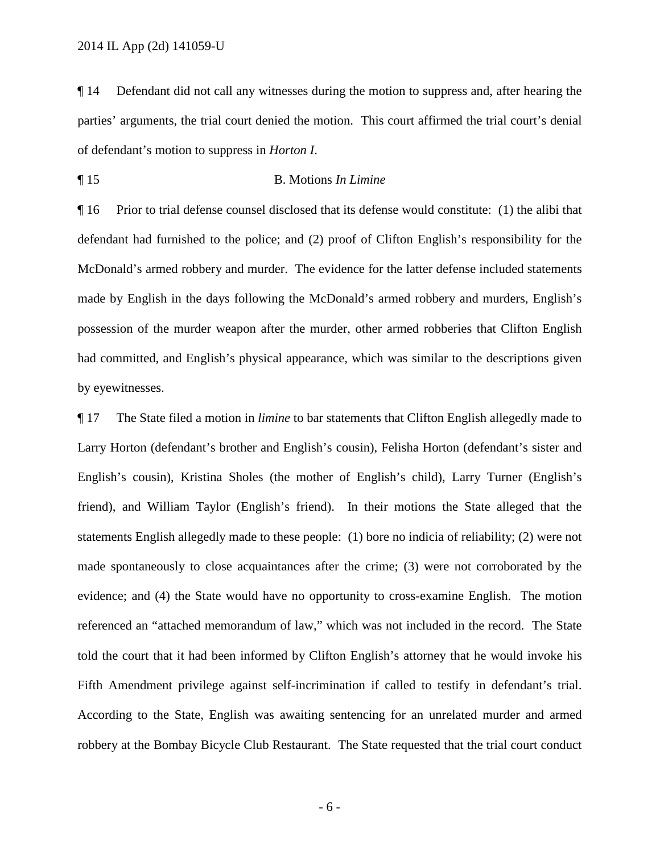¶ 14 Defendant did not call any witnesses during the motion to suppress and, after hearing the parties' arguments, the trial court denied the motion. This court affirmed the trial court's denial of defendant's motion to suppress in *Horton I*.

### ¶ 15 B. Motions *In Limine*

¶ 16 Prior to trial defense counsel disclosed that its defense would constitute: (1) the alibi that defendant had furnished to the police; and (2) proof of Clifton English's responsibility for the McDonald's armed robbery and murder. The evidence for the latter defense included statements made by English in the days following the McDonald's armed robbery and murders, English's possession of the murder weapon after the murder, other armed robberies that Clifton English had committed, and English's physical appearance, which was similar to the descriptions given by eyewitnesses.

¶ 17 The State filed a motion in *limine* to bar statements that Clifton English allegedly made to Larry Horton (defendant's brother and English's cousin), Felisha Horton (defendant's sister and English's cousin), Kristina Sholes (the mother of English's child), Larry Turner (English's friend), and William Taylor (English's friend). In their motions the State alleged that the statements English allegedly made to these people: (1) bore no indicia of reliability; (2) were not made spontaneously to close acquaintances after the crime; (3) were not corroborated by the evidence; and (4) the State would have no opportunity to cross-examine English. The motion referenced an "attached memorandum of law," which was not included in the record. The State told the court that it had been informed by Clifton English's attorney that he would invoke his Fifth Amendment privilege against self-incrimination if called to testify in defendant's trial. According to the State, English was awaiting sentencing for an unrelated murder and armed robbery at the Bombay Bicycle Club Restaurant. The State requested that the trial court conduct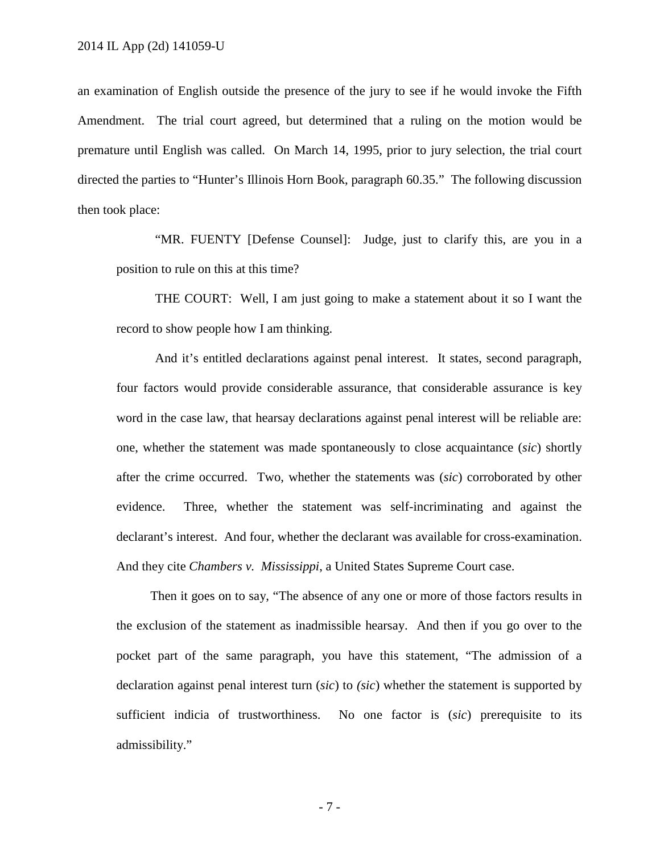an examination of English outside the presence of the jury to see if he would invoke the Fifth Amendment. The trial court agreed, but determined that a ruling on the motion would be premature until English was called. On March 14, 1995, prior to jury selection, the trial court directed the parties to "Hunter's Illinois Horn Book, paragraph 60.35." The following discussion then took place:

"MR. FUENTY [Defense Counsel]: Judge, just to clarify this, are you in a position to rule on this at this time?

THE COURT: Well, I am just going to make a statement about it so I want the record to show people how I am thinking.

And it's entitled declarations against penal interest. It states, second paragraph, four factors would provide considerable assurance, that considerable assurance is key word in the case law, that hearsay declarations against penal interest will be reliable are: one, whether the statement was made spontaneously to close acquaintance (*sic*) shortly after the crime occurred. Two, whether the statements was (*sic*) corroborated by other evidence. Three, whether the statement was self-incriminating and against the declarant's interest. And four, whether the declarant was available for cross-examination. And they cite *Chambers v. Mississippi*, a United States Supreme Court case.

Then it goes on to say, "The absence of any one or more of those factors results in the exclusion of the statement as inadmissible hearsay. And then if you go over to the pocket part of the same paragraph, you have this statement, "The admission of a declaration against penal interest turn (*sic*) to *(sic*) whether the statement is supported by sufficient indicia of trustworthiness. No one factor is (*sic*) prerequisite to its admissibility."

- 7 -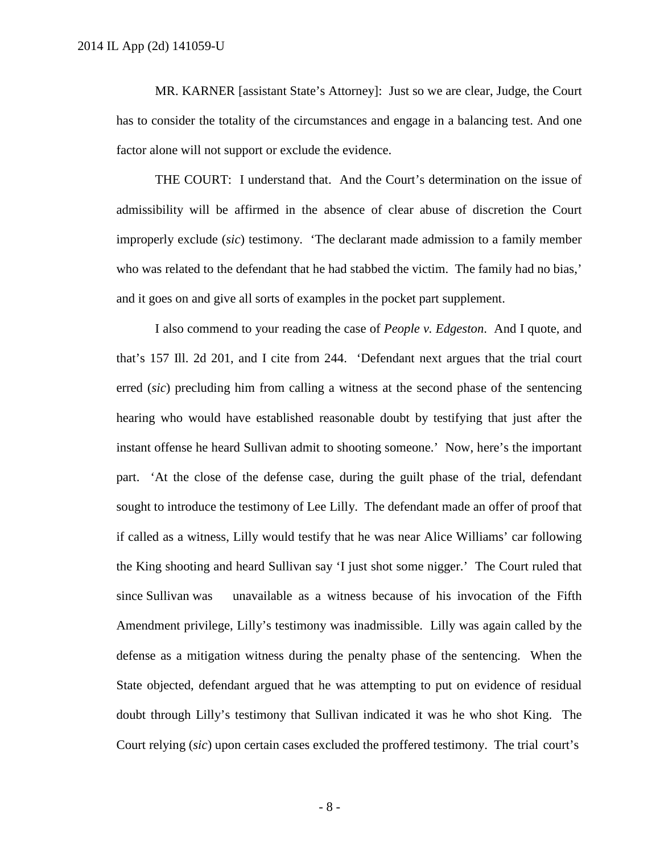MR. KARNER [assistant State's Attorney]: Just so we are clear, Judge, the Court has to consider the totality of the circumstances and engage in a balancing test. And one factor alone will not support or exclude the evidence.

THE COURT: I understand that. And the Court's determination on the issue of admissibility will be affirmed in the absence of clear abuse of discretion the Court improperly exclude (*sic*) testimony. 'The declarant made admission to a family member who was related to the defendant that he had stabbed the victim. The family had no bias,' and it goes on and give all sorts of examples in the pocket part supplement.

I also commend to your reading the case of *People v. Edgeston*. And I quote, and that's 157 Ill. 2d 201, and I cite from 244. 'Defendant next argues that the trial court erred (*sic*) precluding him from calling a witness at the second phase of the sentencing hearing who would have established reasonable doubt by testifying that just after the instant offense he heard Sullivan admit to shooting someone.' Now, here's the important part. 'At the close of the defense case, during the guilt phase of the trial, defendant sought to introduce the testimony of Lee Lilly. The defendant made an offer of proof that if called as a witness, Lilly would testify that he was near Alice Williams' car following the King shooting and heard Sullivan say 'I just shot some nigger.' The Court ruled that since Sullivan was unavailable as a witness because of his invocation of the Fifth Amendment privilege, Lilly's testimony was inadmissible. Lilly was again called by the defense as a mitigation witness during the penalty phase of the sentencing. When the State objected, defendant argued that he was attempting to put on evidence of residual doubt through Lilly's testimony that Sullivan indicated it was he who shot King. The Court relying (*sic*) upon certain cases excluded the proffered testimony. The trial court's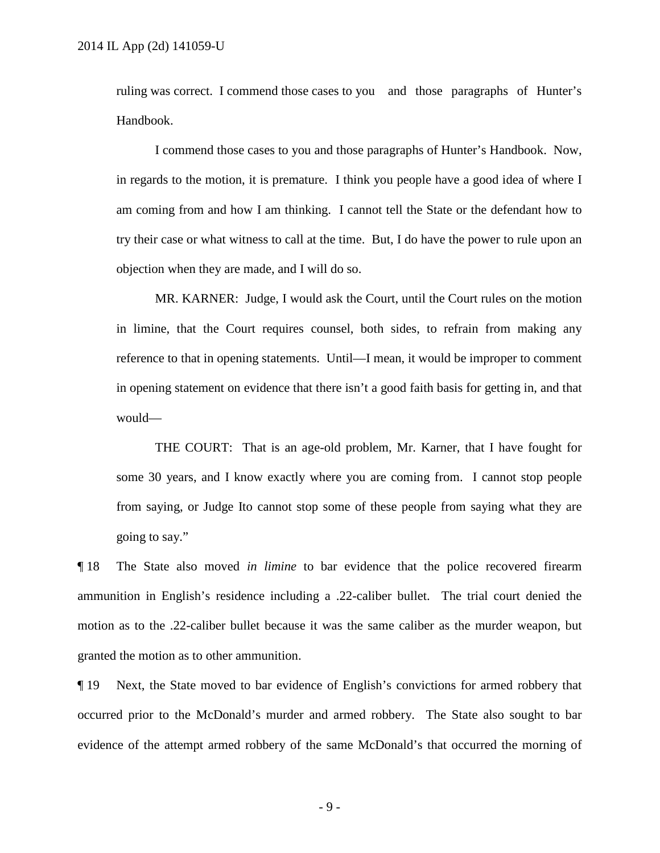ruling was correct. I commend those cases to you and those paragraphs of Hunter's Handbook.

I commend those cases to you and those paragraphs of Hunter's Handbook. Now, in regards to the motion, it is premature. I think you people have a good idea of where I am coming from and how I am thinking. I cannot tell the State or the defendant how to try their case or what witness to call at the time. But, I do have the power to rule upon an objection when they are made, and I will do so.

MR. KARNER: Judge, I would ask the Court, until the Court rules on the motion in limine, that the Court requires counsel, both sides, to refrain from making any reference to that in opening statements. Until—I mean, it would be improper to comment in opening statement on evidence that there isn't a good faith basis for getting in, and that would—

THE COURT: That is an age-old problem, Mr. Karner, that I have fought for some 30 years, and I know exactly where you are coming from. I cannot stop people from saying, or Judge Ito cannot stop some of these people from saying what they are going to say."

¶ 18 The State also moved *in limine* to bar evidence that the police recovered firearm ammunition in English's residence including a .22-caliber bullet. The trial court denied the motion as to the .22-caliber bullet because it was the same caliber as the murder weapon, but granted the motion as to other ammunition.

¶ 19 Next, the State moved to bar evidence of English's convictions for armed robbery that occurred prior to the McDonald's murder and armed robbery. The State also sought to bar evidence of the attempt armed robbery of the same McDonald's that occurred the morning of

- 9 -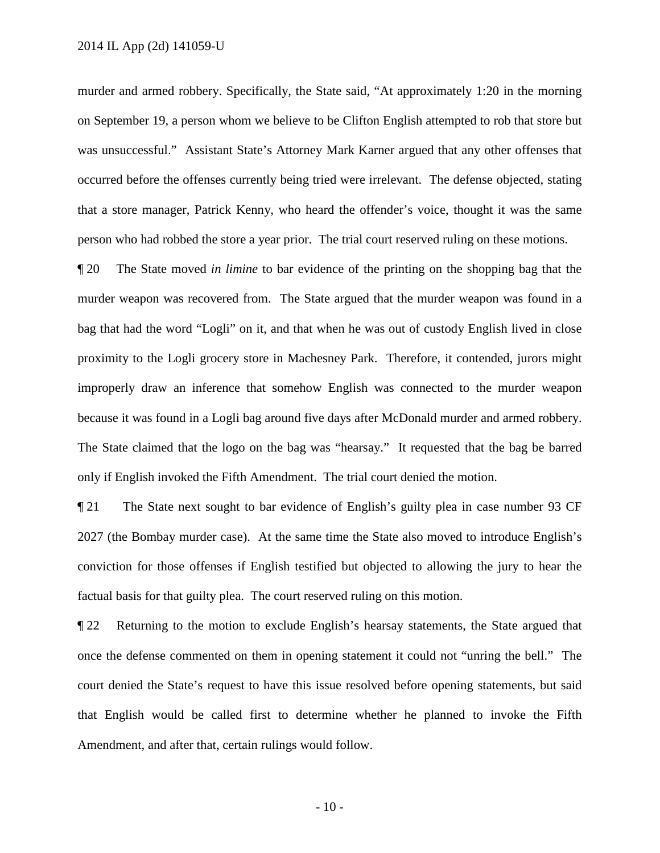murder and armed robbery. Specifically, the State said, "At approximately 1:20 in the morning on September 19, a person whom we believe to be Clifton English attempted to rob that store but was unsuccessful." Assistant State's Attorney Mark Karner argued that any other offenses that occurred before the offenses currently being tried were irrelevant. The defense objected, stating that a store manager, Patrick Kenny, who heard the offender's voice, thought it was the same person who had robbed the store a year prior. The trial court reserved ruling on these motions.

¶ 20 The State moved *in limine* to bar evidence of the printing on the shopping bag that the murder weapon was recovered from. The State argued that the murder weapon was found in a bag that had the word "Logli" on it, and that when he was out of custody English lived in close proximity to the Logli grocery store in Machesney Park. Therefore, it contended, jurors might improperly draw an inference that somehow English was connected to the murder weapon because it was found in a Logli bag around five days after McDonald murder and armed robbery. The State claimed that the logo on the bag was "hearsay." It requested that the bag be barred only if English invoked the Fifth Amendment. The trial court denied the motion.

¶ 21 The State next sought to bar evidence of English's guilty plea in case number 93 CF 2027 (the Bombay murder case). At the same time the State also moved to introduce English's conviction for those offenses if English testified but objected to allowing the jury to hear the factual basis for that guilty plea. The court reserved ruling on this motion.

¶ 22 Returning to the motion to exclude English's hearsay statements, the State argued that once the defense commented on them in opening statement it could not "unring the bell." The court denied the State's request to have this issue resolved before opening statements, but said that English would be called first to determine whether he planned to invoke the Fifth Amendment, and after that, certain rulings would follow.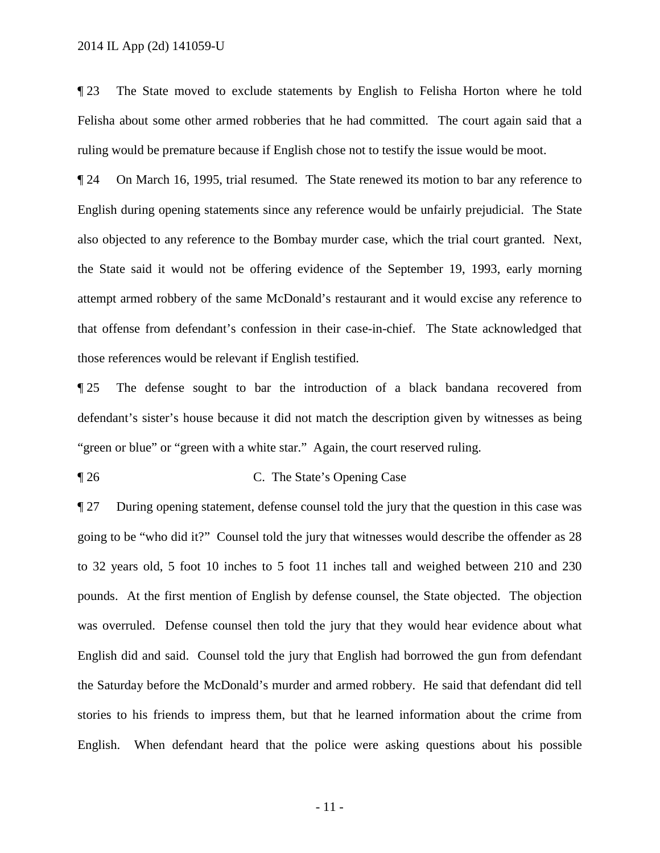¶ 23 The State moved to exclude statements by English to Felisha Horton where he told Felisha about some other armed robberies that he had committed. The court again said that a ruling would be premature because if English chose not to testify the issue would be moot.

¶ 24 On March 16, 1995, trial resumed. The State renewed its motion to bar any reference to English during opening statements since any reference would be unfairly prejudicial. The State also objected to any reference to the Bombay murder case, which the trial court granted. Next, the State said it would not be offering evidence of the September 19, 1993, early morning attempt armed robbery of the same McDonald's restaurant and it would excise any reference to that offense from defendant's confession in their case-in-chief. The State acknowledged that those references would be relevant if English testified.

¶ 25 The defense sought to bar the introduction of a black bandana recovered from defendant's sister's house because it did not match the description given by witnesses as being "green or blue" or "green with a white star." Again, the court reserved ruling.

## ¶ 26 C. The State's Opening Case

¶ 27 During opening statement, defense counsel told the jury that the question in this case was going to be "who did it?" Counsel told the jury that witnesses would describe the offender as 28 to 32 years old, 5 foot 10 inches to 5 foot 11 inches tall and weighed between 210 and 230 pounds. At the first mention of English by defense counsel, the State objected. The objection was overruled. Defense counsel then told the jury that they would hear evidence about what English did and said. Counsel told the jury that English had borrowed the gun from defendant the Saturday before the McDonald's murder and armed robbery. He said that defendant did tell stories to his friends to impress them, but that he learned information about the crime from English. When defendant heard that the police were asking questions about his possible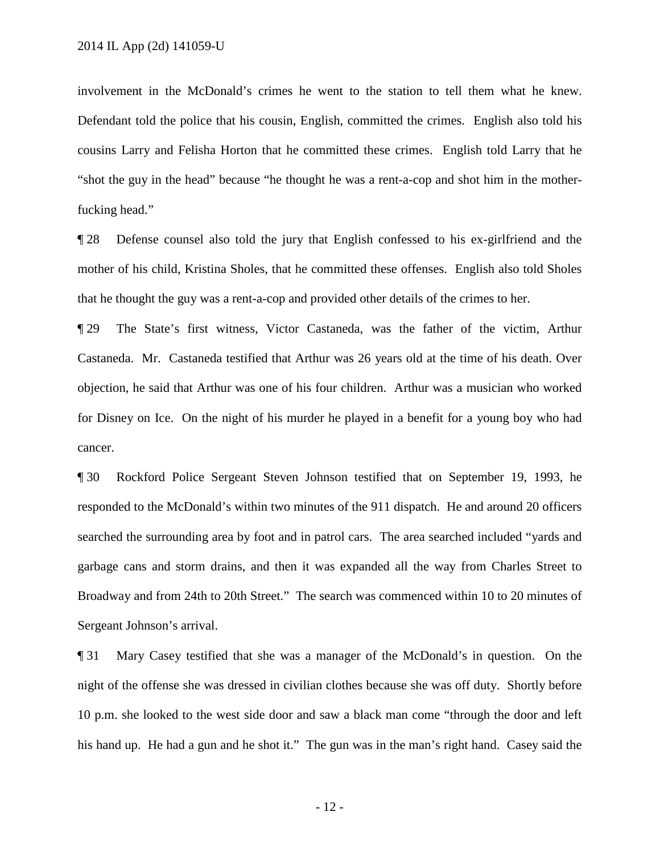involvement in the McDonald's crimes he went to the station to tell them what he knew. Defendant told the police that his cousin, English, committed the crimes. English also told his cousins Larry and Felisha Horton that he committed these crimes. English told Larry that he "shot the guy in the head" because "he thought he was a rent-a-cop and shot him in the motherfucking head."

¶ 28 Defense counsel also told the jury that English confessed to his ex-girlfriend and the mother of his child, Kristina Sholes, that he committed these offenses. English also told Sholes that he thought the guy was a rent-a-cop and provided other details of the crimes to her.

¶ 29 The State's first witness, Victor Castaneda, was the father of the victim, Arthur Castaneda. Mr. Castaneda testified that Arthur was 26 years old at the time of his death. Over objection, he said that Arthur was one of his four children. Arthur was a musician who worked for Disney on Ice. On the night of his murder he played in a benefit for a young boy who had cancer.

¶ 30 Rockford Police Sergeant Steven Johnson testified that on September 19, 1993, he responded to the McDonald's within two minutes of the 911 dispatch. He and around 20 officers searched the surrounding area by foot and in patrol cars. The area searched included "yards and garbage cans and storm drains, and then it was expanded all the way from Charles Street to Broadway and from 24th to 20th Street." The search was commenced within 10 to 20 minutes of Sergeant Johnson's arrival.

¶ 31 Mary Casey testified that she was a manager of the McDonald's in question. On the night of the offense she was dressed in civilian clothes because she was off duty. Shortly before 10 p.m. she looked to the west side door and saw a black man come "through the door and left his hand up. He had a gun and he shot it." The gun was in the man's right hand. Casey said the

- 12 -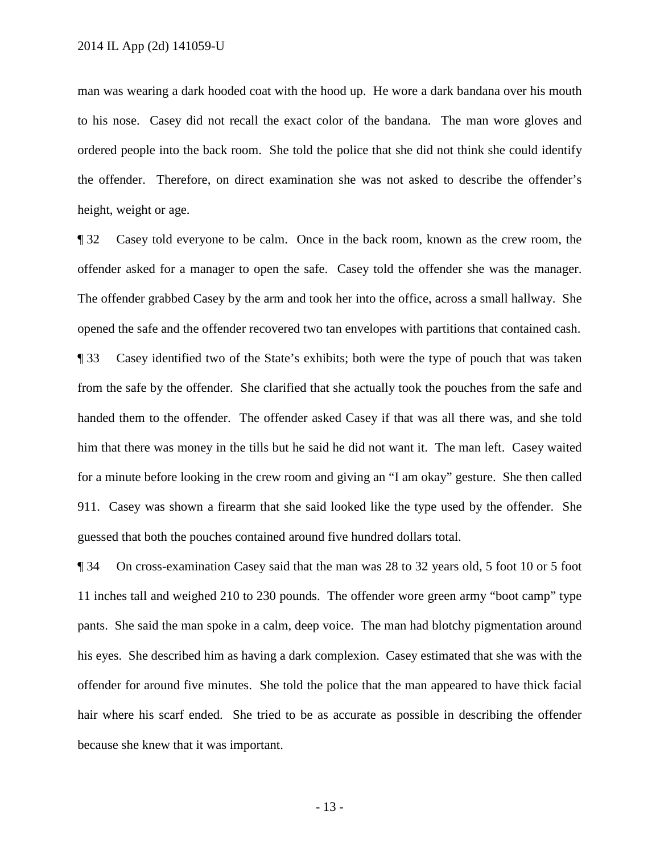man was wearing a dark hooded coat with the hood up. He wore a dark bandana over his mouth to his nose. Casey did not recall the exact color of the bandana. The man wore gloves and ordered people into the back room. She told the police that she did not think she could identify the offender. Therefore, on direct examination she was not asked to describe the offender's height, weight or age.

¶ 32 Casey told everyone to be calm. Once in the back room, known as the crew room, the offender asked for a manager to open the safe. Casey told the offender she was the manager. The offender grabbed Casey by the arm and took her into the office, across a small hallway. She opened the safe and the offender recovered two tan envelopes with partitions that contained cash. ¶ 33 Casey identified two of the State's exhibits; both were the type of pouch that was taken from the safe by the offender. She clarified that she actually took the pouches from the safe and handed them to the offender. The offender asked Casey if that was all there was, and she told him that there was money in the tills but he said he did not want it. The man left. Casey waited for a minute before looking in the crew room and giving an "I am okay" gesture. She then called 911. Casey was shown a firearm that she said looked like the type used by the offender. She guessed that both the pouches contained around five hundred dollars total.

¶ 34 On cross-examination Casey said that the man was 28 to 32 years old, 5 foot 10 or 5 foot 11 inches tall and weighed 210 to 230 pounds. The offender wore green army "boot camp" type pants. She said the man spoke in a calm, deep voice. The man had blotchy pigmentation around his eyes. She described him as having a dark complexion. Casey estimated that she was with the offender for around five minutes. She told the police that the man appeared to have thick facial hair where his scarf ended. She tried to be as accurate as possible in describing the offender because she knew that it was important.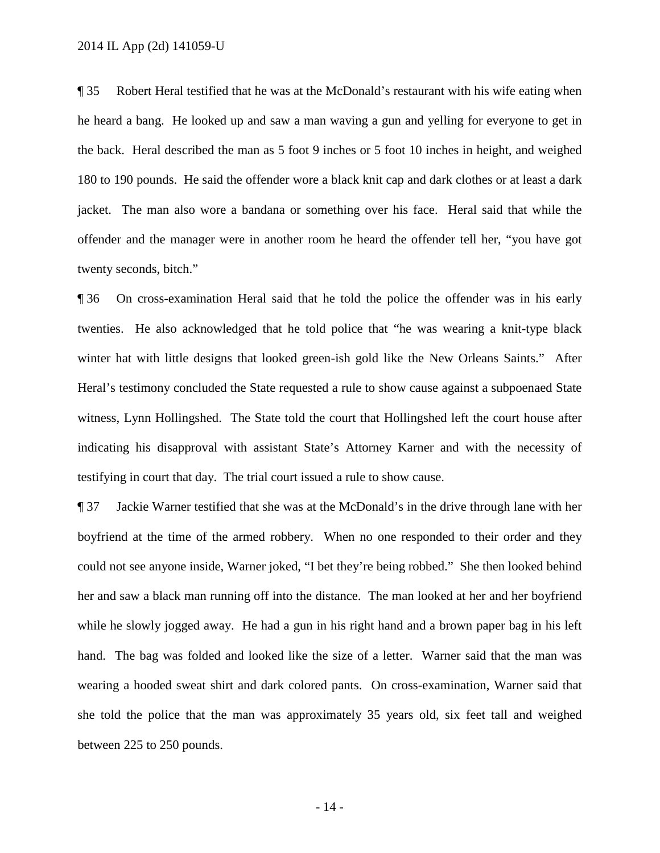¶ 35 Robert Heral testified that he was at the McDonald's restaurant with his wife eating when he heard a bang. He looked up and saw a man waving a gun and yelling for everyone to get in the back. Heral described the man as 5 foot 9 inches or 5 foot 10 inches in height, and weighed 180 to 190 pounds. He said the offender wore a black knit cap and dark clothes or at least a dark jacket. The man also wore a bandana or something over his face. Heral said that while the offender and the manager were in another room he heard the offender tell her, "you have got twenty seconds, bitch."

¶ 36 On cross-examination Heral said that he told the police the offender was in his early twenties. He also acknowledged that he told police that "he was wearing a knit-type black winter hat with little designs that looked green-ish gold like the New Orleans Saints." After Heral's testimony concluded the State requested a rule to show cause against a subpoenaed State witness, Lynn Hollingshed. The State told the court that Hollingshed left the court house after indicating his disapproval with assistant State's Attorney Karner and with the necessity of testifying in court that day. The trial court issued a rule to show cause.

¶ 37 Jackie Warner testified that she was at the McDonald's in the drive through lane with her boyfriend at the time of the armed robbery. When no one responded to their order and they could not see anyone inside, Warner joked, "I bet they're being robbed." She then looked behind her and saw a black man running off into the distance. The man looked at her and her boyfriend while he slowly jogged away. He had a gun in his right hand and a brown paper bag in his left hand. The bag was folded and looked like the size of a letter. Warner said that the man was wearing a hooded sweat shirt and dark colored pants. On cross-examination, Warner said that she told the police that the man was approximately 35 years old, six feet tall and weighed between 225 to 250 pounds.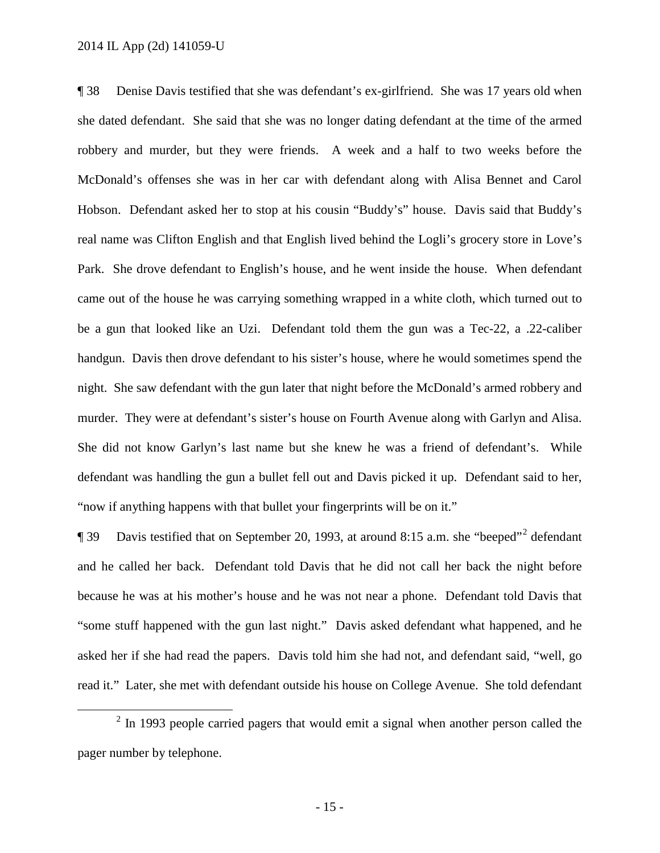¶ 38 Denise Davis testified that she was defendant's ex-girlfriend. She was 17 years old when she dated defendant. She said that she was no longer dating defendant at the time of the armed robbery and murder, but they were friends. A week and a half to two weeks before the McDonald's offenses she was in her car with defendant along with Alisa Bennet and Carol Hobson. Defendant asked her to stop at his cousin "Buddy's" house. Davis said that Buddy's real name was Clifton English and that English lived behind the Logli's grocery store in Love's Park. She drove defendant to English's house, and he went inside the house. When defendant came out of the house he was carrying something wrapped in a white cloth, which turned out to be a gun that looked like an Uzi. Defendant told them the gun was a Tec-22, a .22-caliber handgun. Davis then drove defendant to his sister's house, where he would sometimes spend the night. She saw defendant with the gun later that night before the McDonald's armed robbery and murder. They were at defendant's sister's house on Fourth Avenue along with Garlyn and Alisa. She did not know Garlyn's last name but she knew he was a friend of defendant's. While defendant was handling the gun a bullet fell out and Davis picked it up. Defendant said to her, "now if anything happens with that bullet your fingerprints will be on it."

**Text** 39 Davis testified that on September [2](#page-14-0)0, 1993, at around 8:15 a.m. she "beeped"<sup>2</sup> defendant and he called her back. Defendant told Davis that he did not call her back the night before because he was at his mother's house and he was not near a phone. Defendant told Davis that "some stuff happened with the gun last night." Davis asked defendant what happened, and he asked her if she had read the papers. Davis told him she had not, and defendant said, "well, go read it." Later, she met with defendant outside his house on College Avenue. She told defendant

<span id="page-14-0"></span> $2$  In 1993 people carried pagers that would emit a signal when another person called the pager number by telephone.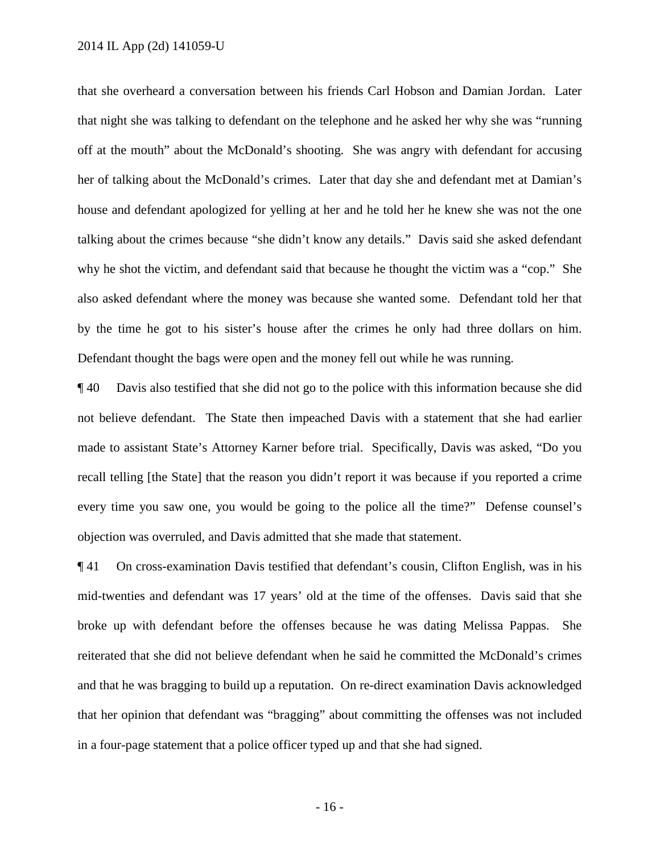that she overheard a conversation between his friends Carl Hobson and Damian Jordan. Later that night she was talking to defendant on the telephone and he asked her why she was "running off at the mouth" about the McDonald's shooting. She was angry with defendant for accusing her of talking about the McDonald's crimes. Later that day she and defendant met at Damian's house and defendant apologized for yelling at her and he told her he knew she was not the one talking about the crimes because "she didn't know any details." Davis said she asked defendant why he shot the victim, and defendant said that because he thought the victim was a "cop." She also asked defendant where the money was because she wanted some. Defendant told her that by the time he got to his sister's house after the crimes he only had three dollars on him. Defendant thought the bags were open and the money fell out while he was running.

¶ 40 Davis also testified that she did not go to the police with this information because she did not believe defendant. The State then impeached Davis with a statement that she had earlier made to assistant State's Attorney Karner before trial. Specifically, Davis was asked, "Do you recall telling [the State] that the reason you didn't report it was because if you reported a crime every time you saw one, you would be going to the police all the time?" Defense counsel's objection was overruled, and Davis admitted that she made that statement.

¶ 41 On cross-examination Davis testified that defendant's cousin, Clifton English, was in his mid-twenties and defendant was 17 years' old at the time of the offenses. Davis said that she broke up with defendant before the offenses because he was dating Melissa Pappas. She reiterated that she did not believe defendant when he said he committed the McDonald's crimes and that he was bragging to build up a reputation. On re-direct examination Davis acknowledged that her opinion that defendant was "bragging" about committing the offenses was not included in a four-page statement that a police officer typed up and that she had signed.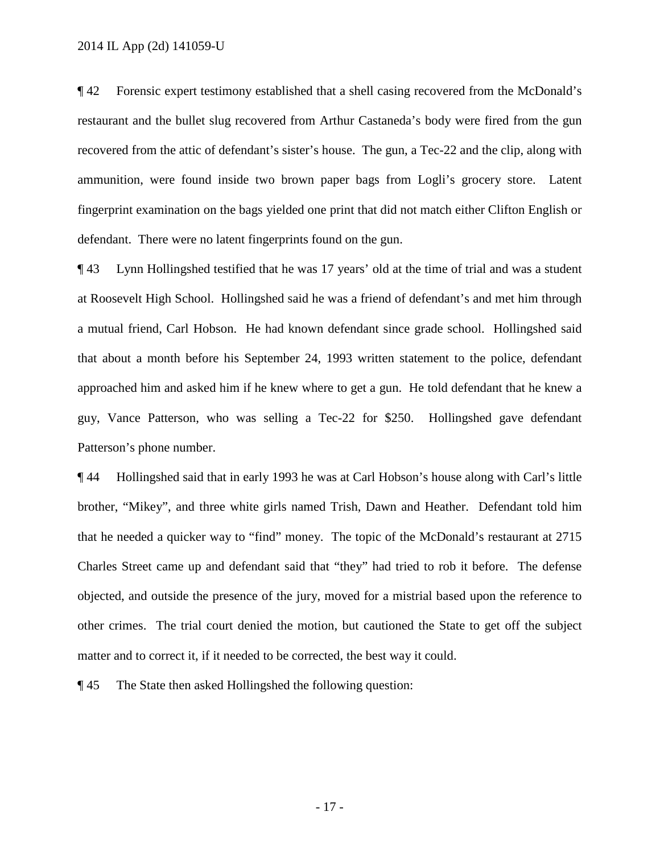¶ 42 Forensic expert testimony established that a shell casing recovered from the McDonald's restaurant and the bullet slug recovered from Arthur Castaneda's body were fired from the gun recovered from the attic of defendant's sister's house. The gun, a Tec-22 and the clip, along with ammunition, were found inside two brown paper bags from Logli's grocery store. Latent fingerprint examination on the bags yielded one print that did not match either Clifton English or defendant. There were no latent fingerprints found on the gun.

¶ 43 Lynn Hollingshed testified that he was 17 years' old at the time of trial and was a student at Roosevelt High School. Hollingshed said he was a friend of defendant's and met him through a mutual friend, Carl Hobson. He had known defendant since grade school. Hollingshed said that about a month before his September 24, 1993 written statement to the police, defendant approached him and asked him if he knew where to get a gun. He told defendant that he knew a guy, Vance Patterson, who was selling a Tec-22 for \$250. Hollingshed gave defendant Patterson's phone number.

¶ 44 Hollingshed said that in early 1993 he was at Carl Hobson's house along with Carl's little brother, "Mikey", and three white girls named Trish, Dawn and Heather. Defendant told him that he needed a quicker way to "find" money. The topic of the McDonald's restaurant at 2715 Charles Street came up and defendant said that "they" had tried to rob it before. The defense objected, and outside the presence of the jury, moved for a mistrial based upon the reference to other crimes. The trial court denied the motion, but cautioned the State to get off the subject matter and to correct it, if it needed to be corrected, the best way it could.

¶ 45 The State then asked Hollingshed the following question: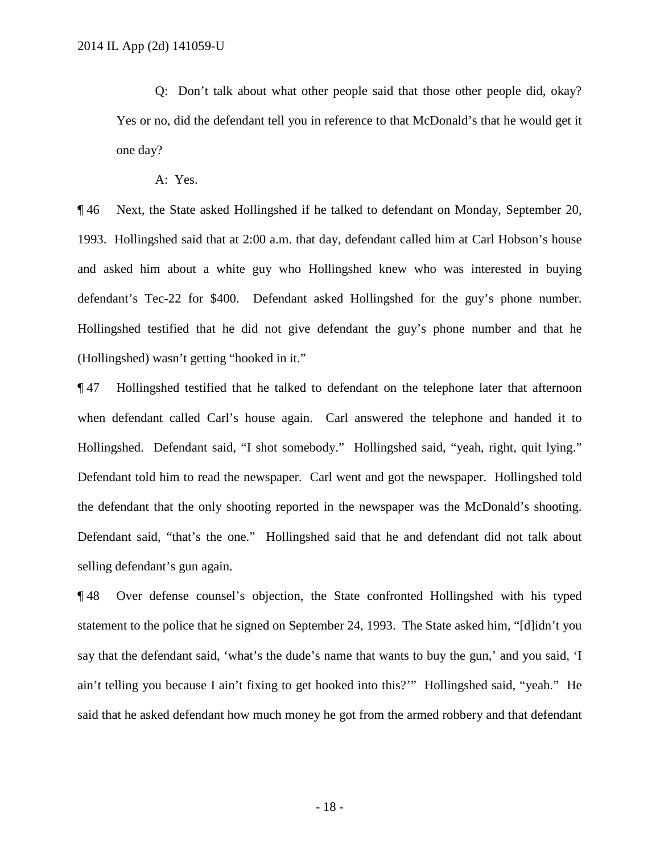Q: Don't talk about what other people said that those other people did, okay? Yes or no, did the defendant tell you in reference to that McDonald's that he would get it one day?

A: Yes.

¶ 46 Next, the State asked Hollingshed if he talked to defendant on Monday, September 20, 1993. Hollingshed said that at 2:00 a.m. that day, defendant called him at Carl Hobson's house and asked him about a white guy who Hollingshed knew who was interested in buying defendant's Tec-22 for \$400. Defendant asked Hollingshed for the guy's phone number. Hollingshed testified that he did not give defendant the guy's phone number and that he (Hollingshed) wasn't getting "hooked in it."

¶ 47 Hollingshed testified that he talked to defendant on the telephone later that afternoon when defendant called Carl's house again. Carl answered the telephone and handed it to Hollingshed. Defendant said, "I shot somebody." Hollingshed said, "yeah, right, quit lying." Defendant told him to read the newspaper. Carl went and got the newspaper. Hollingshed told the defendant that the only shooting reported in the newspaper was the McDonald's shooting. Defendant said, "that's the one." Hollingshed said that he and defendant did not talk about selling defendant's gun again.

¶ 48 Over defense counsel's objection, the State confronted Hollingshed with his typed statement to the police that he signed on September 24, 1993. The State asked him, "[d]idn't you say that the defendant said, 'what's the dude's name that wants to buy the gun,' and you said, 'I ain't telling you because I ain't fixing to get hooked into this?'" Hollingshed said, "yeah." He said that he asked defendant how much money he got from the armed robbery and that defendant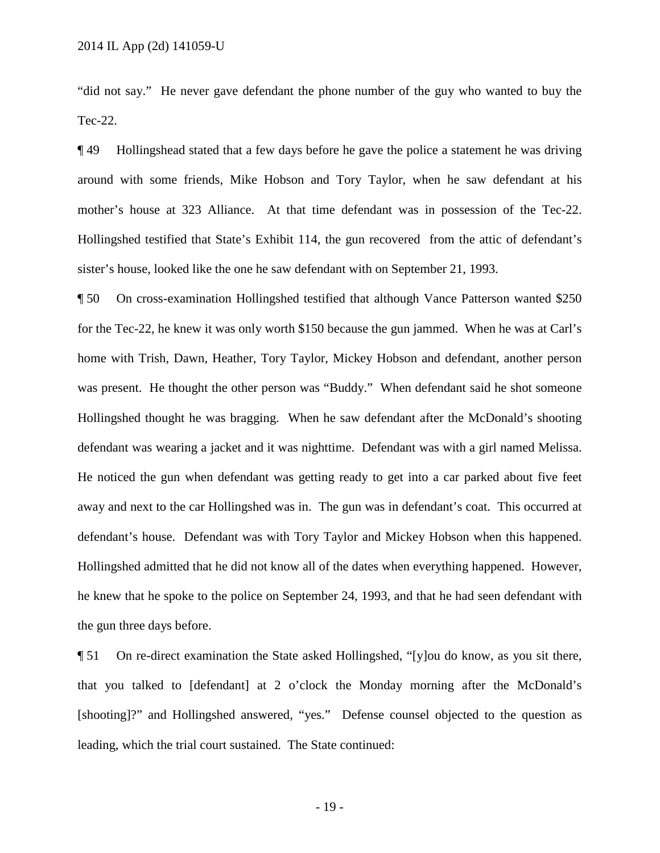"did not say." He never gave defendant the phone number of the guy who wanted to buy the Tec-22.

¶ 49 Hollingshead stated that a few days before he gave the police a statement he was driving around with some friends, Mike Hobson and Tory Taylor, when he saw defendant at his mother's house at 323 Alliance. At that time defendant was in possession of the Tec-22. Hollingshed testified that State's Exhibit 114, the gun recovered from the attic of defendant's sister's house, looked like the one he saw defendant with on September 21, 1993.

¶ 50 On cross-examination Hollingshed testified that although Vance Patterson wanted \$250 for the Tec-22, he knew it was only worth \$150 because the gun jammed. When he was at Carl's home with Trish, Dawn, Heather, Tory Taylor, Mickey Hobson and defendant, another person was present. He thought the other person was "Buddy." When defendant said he shot someone Hollingshed thought he was bragging. When he saw defendant after the McDonald's shooting defendant was wearing a jacket and it was nighttime. Defendant was with a girl named Melissa. He noticed the gun when defendant was getting ready to get into a car parked about five feet away and next to the car Hollingshed was in. The gun was in defendant's coat. This occurred at defendant's house. Defendant was with Tory Taylor and Mickey Hobson when this happened. Hollingshed admitted that he did not know all of the dates when everything happened. However, he knew that he spoke to the police on September 24, 1993, and that he had seen defendant with the gun three days before.

¶ 51 On re-direct examination the State asked Hollingshed, "[y]ou do know, as you sit there, that you talked to [defendant] at 2 o'clock the Monday morning after the McDonald's [shooting]?" and Hollingshed answered, "yes." Defense counsel objected to the question as leading, which the trial court sustained. The State continued: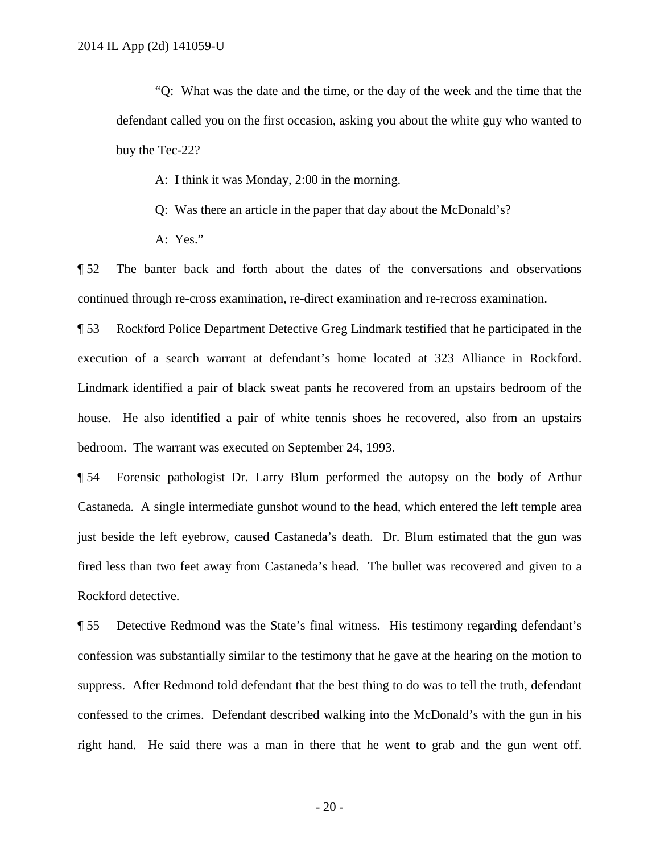"Q: What was the date and the time, or the day of the week and the time that the defendant called you on the first occasion, asking you about the white guy who wanted to buy the Tec-22?

- A: I think it was Monday, 2:00 in the morning.
- Q: Was there an article in the paper that day about the McDonald's?
- A: Yes."

¶ 52 The banter back and forth about the dates of the conversations and observations continued through re-cross examination, re-direct examination and re-recross examination.

¶ 53 Rockford Police Department Detective Greg Lindmark testified that he participated in the execution of a search warrant at defendant's home located at 323 Alliance in Rockford. Lindmark identified a pair of black sweat pants he recovered from an upstairs bedroom of the house. He also identified a pair of white tennis shoes he recovered, also from an upstairs bedroom. The warrant was executed on September 24, 1993.

¶ 54 Forensic pathologist Dr. Larry Blum performed the autopsy on the body of Arthur Castaneda. A single intermediate gunshot wound to the head, which entered the left temple area just beside the left eyebrow, caused Castaneda's death. Dr. Blum estimated that the gun was fired less than two feet away from Castaneda's head. The bullet was recovered and given to a Rockford detective.

¶ 55 Detective Redmond was the State's final witness. His testimony regarding defendant's confession was substantially similar to the testimony that he gave at the hearing on the motion to suppress. After Redmond told defendant that the best thing to do was to tell the truth, defendant confessed to the crimes. Defendant described walking into the McDonald's with the gun in his right hand. He said there was a man in there that he went to grab and the gun went off.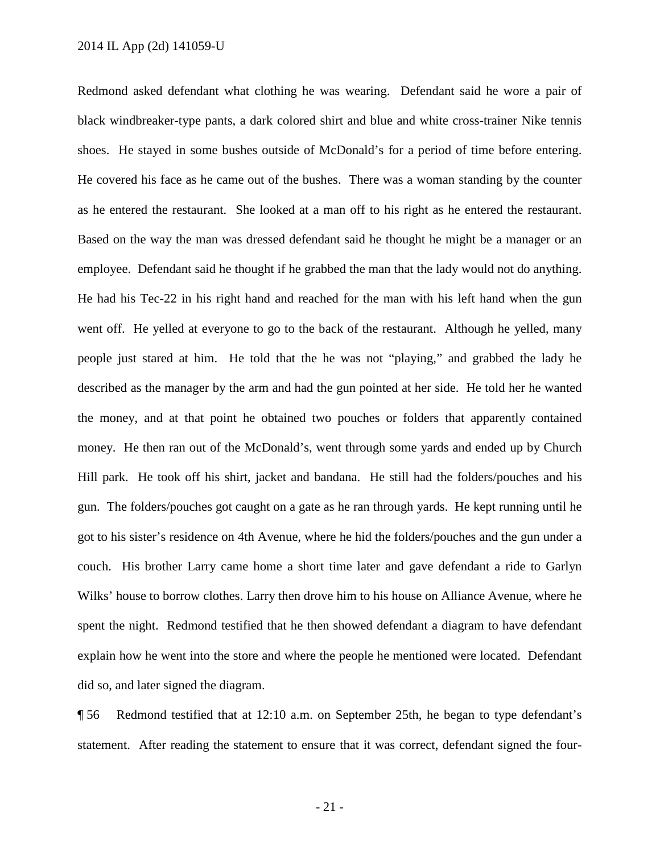Redmond asked defendant what clothing he was wearing. Defendant said he wore a pair of black windbreaker-type pants, a dark colored shirt and blue and white cross-trainer Nike tennis shoes. He stayed in some bushes outside of McDonald's for a period of time before entering. He covered his face as he came out of the bushes. There was a woman standing by the counter as he entered the restaurant. She looked at a man off to his right as he entered the restaurant. Based on the way the man was dressed defendant said he thought he might be a manager or an employee. Defendant said he thought if he grabbed the man that the lady would not do anything. He had his Tec-22 in his right hand and reached for the man with his left hand when the gun went off. He yelled at everyone to go to the back of the restaurant. Although he yelled, many people just stared at him. He told that the he was not "playing," and grabbed the lady he described as the manager by the arm and had the gun pointed at her side. He told her he wanted the money, and at that point he obtained two pouches or folders that apparently contained money. He then ran out of the McDonald's, went through some yards and ended up by Church Hill park. He took off his shirt, jacket and bandana. He still had the folders/pouches and his gun. The folders/pouches got caught on a gate as he ran through yards. He kept running until he got to his sister's residence on 4th Avenue, where he hid the folders/pouches and the gun under a couch. His brother Larry came home a short time later and gave defendant a ride to Garlyn Wilks' house to borrow clothes. Larry then drove him to his house on Alliance Avenue, where he spent the night. Redmond testified that he then showed defendant a diagram to have defendant explain how he went into the store and where the people he mentioned were located. Defendant did so, and later signed the diagram.

¶ 56 Redmond testified that at 12:10 a.m. on September 25th, he began to type defendant's statement. After reading the statement to ensure that it was correct, defendant signed the four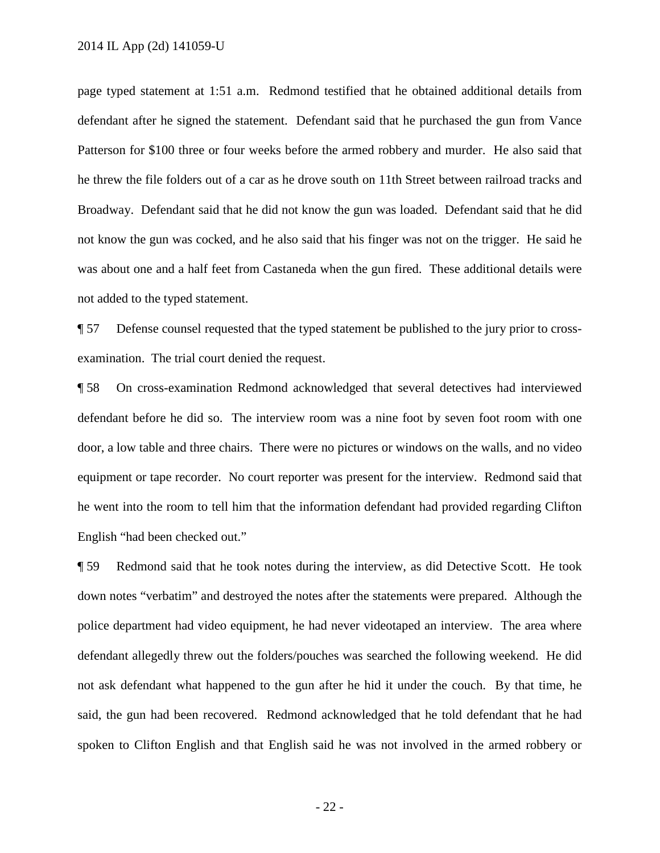page typed statement at 1:51 a.m. Redmond testified that he obtained additional details from defendant after he signed the statement. Defendant said that he purchased the gun from Vance Patterson for \$100 three or four weeks before the armed robbery and murder. He also said that he threw the file folders out of a car as he drove south on 11th Street between railroad tracks and Broadway. Defendant said that he did not know the gun was loaded. Defendant said that he did not know the gun was cocked, and he also said that his finger was not on the trigger. He said he was about one and a half feet from Castaneda when the gun fired. These additional details were not added to the typed statement.

¶ 57 Defense counsel requested that the typed statement be published to the jury prior to crossexamination. The trial court denied the request.

¶ 58 On cross-examination Redmond acknowledged that several detectives had interviewed defendant before he did so. The interview room was a nine foot by seven foot room with one door, a low table and three chairs. There were no pictures or windows on the walls, and no video equipment or tape recorder. No court reporter was present for the interview. Redmond said that he went into the room to tell him that the information defendant had provided regarding Clifton English "had been checked out."

¶ 59 Redmond said that he took notes during the interview, as did Detective Scott. He took down notes "verbatim" and destroyed the notes after the statements were prepared. Although the police department had video equipment, he had never videotaped an interview. The area where defendant allegedly threw out the folders/pouches was searched the following weekend. He did not ask defendant what happened to the gun after he hid it under the couch. By that time, he said, the gun had been recovered. Redmond acknowledged that he told defendant that he had spoken to Clifton English and that English said he was not involved in the armed robbery or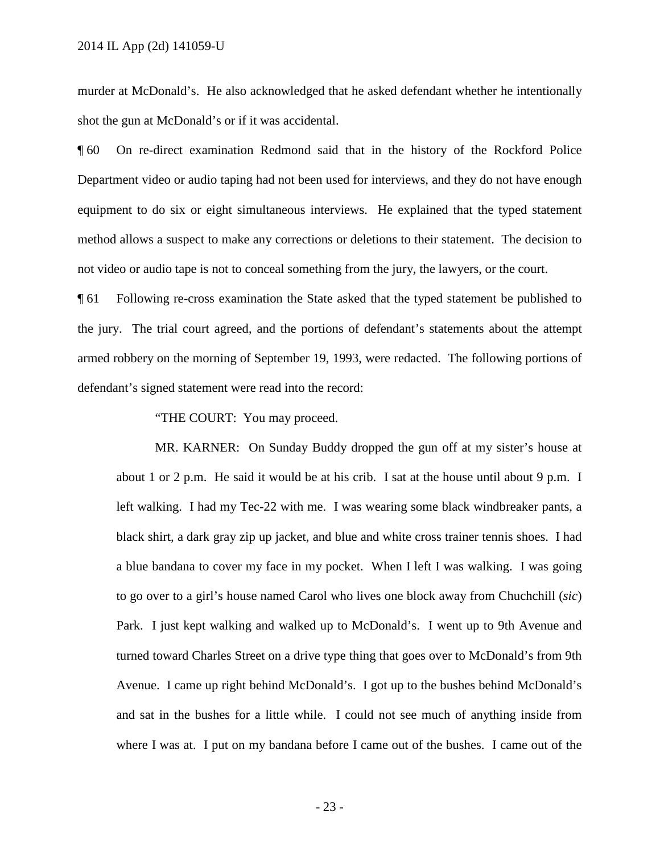murder at McDonald's. He also acknowledged that he asked defendant whether he intentionally shot the gun at McDonald's or if it was accidental.

¶ 60 On re-direct examination Redmond said that in the history of the Rockford Police Department video or audio taping had not been used for interviews, and they do not have enough equipment to do six or eight simultaneous interviews. He explained that the typed statement method allows a suspect to make any corrections or deletions to their statement. The decision to not video or audio tape is not to conceal something from the jury, the lawyers, or the court.

¶ 61 Following re-cross examination the State asked that the typed statement be published to the jury. The trial court agreed, and the portions of defendant's statements about the attempt armed robbery on the morning of September 19, 1993, were redacted. The following portions of defendant's signed statement were read into the record:

"THE COURT: You may proceed.

MR. KARNER: On Sunday Buddy dropped the gun off at my sister's house at about 1 or 2 p.m. He said it would be at his crib. I sat at the house until about 9 p.m. I left walking. I had my Tec-22 with me. I was wearing some black windbreaker pants, a black shirt, a dark gray zip up jacket, and blue and white cross trainer tennis shoes. I had a blue bandana to cover my face in my pocket. When I left I was walking. I was going to go over to a girl's house named Carol who lives one block away from Chuchchill (*sic*) Park. I just kept walking and walked up to McDonald's. I went up to 9th Avenue and turned toward Charles Street on a drive type thing that goes over to McDonald's from 9th Avenue. I came up right behind McDonald's. I got up to the bushes behind McDonald's and sat in the bushes for a little while. I could not see much of anything inside from where I was at. I put on my bandana before I came out of the bushes. I came out of the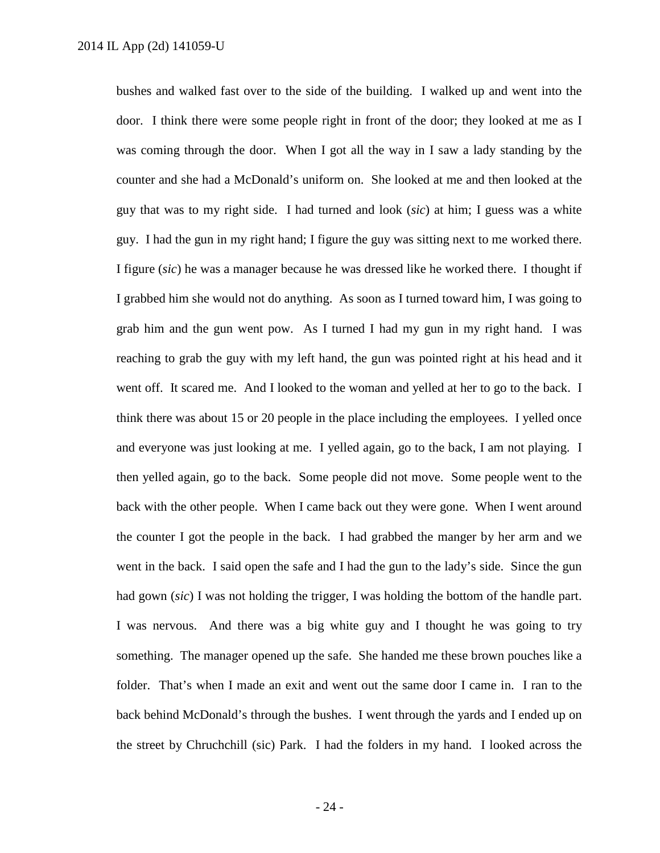bushes and walked fast over to the side of the building. I walked up and went into the door. I think there were some people right in front of the door; they looked at me as I was coming through the door. When I got all the way in I saw a lady standing by the counter and she had a McDonald's uniform on. She looked at me and then looked at the guy that was to my right side. I had turned and look (*sic*) at him; I guess was a white guy. I had the gun in my right hand; I figure the guy was sitting next to me worked there. I figure (*sic*) he was a manager because he was dressed like he worked there. I thought if I grabbed him she would not do anything. As soon as I turned toward him, I was going to grab him and the gun went pow. As I turned I had my gun in my right hand. I was reaching to grab the guy with my left hand, the gun was pointed right at his head and it went off. It scared me. And I looked to the woman and yelled at her to go to the back. I think there was about 15 or 20 people in the place including the employees. I yelled once and everyone was just looking at me. I yelled again, go to the back, I am not playing. I then yelled again, go to the back. Some people did not move. Some people went to the back with the other people. When I came back out they were gone. When I went around the counter I got the people in the back. I had grabbed the manger by her arm and we went in the back. I said open the safe and I had the gun to the lady's side. Since the gun had gown (*sic*) I was not holding the trigger, I was holding the bottom of the handle part. I was nervous. And there was a big white guy and I thought he was going to try something. The manager opened up the safe. She handed me these brown pouches like a folder. That's when I made an exit and went out the same door I came in. I ran to the back behind McDonald's through the bushes. I went through the yards and I ended up on the street by Chruchchill (sic) Park. I had the folders in my hand. I looked across the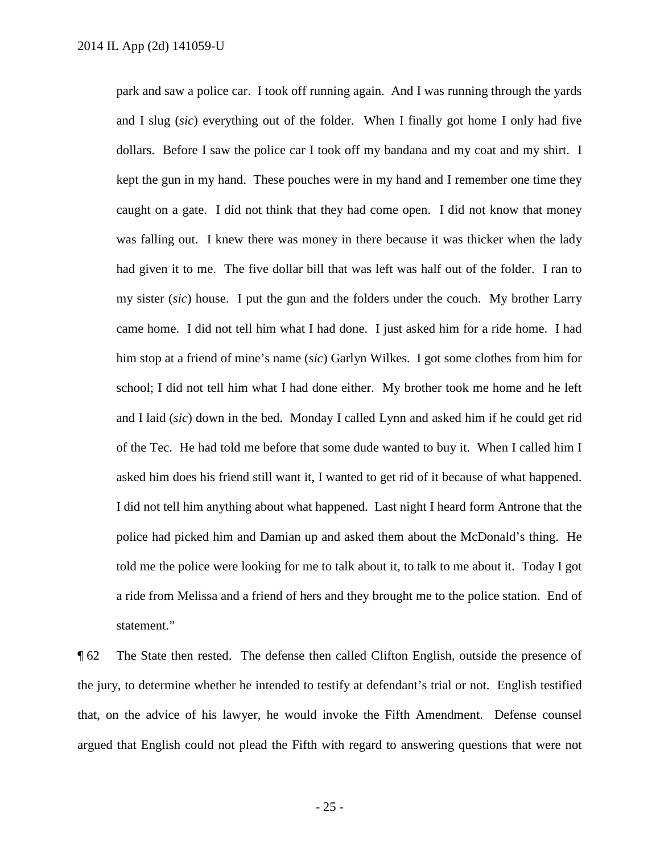park and saw a police car. I took off running again. And I was running through the yards and I slug (*sic*) everything out of the folder. When I finally got home I only had five dollars. Before I saw the police car I took off my bandana and my coat and my shirt. I kept the gun in my hand. These pouches were in my hand and I remember one time they caught on a gate. I did not think that they had come open. I did not know that money was falling out. I knew there was money in there because it was thicker when the lady had given it to me. The five dollar bill that was left was half out of the folder. I ran to my sister (*sic*) house. I put the gun and the folders under the couch. My brother Larry came home. I did not tell him what I had done. I just asked him for a ride home. I had him stop at a friend of mine's name (*sic*) Garlyn Wilkes. I got some clothes from him for school; I did not tell him what I had done either. My brother took me home and he left and I laid (*sic*) down in the bed. Monday I called Lynn and asked him if he could get rid of the Tec. He had told me before that some dude wanted to buy it. When I called him I asked him does his friend still want it, I wanted to get rid of it because of what happened. I did not tell him anything about what happened. Last night I heard form Antrone that the police had picked him and Damian up and asked them about the McDonald's thing. He told me the police were looking for me to talk about it, to talk to me about it. Today I got a ride from Melissa and a friend of hers and they brought me to the police station. End of statement."

¶ 62 The State then rested. The defense then called Clifton English, outside the presence of the jury, to determine whether he intended to testify at defendant's trial or not. English testified that, on the advice of his lawyer, he would invoke the Fifth Amendment. Defense counsel argued that English could not plead the Fifth with regard to answering questions that were not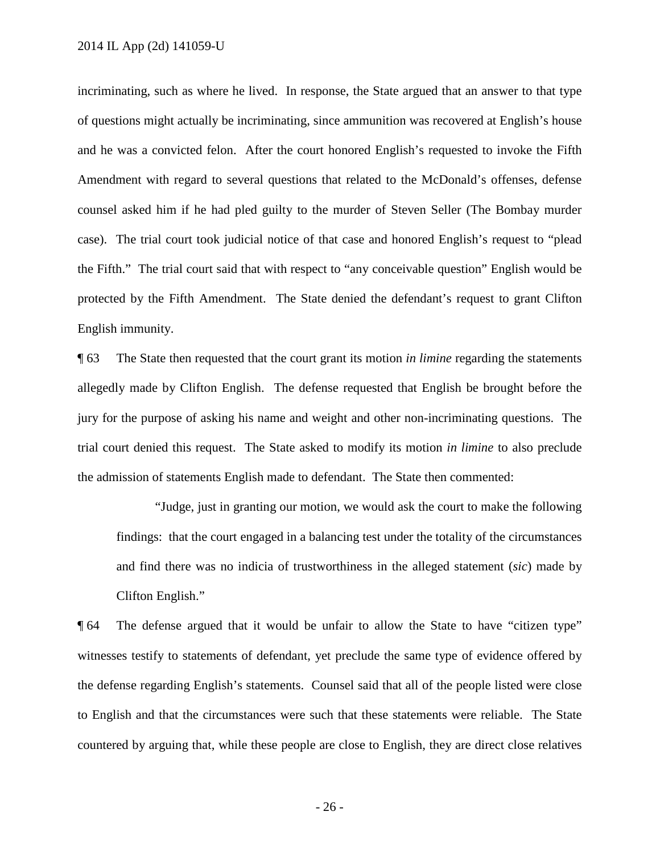incriminating, such as where he lived. In response, the State argued that an answer to that type of questions might actually be incriminating, since ammunition was recovered at English's house and he was a convicted felon. After the court honored English's requested to invoke the Fifth Amendment with regard to several questions that related to the McDonald's offenses, defense counsel asked him if he had pled guilty to the murder of Steven Seller (The Bombay murder case). The trial court took judicial notice of that case and honored English's request to "plead the Fifth." The trial court said that with respect to "any conceivable question" English would be protected by the Fifth Amendment. The State denied the defendant's request to grant Clifton English immunity.

¶ 63 The State then requested that the court grant its motion *in limine* regarding the statements allegedly made by Clifton English. The defense requested that English be brought before the jury for the purpose of asking his name and weight and other non-incriminating questions. The trial court denied this request. The State asked to modify its motion *in limine* to also preclude the admission of statements English made to defendant. The State then commented:

"Judge, just in granting our motion, we would ask the court to make the following findings: that the court engaged in a balancing test under the totality of the circumstances and find there was no indicia of trustworthiness in the alleged statement (*sic*) made by Clifton English."

¶ 64 The defense argued that it would be unfair to allow the State to have "citizen type" witnesses testify to statements of defendant, yet preclude the same type of evidence offered by the defense regarding English's statements. Counsel said that all of the people listed were close to English and that the circumstances were such that these statements were reliable. The State countered by arguing that, while these people are close to English, they are direct close relatives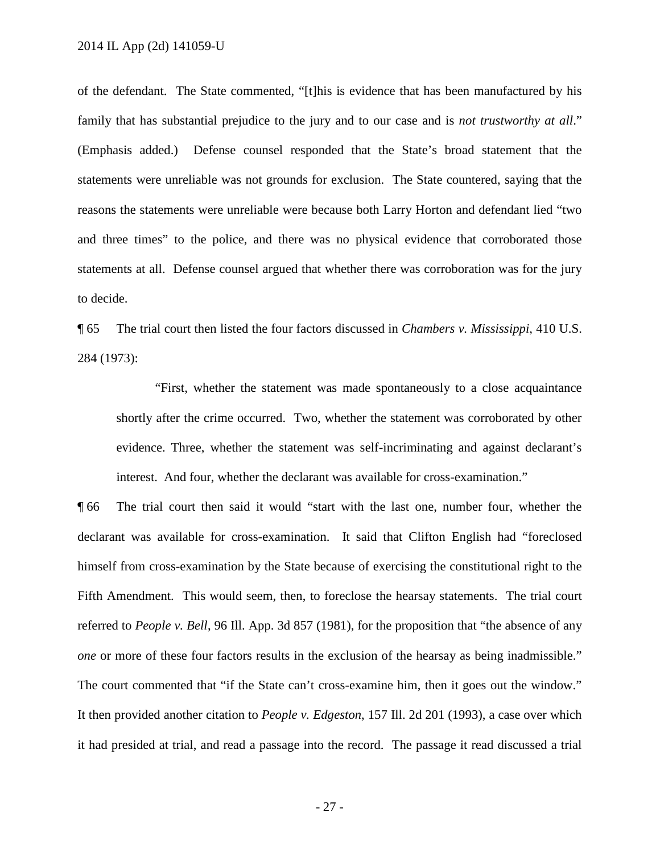of the defendant. The State commented, "[t]his is evidence that has been manufactured by his family that has substantial prejudice to the jury and to our case and is *not trustworthy at all*." (Emphasis added.) Defense counsel responded that the State's broad statement that the statements were unreliable was not grounds for exclusion. The State countered, saying that the reasons the statements were unreliable were because both Larry Horton and defendant lied "two and three times" to the police, and there was no physical evidence that corroborated those statements at all. Defense counsel argued that whether there was corroboration was for the jury to decide.

¶ 65 The trial court then listed the four factors discussed in *Chambers v. Mississippi*, 410 U.S. 284 (1973):

"First, whether the statement was made spontaneously to a close acquaintance shortly after the crime occurred. Two, whether the statement was corroborated by other evidence. Three, whether the statement was self-incriminating and against declarant's interest. And four, whether the declarant was available for cross-examination."

¶ 66 The trial court then said it would "start with the last one, number four, whether the declarant was available for cross-examination. It said that Clifton English had "foreclosed himself from cross-examination by the State because of exercising the constitutional right to the Fifth Amendment. This would seem, then, to foreclose the hearsay statements. The trial court referred to *People v. Bell*, 96 Ill. App. 3d 857 (1981), for the proposition that "the absence of any *one* or more of these four factors results in the exclusion of the hearsay as being inadmissible." The court commented that "if the State can't cross-examine him, then it goes out the window." It then provided another citation to *People v. Edgeston*, 157 Ill. 2d 201 (1993), a case over which it had presided at trial, and read a passage into the record. The passage it read discussed a trial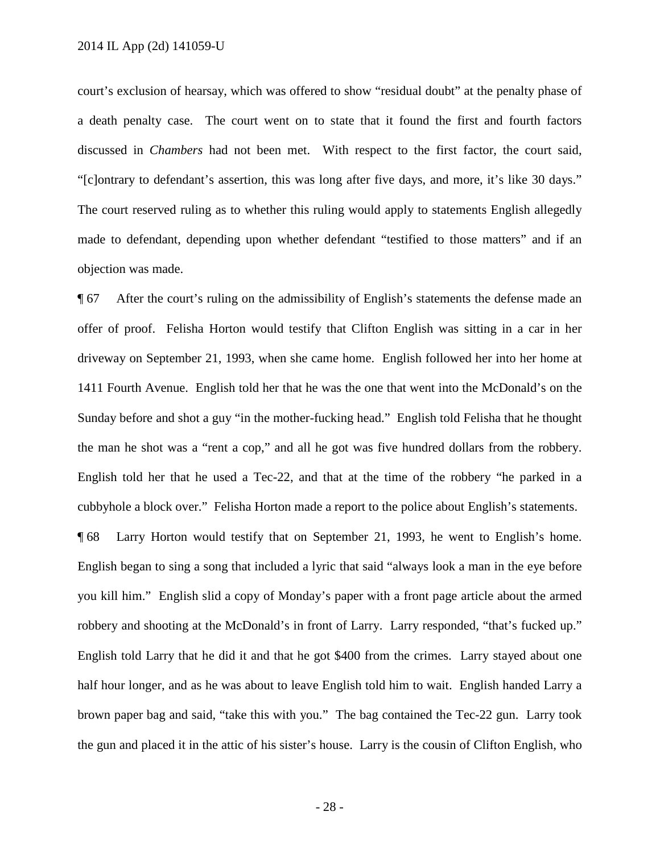court's exclusion of hearsay, which was offered to show "residual doubt" at the penalty phase of a death penalty case. The court went on to state that it found the first and fourth factors discussed in *Chambers* had not been met. With respect to the first factor, the court said, "[c]ontrary to defendant's assertion, this was long after five days, and more, it's like 30 days." The court reserved ruling as to whether this ruling would apply to statements English allegedly made to defendant, depending upon whether defendant "testified to those matters" and if an objection was made.

¶ 67 After the court's ruling on the admissibility of English's statements the defense made an offer of proof. Felisha Horton would testify that Clifton English was sitting in a car in her driveway on September 21, 1993, when she came home. English followed her into her home at 1411 Fourth Avenue. English told her that he was the one that went into the McDonald's on the Sunday before and shot a guy "in the mother-fucking head." English told Felisha that he thought the man he shot was a "rent a cop," and all he got was five hundred dollars from the robbery. English told her that he used a Tec-22, and that at the time of the robbery "he parked in a cubbyhole a block over." Felisha Horton made a report to the police about English's statements.

¶ 68 Larry Horton would testify that on September 21, 1993, he went to English's home. English began to sing a song that included a lyric that said "always look a man in the eye before you kill him." English slid a copy of Monday's paper with a front page article about the armed robbery and shooting at the McDonald's in front of Larry. Larry responded, "that's fucked up." English told Larry that he did it and that he got \$400 from the crimes. Larry stayed about one half hour longer, and as he was about to leave English told him to wait. English handed Larry a brown paper bag and said, "take this with you." The bag contained the Tec-22 gun. Larry took the gun and placed it in the attic of his sister's house. Larry is the cousin of Clifton English, who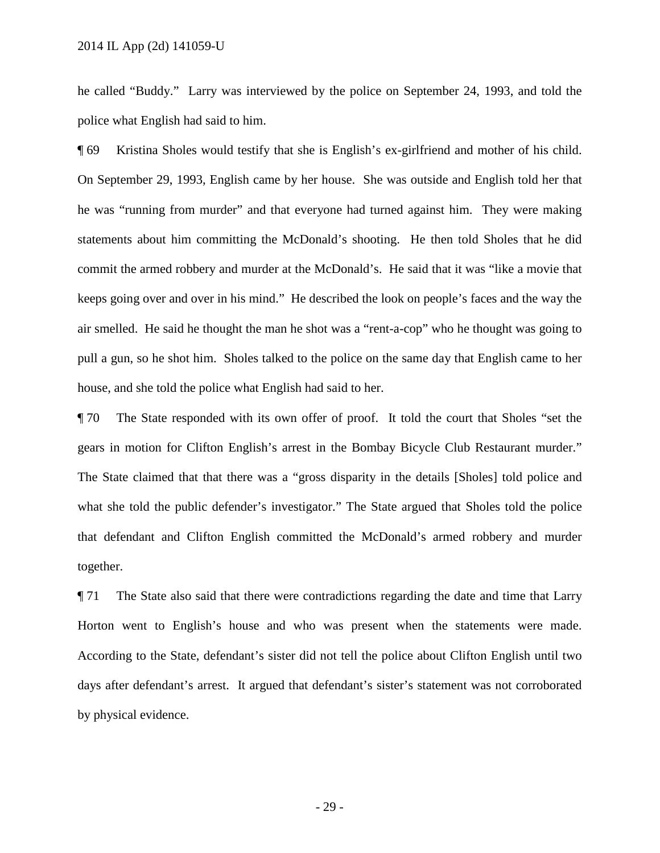he called "Buddy." Larry was interviewed by the police on September 24, 1993, and told the police what English had said to him.

¶ 69 Kristina Sholes would testify that she is English's ex-girlfriend and mother of his child. On September 29, 1993, English came by her house. She was outside and English told her that he was "running from murder" and that everyone had turned against him. They were making statements about him committing the McDonald's shooting. He then told Sholes that he did commit the armed robbery and murder at the McDonald's. He said that it was "like a movie that keeps going over and over in his mind." He described the look on people's faces and the way the air smelled. He said he thought the man he shot was a "rent-a-cop" who he thought was going to pull a gun, so he shot him. Sholes talked to the police on the same day that English came to her house, and she told the police what English had said to her.

¶ 70 The State responded with its own offer of proof. It told the court that Sholes "set the gears in motion for Clifton English's arrest in the Bombay Bicycle Club Restaurant murder." The State claimed that that there was a "gross disparity in the details [Sholes] told police and what she told the public defender's investigator." The State argued that Sholes told the police that defendant and Clifton English committed the McDonald's armed robbery and murder together.

¶ 71 The State also said that there were contradictions regarding the date and time that Larry Horton went to English's house and who was present when the statements were made. According to the State, defendant's sister did not tell the police about Clifton English until two days after defendant's arrest. It argued that defendant's sister's statement was not corroborated by physical evidence.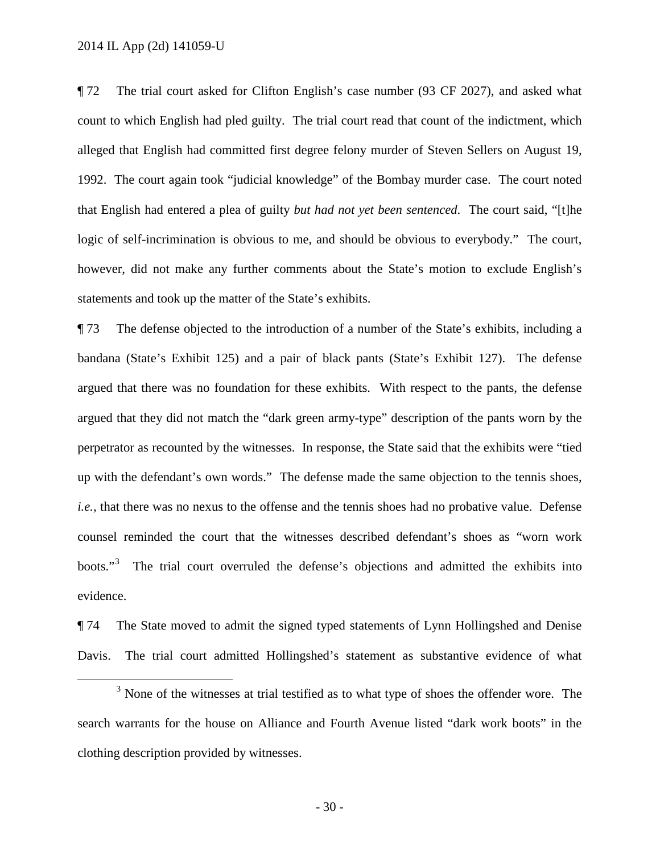2014 IL App (2d) 141059-U

¶ 72 The trial court asked for Clifton English's case number (93 CF 2027), and asked what count to which English had pled guilty. The trial court read that count of the indictment, which alleged that English had committed first degree felony murder of Steven Sellers on August 19, 1992. The court again took "judicial knowledge" of the Bombay murder case. The court noted that English had entered a plea of guilty *but had not yet been sentenced*. The court said, "[t]he logic of self-incrimination is obvious to me, and should be obvious to everybody." The court, however, did not make any further comments about the State's motion to exclude English's statements and took up the matter of the State's exhibits.

¶ 73 The defense objected to the introduction of a number of the State's exhibits, including a bandana (State's Exhibit 125) and a pair of black pants (State's Exhibit 127). The defense argued that there was no foundation for these exhibits. With respect to the pants, the defense argued that they did not match the "dark green army-type" description of the pants worn by the perpetrator as recounted by the witnesses. In response, the State said that the exhibits were "tied up with the defendant's own words." The defense made the same objection to the tennis shoes, *i.e.*, that there was no nexus to the offense and the tennis shoes had no probative value. Defense counsel reminded the court that the witnesses described defendant's shoes as "worn work boots."<sup>[3](#page-29-0)</sup> The trial court overruled the defense's objections and admitted the exhibits into evidence.

¶ 74 The State moved to admit the signed typed statements of Lynn Hollingshed and Denise Davis. The trial court admitted Hollingshed's statement as substantive evidence of what

<span id="page-29-0"></span> $3$  None of the witnesses at trial testified as to what type of shoes the offender wore. The search warrants for the house on Alliance and Fourth Avenue listed "dark work boots" in the clothing description provided by witnesses.

- 30 -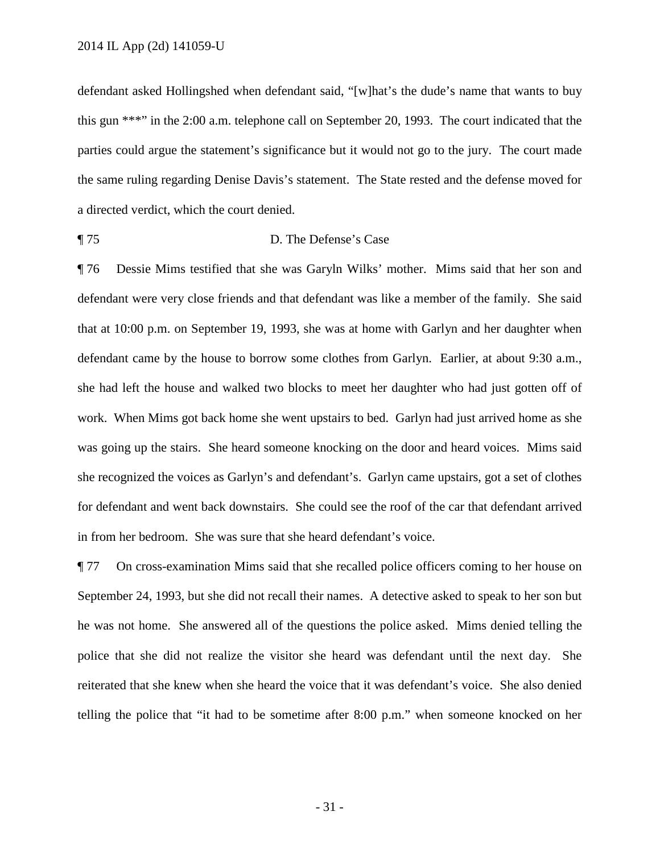defendant asked Hollingshed when defendant said, "[w]hat's the dude's name that wants to buy this gun \*\*\*" in the 2:00 a.m. telephone call on September 20, 1993. The court indicated that the parties could argue the statement's significance but it would not go to the jury. The court made the same ruling regarding Denise Davis's statement. The State rested and the defense moved for a directed verdict, which the court denied.

## ¶ 75 D. The Defense's Case

¶ 76 Dessie Mims testified that she was Garyln Wilks' mother. Mims said that her son and defendant were very close friends and that defendant was like a member of the family. She said that at 10:00 p.m. on September 19, 1993, she was at home with Garlyn and her daughter when defendant came by the house to borrow some clothes from Garlyn. Earlier, at about 9:30 a.m., she had left the house and walked two blocks to meet her daughter who had just gotten off of work. When Mims got back home she went upstairs to bed. Garlyn had just arrived home as she was going up the stairs. She heard someone knocking on the door and heard voices. Mims said she recognized the voices as Garlyn's and defendant's. Garlyn came upstairs, got a set of clothes for defendant and went back downstairs. She could see the roof of the car that defendant arrived in from her bedroom. She was sure that she heard defendant's voice.

¶ 77 On cross-examination Mims said that she recalled police officers coming to her house on September 24, 1993, but she did not recall their names. A detective asked to speak to her son but he was not home. She answered all of the questions the police asked. Mims denied telling the police that she did not realize the visitor she heard was defendant until the next day. She reiterated that she knew when she heard the voice that it was defendant's voice. She also denied telling the police that "it had to be sometime after 8:00 p.m." when someone knocked on her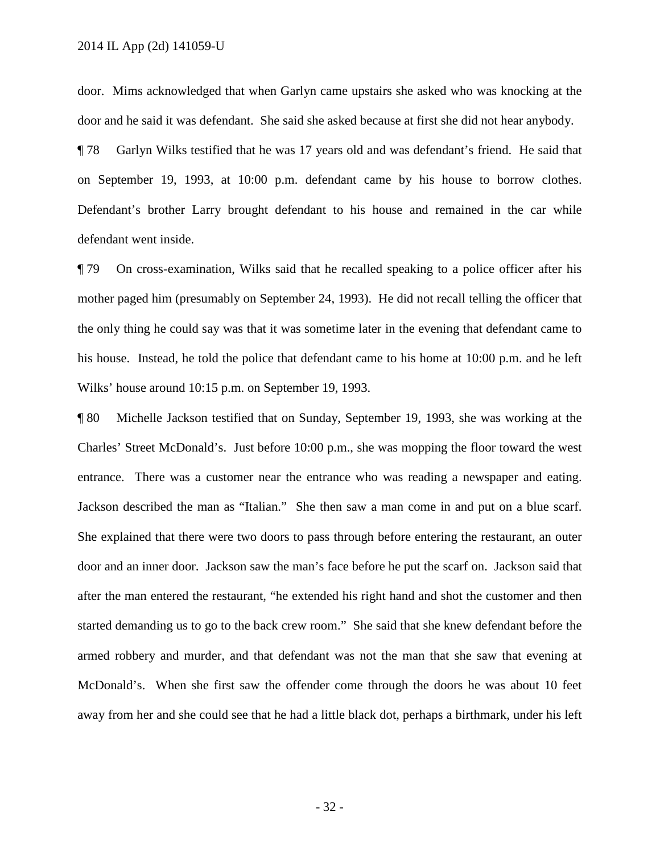door. Mims acknowledged that when Garlyn came upstairs she asked who was knocking at the door and he said it was defendant. She said she asked because at first she did not hear anybody.

¶ 78 Garlyn Wilks testified that he was 17 years old and was defendant's friend. He said that on September 19, 1993, at 10:00 p.m. defendant came by his house to borrow clothes. Defendant's brother Larry brought defendant to his house and remained in the car while defendant went inside.

¶ 79 On cross-examination, Wilks said that he recalled speaking to a police officer after his mother paged him (presumably on September 24, 1993). He did not recall telling the officer that the only thing he could say was that it was sometime later in the evening that defendant came to his house. Instead, he told the police that defendant came to his home at 10:00 p.m. and he left Wilks' house around 10:15 p.m. on September 19, 1993.

¶ 80 Michelle Jackson testified that on Sunday, September 19, 1993, she was working at the Charles' Street McDonald's. Just before 10:00 p.m., she was mopping the floor toward the west entrance. There was a customer near the entrance who was reading a newspaper and eating. Jackson described the man as "Italian." She then saw a man come in and put on a blue scarf. She explained that there were two doors to pass through before entering the restaurant, an outer door and an inner door. Jackson saw the man's face before he put the scarf on. Jackson said that after the man entered the restaurant, "he extended his right hand and shot the customer and then started demanding us to go to the back crew room." She said that she knew defendant before the armed robbery and murder, and that defendant was not the man that she saw that evening at McDonald's. When she first saw the offender come through the doors he was about 10 feet away from her and she could see that he had a little black dot, perhaps a birthmark, under his left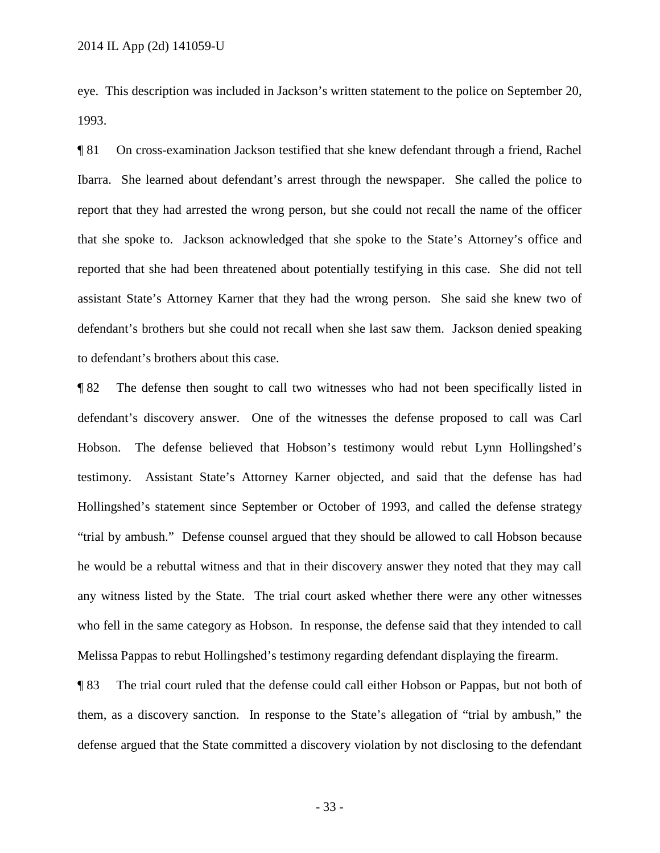eye. This description was included in Jackson's written statement to the police on September 20, 1993.

¶ 81 On cross-examination Jackson testified that she knew defendant through a friend, Rachel Ibarra. She learned about defendant's arrest through the newspaper. She called the police to report that they had arrested the wrong person, but she could not recall the name of the officer that she spoke to. Jackson acknowledged that she spoke to the State's Attorney's office and reported that she had been threatened about potentially testifying in this case. She did not tell assistant State's Attorney Karner that they had the wrong person. She said she knew two of defendant's brothers but she could not recall when she last saw them. Jackson denied speaking to defendant's brothers about this case.

¶ 82 The defense then sought to call two witnesses who had not been specifically listed in defendant's discovery answer. One of the witnesses the defense proposed to call was Carl Hobson. The defense believed that Hobson's testimony would rebut Lynn Hollingshed's testimony. Assistant State's Attorney Karner objected, and said that the defense has had Hollingshed's statement since September or October of 1993, and called the defense strategy "trial by ambush." Defense counsel argued that they should be allowed to call Hobson because he would be a rebuttal witness and that in their discovery answer they noted that they may call any witness listed by the State. The trial court asked whether there were any other witnesses who fell in the same category as Hobson. In response, the defense said that they intended to call Melissa Pappas to rebut Hollingshed's testimony regarding defendant displaying the firearm.

¶ 83 The trial court ruled that the defense could call either Hobson or Pappas, but not both of them, as a discovery sanction. In response to the State's allegation of "trial by ambush," the defense argued that the State committed a discovery violation by not disclosing to the defendant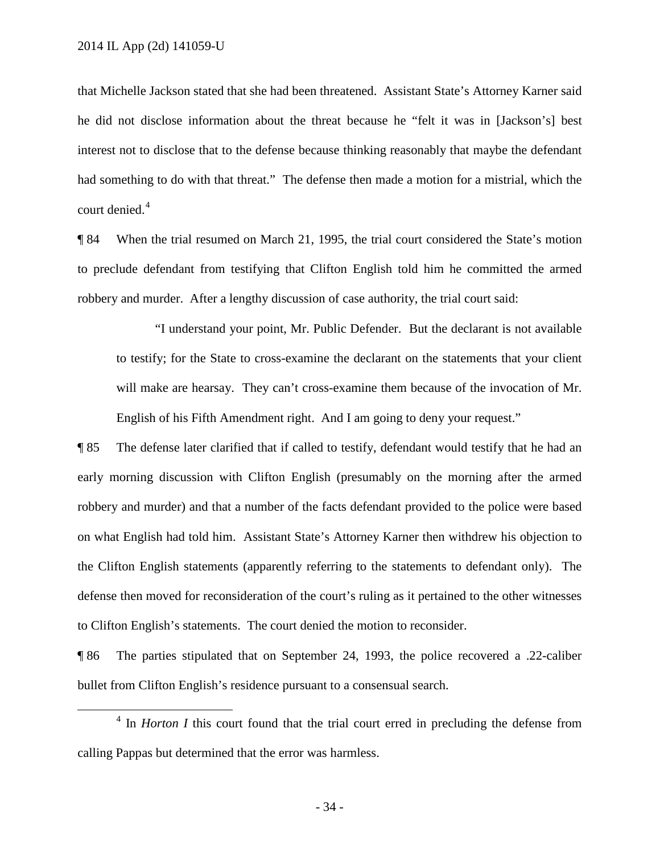that Michelle Jackson stated that she had been threatened. Assistant State's Attorney Karner said he did not disclose information about the threat because he "felt it was in [Jackson's] best interest not to disclose that to the defense because thinking reasonably that maybe the defendant had something to do with that threat." The defense then made a motion for a mistrial, which the court denied.<sup>[4](#page-33-0)</sup>

¶ 84 When the trial resumed on March 21, 1995, the trial court considered the State's motion to preclude defendant from testifying that Clifton English told him he committed the armed robbery and murder. After a lengthy discussion of case authority, the trial court said:

"I understand your point, Mr. Public Defender. But the declarant is not available to testify; for the State to cross-examine the declarant on the statements that your client will make are hearsay. They can't cross-examine them because of the invocation of Mr. English of his Fifth Amendment right. And I am going to deny your request."

¶ 85 The defense later clarified that if called to testify, defendant would testify that he had an early morning discussion with Clifton English (presumably on the morning after the armed robbery and murder) and that a number of the facts defendant provided to the police were based on what English had told him. Assistant State's Attorney Karner then withdrew his objection to the Clifton English statements (apparently referring to the statements to defendant only). The defense then moved for reconsideration of the court's ruling as it pertained to the other witnesses to Clifton English's statements. The court denied the motion to reconsider.

¶ 86 The parties stipulated that on September 24, 1993, the police recovered a .22-caliber bullet from Clifton English's residence pursuant to a consensual search.

<span id="page-33-0"></span> <sup>4</sup> In *Horton I* this court found that the trial court erred in precluding the defense from calling Pappas but determined that the error was harmless.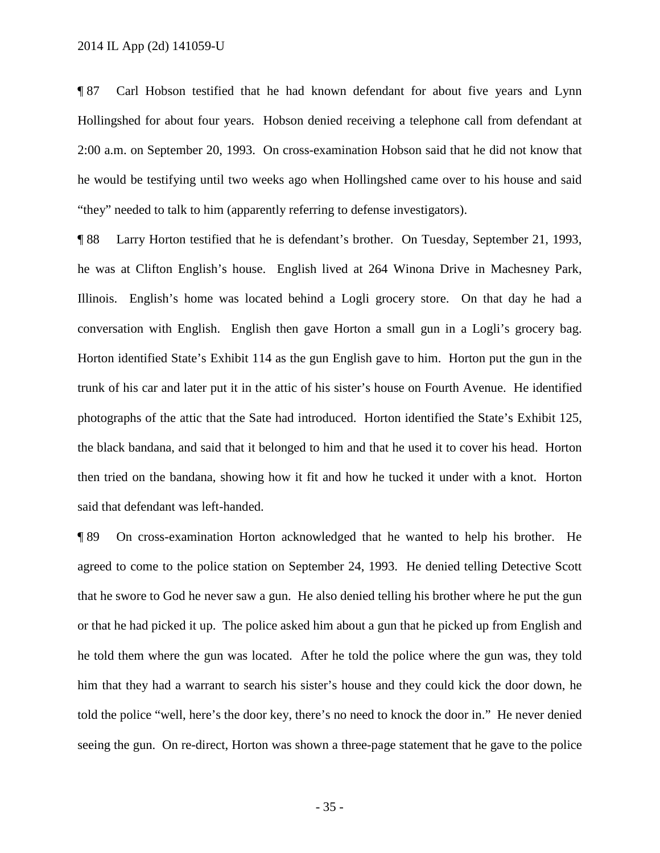¶ 87 Carl Hobson testified that he had known defendant for about five years and Lynn Hollingshed for about four years. Hobson denied receiving a telephone call from defendant at 2:00 a.m. on September 20, 1993. On cross-examination Hobson said that he did not know that he would be testifying until two weeks ago when Hollingshed came over to his house and said "they" needed to talk to him (apparently referring to defense investigators).

¶ 88 Larry Horton testified that he is defendant's brother. On Tuesday, September 21, 1993, he was at Clifton English's house. English lived at 264 Winona Drive in Machesney Park, Illinois. English's home was located behind a Logli grocery store. On that day he had a conversation with English. English then gave Horton a small gun in a Logli's grocery bag. Horton identified State's Exhibit 114 as the gun English gave to him. Horton put the gun in the trunk of his car and later put it in the attic of his sister's house on Fourth Avenue. He identified photographs of the attic that the Sate had introduced. Horton identified the State's Exhibit 125, the black bandana, and said that it belonged to him and that he used it to cover his head. Horton then tried on the bandana, showing how it fit and how he tucked it under with a knot. Horton said that defendant was left-handed.

¶ 89 On cross-examination Horton acknowledged that he wanted to help his brother. He agreed to come to the police station on September 24, 1993. He denied telling Detective Scott that he swore to God he never saw a gun. He also denied telling his brother where he put the gun or that he had picked it up. The police asked him about a gun that he picked up from English and he told them where the gun was located. After he told the police where the gun was, they told him that they had a warrant to search his sister's house and they could kick the door down, he told the police "well, here's the door key, there's no need to knock the door in." He never denied seeing the gun. On re-direct, Horton was shown a three-page statement that he gave to the police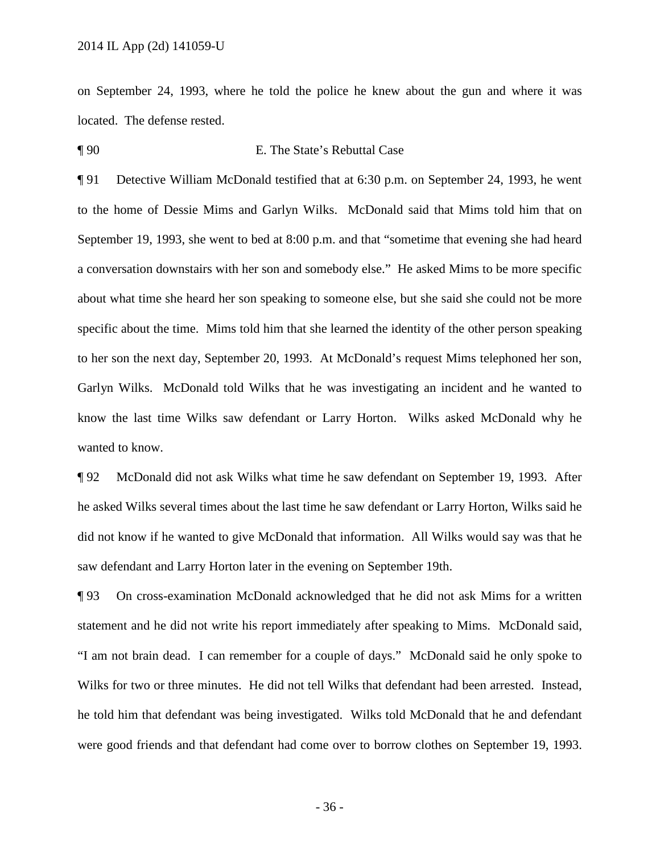on September 24, 1993, where he told the police he knew about the gun and where it was located. The defense rested.

¶ 90 E. The State's Rebuttal Case

¶ 91 Detective William McDonald testified that at 6:30 p.m. on September 24, 1993, he went to the home of Dessie Mims and Garlyn Wilks. McDonald said that Mims told him that on September 19, 1993, she went to bed at 8:00 p.m. and that "sometime that evening she had heard a conversation downstairs with her son and somebody else." He asked Mims to be more specific about what time she heard her son speaking to someone else, but she said she could not be more specific about the time. Mims told him that she learned the identity of the other person speaking to her son the next day, September 20, 1993. At McDonald's request Mims telephoned her son, Garlyn Wilks. McDonald told Wilks that he was investigating an incident and he wanted to know the last time Wilks saw defendant or Larry Horton. Wilks asked McDonald why he wanted to know.

¶ 92 McDonald did not ask Wilks what time he saw defendant on September 19, 1993. After he asked Wilks several times about the last time he saw defendant or Larry Horton, Wilks said he did not know if he wanted to give McDonald that information. All Wilks would say was that he saw defendant and Larry Horton later in the evening on September 19th.

¶ 93 On cross-examination McDonald acknowledged that he did not ask Mims for a written statement and he did not write his report immediately after speaking to Mims. McDonald said, "I am not brain dead. I can remember for a couple of days." McDonald said he only spoke to Wilks for two or three minutes. He did not tell Wilks that defendant had been arrested. Instead, he told him that defendant was being investigated. Wilks told McDonald that he and defendant were good friends and that defendant had come over to borrow clothes on September 19, 1993.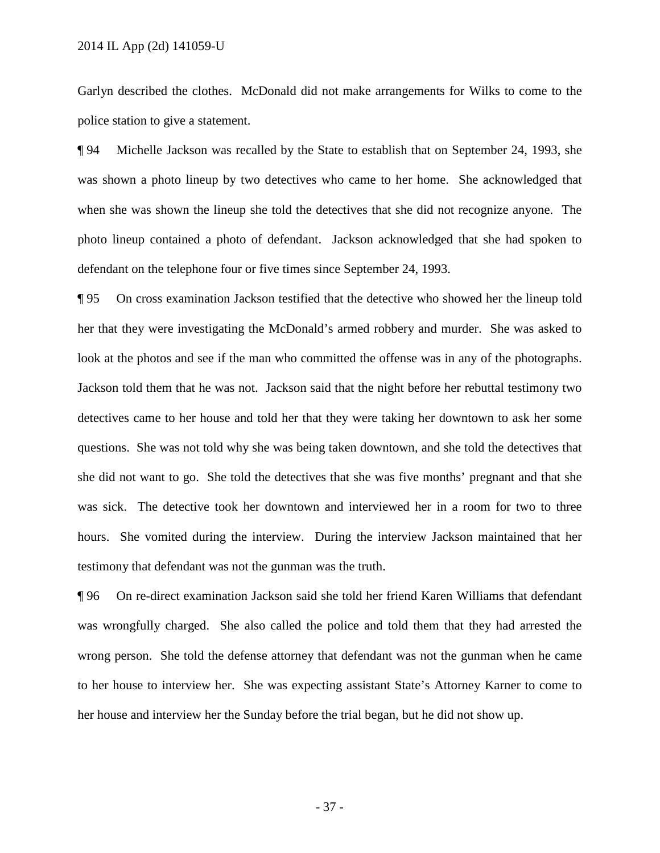Garlyn described the clothes. McDonald did not make arrangements for Wilks to come to the police station to give a statement.

¶ 94 Michelle Jackson was recalled by the State to establish that on September 24, 1993, she was shown a photo lineup by two detectives who came to her home. She acknowledged that when she was shown the lineup she told the detectives that she did not recognize anyone. The photo lineup contained a photo of defendant. Jackson acknowledged that she had spoken to defendant on the telephone four or five times since September 24, 1993.

¶ 95 On cross examination Jackson testified that the detective who showed her the lineup told her that they were investigating the McDonald's armed robbery and murder. She was asked to look at the photos and see if the man who committed the offense was in any of the photographs. Jackson told them that he was not. Jackson said that the night before her rebuttal testimony two detectives came to her house and told her that they were taking her downtown to ask her some questions. She was not told why she was being taken downtown, and she told the detectives that she did not want to go. She told the detectives that she was five months' pregnant and that she was sick. The detective took her downtown and interviewed her in a room for two to three hours. She vomited during the interview. During the interview Jackson maintained that her testimony that defendant was not the gunman was the truth.

¶ 96 On re-direct examination Jackson said she told her friend Karen Williams that defendant was wrongfully charged. She also called the police and told them that they had arrested the wrong person. She told the defense attorney that defendant was not the gunman when he came to her house to interview her. She was expecting assistant State's Attorney Karner to come to her house and interview her the Sunday before the trial began, but he did not show up.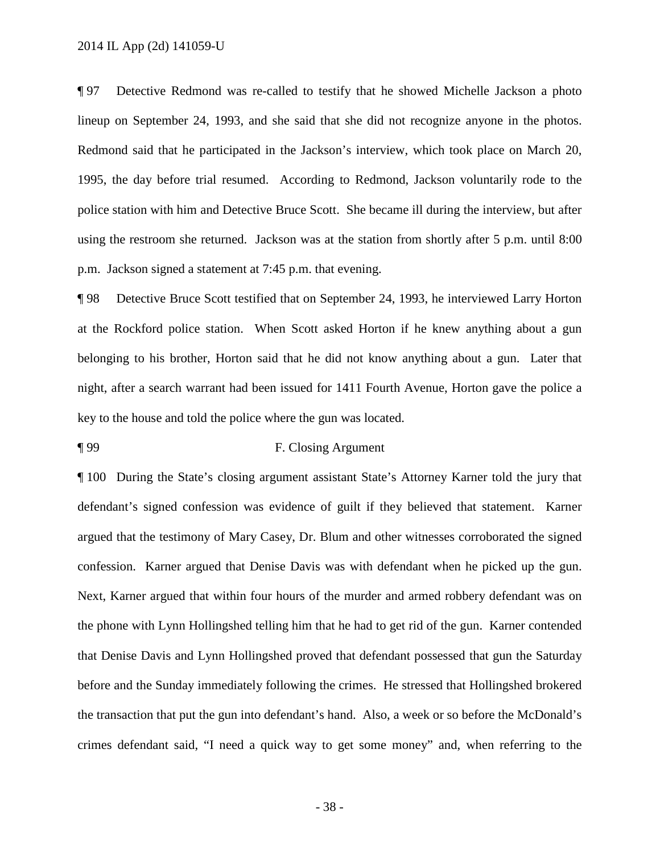¶ 97 Detective Redmond was re-called to testify that he showed Michelle Jackson a photo lineup on September 24, 1993, and she said that she did not recognize anyone in the photos. Redmond said that he participated in the Jackson's interview, which took place on March 20, 1995, the day before trial resumed. According to Redmond, Jackson voluntarily rode to the police station with him and Detective Bruce Scott. She became ill during the interview, but after using the restroom she returned. Jackson was at the station from shortly after 5 p.m. until 8:00 p.m. Jackson signed a statement at 7:45 p.m. that evening.

¶ 98 Detective Bruce Scott testified that on September 24, 1993, he interviewed Larry Horton at the Rockford police station. When Scott asked Horton if he knew anything about a gun belonging to his brother, Horton said that he did not know anything about a gun. Later that night, after a search warrant had been issued for 1411 Fourth Avenue, Horton gave the police a key to the house and told the police where the gun was located.

## ¶ 99 F. Closing Argument

¶ 100 During the State's closing argument assistant State's Attorney Karner told the jury that defendant's signed confession was evidence of guilt if they believed that statement. Karner argued that the testimony of Mary Casey, Dr. Blum and other witnesses corroborated the signed confession. Karner argued that Denise Davis was with defendant when he picked up the gun. Next, Karner argued that within four hours of the murder and armed robbery defendant was on the phone with Lynn Hollingshed telling him that he had to get rid of the gun. Karner contended that Denise Davis and Lynn Hollingshed proved that defendant possessed that gun the Saturday before and the Sunday immediately following the crimes. He stressed that Hollingshed brokered the transaction that put the gun into defendant's hand. Also, a week or so before the McDonald's crimes defendant said, "I need a quick way to get some money" and, when referring to the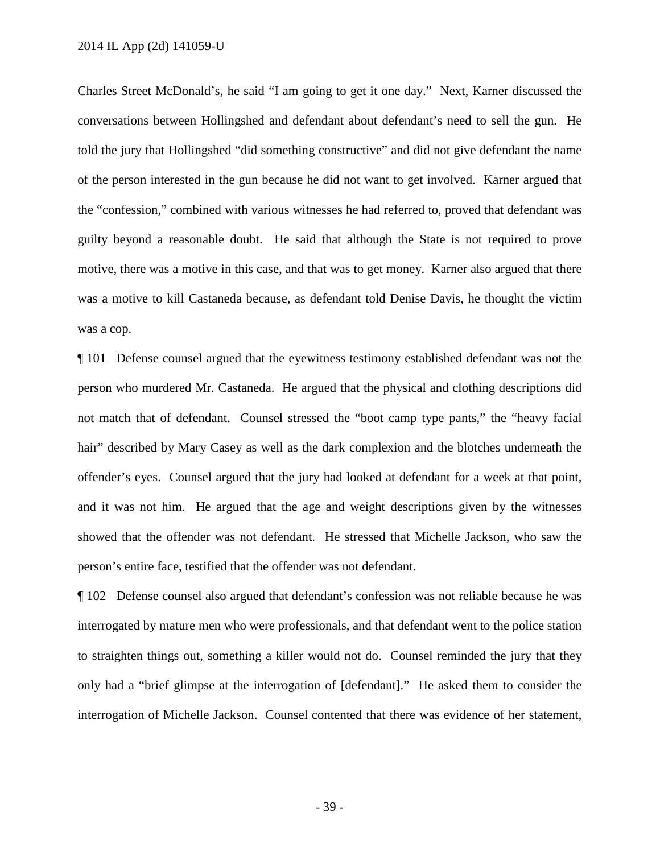Charles Street McDonald's, he said "I am going to get it one day." Next, Karner discussed the conversations between Hollingshed and defendant about defendant's need to sell the gun. He told the jury that Hollingshed "did something constructive" and did not give defendant the name of the person interested in the gun because he did not want to get involved. Karner argued that the "confession," combined with various witnesses he had referred to, proved that defendant was guilty beyond a reasonable doubt. He said that although the State is not required to prove motive, there was a motive in this case, and that was to get money. Karner also argued that there was a motive to kill Castaneda because, as defendant told Denise Davis, he thought the victim was a cop.

¶ 101 Defense counsel argued that the eyewitness testimony established defendant was not the person who murdered Mr. Castaneda. He argued that the physical and clothing descriptions did not match that of defendant. Counsel stressed the "boot camp type pants," the "heavy facial hair" described by Mary Casey as well as the dark complexion and the blotches underneath the offender's eyes. Counsel argued that the jury had looked at defendant for a week at that point, and it was not him. He argued that the age and weight descriptions given by the witnesses showed that the offender was not defendant. He stressed that Michelle Jackson, who saw the person's entire face, testified that the offender was not defendant.

¶ 102 Defense counsel also argued that defendant's confession was not reliable because he was interrogated by mature men who were professionals, and that defendant went to the police station to straighten things out, something a killer would not do. Counsel reminded the jury that they only had a "brief glimpse at the interrogation of [defendant]." He asked them to consider the interrogation of Michelle Jackson. Counsel contented that there was evidence of her statement,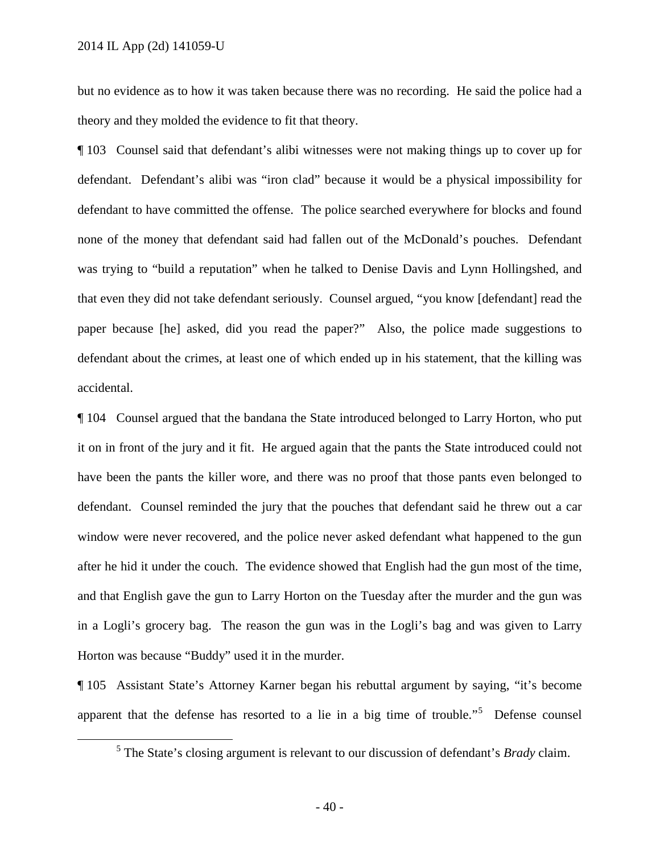but no evidence as to how it was taken because there was no recording. He said the police had a theory and they molded the evidence to fit that theory.

¶ 103 Counsel said that defendant's alibi witnesses were not making things up to cover up for defendant. Defendant's alibi was "iron clad" because it would be a physical impossibility for defendant to have committed the offense. The police searched everywhere for blocks and found none of the money that defendant said had fallen out of the McDonald's pouches. Defendant was trying to "build a reputation" when he talked to Denise Davis and Lynn Hollingshed, and that even they did not take defendant seriously. Counsel argued, "you know [defendant] read the paper because [he] asked, did you read the paper?" Also, the police made suggestions to defendant about the crimes, at least one of which ended up in his statement, that the killing was accidental.

¶ 104 Counsel argued that the bandana the State introduced belonged to Larry Horton, who put it on in front of the jury and it fit. He argued again that the pants the State introduced could not have been the pants the killer wore, and there was no proof that those pants even belonged to defendant. Counsel reminded the jury that the pouches that defendant said he threw out a car window were never recovered, and the police never asked defendant what happened to the gun after he hid it under the couch. The evidence showed that English had the gun most of the time, and that English gave the gun to Larry Horton on the Tuesday after the murder and the gun was in a Logli's grocery bag. The reason the gun was in the Logli's bag and was given to Larry Horton was because "Buddy" used it in the murder.

<span id="page-39-0"></span>¶ 105 Assistant State's Attorney Karner began his rebuttal argument by saying, "it's become apparent that the defense has resorted to a lie in a big time of trouble."<sup>[5](#page-39-0)</sup> Defense counsel

 <sup>5</sup> The State's closing argument is relevant to our discussion of defendant's *Brady* claim.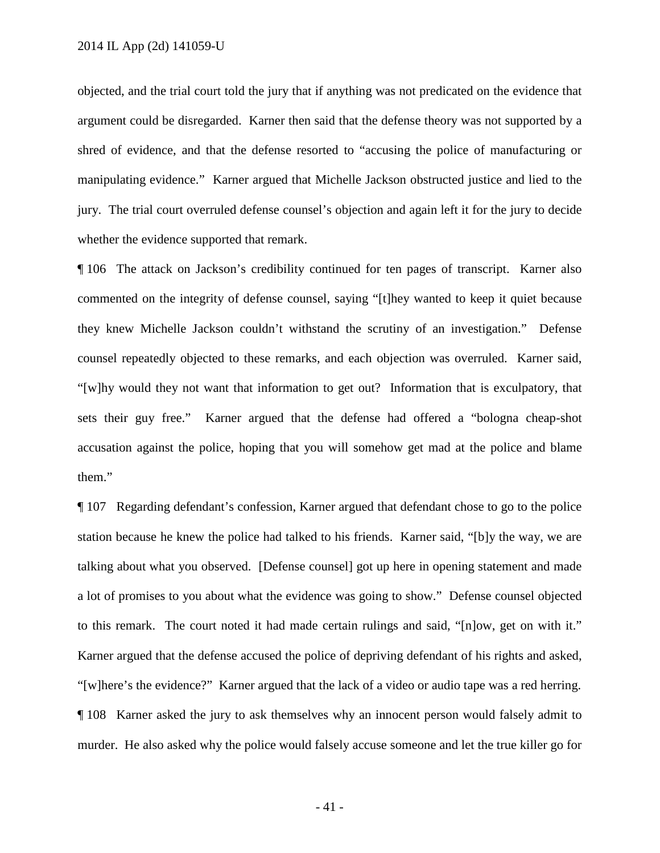objected, and the trial court told the jury that if anything was not predicated on the evidence that argument could be disregarded. Karner then said that the defense theory was not supported by a shred of evidence, and that the defense resorted to "accusing the police of manufacturing or manipulating evidence." Karner argued that Michelle Jackson obstructed justice and lied to the jury. The trial court overruled defense counsel's objection and again left it for the jury to decide whether the evidence supported that remark.

¶ 106 The attack on Jackson's credibility continued for ten pages of transcript. Karner also commented on the integrity of defense counsel, saying "[t]hey wanted to keep it quiet because they knew Michelle Jackson couldn't withstand the scrutiny of an investigation." Defense counsel repeatedly objected to these remarks, and each objection was overruled. Karner said, "[w]hy would they not want that information to get out? Information that is exculpatory, that sets their guy free." Karner argued that the defense had offered a "bologna cheap-shot accusation against the police, hoping that you will somehow get mad at the police and blame them."

¶ 107 Regarding defendant's confession, Karner argued that defendant chose to go to the police station because he knew the police had talked to his friends. Karner said, "[b]y the way, we are talking about what you observed. [Defense counsel] got up here in opening statement and made a lot of promises to you about what the evidence was going to show." Defense counsel objected to this remark. The court noted it had made certain rulings and said, "[n]ow, get on with it." Karner argued that the defense accused the police of depriving defendant of his rights and asked, "[w]here's the evidence?" Karner argued that the lack of a video or audio tape was a red herring. ¶ 108 Karner asked the jury to ask themselves why an innocent person would falsely admit to murder. He also asked why the police would falsely accuse someone and let the true killer go for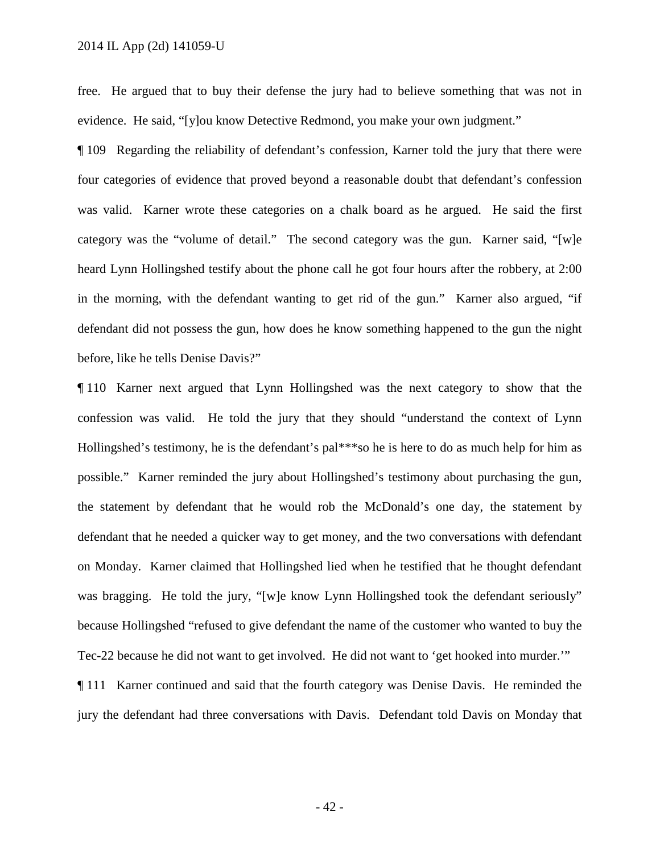free. He argued that to buy their defense the jury had to believe something that was not in evidence. He said, "[y]ou know Detective Redmond, you make your own judgment."

¶ 109 Regarding the reliability of defendant's confession, Karner told the jury that there were four categories of evidence that proved beyond a reasonable doubt that defendant's confession was valid. Karner wrote these categories on a chalk board as he argued. He said the first category was the "volume of detail." The second category was the gun. Karner said, "[w]e heard Lynn Hollingshed testify about the phone call he got four hours after the robbery, at 2:00 in the morning, with the defendant wanting to get rid of the gun." Karner also argued, "if defendant did not possess the gun, how does he know something happened to the gun the night before, like he tells Denise Davis?"

¶ 110 Karner next argued that Lynn Hollingshed was the next category to show that the confession was valid. He told the jury that they should "understand the context of Lynn Hollingshed's testimony, he is the defendant's pal\*\*\*so he is here to do as much help for him as possible." Karner reminded the jury about Hollingshed's testimony about purchasing the gun, the statement by defendant that he would rob the McDonald's one day, the statement by defendant that he needed a quicker way to get money, and the two conversations with defendant on Monday. Karner claimed that Hollingshed lied when he testified that he thought defendant was bragging. He told the jury, "[w]e know Lynn Hollingshed took the defendant seriously" because Hollingshed "refused to give defendant the name of the customer who wanted to buy the Tec-22 because he did not want to get involved. He did not want to 'get hooked into murder.'"

¶ 111 Karner continued and said that the fourth category was Denise Davis. He reminded the jury the defendant had three conversations with Davis. Defendant told Davis on Monday that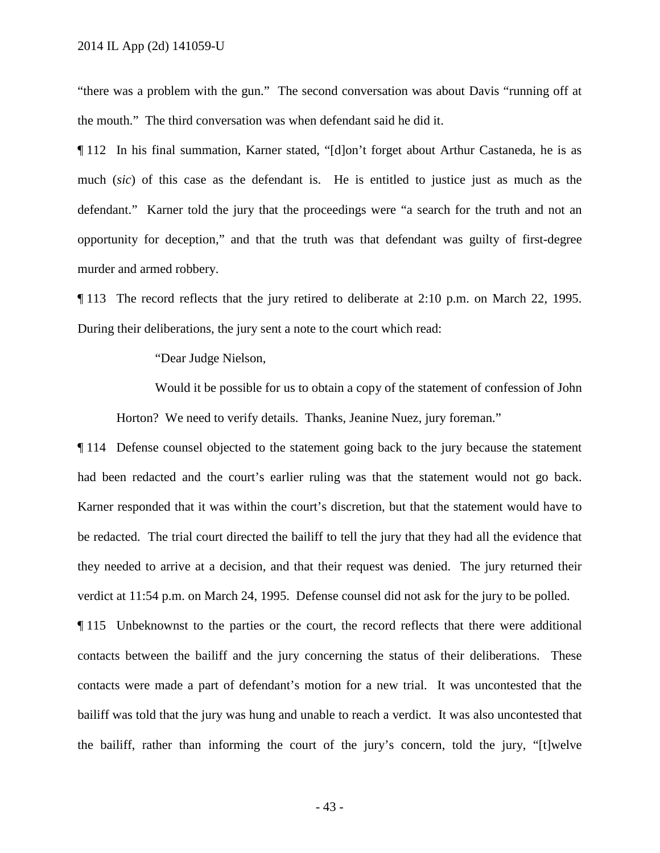"there was a problem with the gun." The second conversation was about Davis "running off at the mouth." The third conversation was when defendant said he did it.

¶ 112 In his final summation, Karner stated, "[d]on't forget about Arthur Castaneda, he is as much (*sic*) of this case as the defendant is. He is entitled to justice just as much as the defendant." Karner told the jury that the proceedings were "a search for the truth and not an opportunity for deception," and that the truth was that defendant was guilty of first-degree murder and armed robbery.

¶ 113 The record reflects that the jury retired to deliberate at 2:10 p.m. on March 22, 1995. During their deliberations, the jury sent a note to the court which read:

"Dear Judge Nielson,

Would it be possible for us to obtain a copy of the statement of confession of John Horton? We need to verify details. Thanks, Jeanine Nuez, jury foreman."

¶ 114 Defense counsel objected to the statement going back to the jury because the statement had been redacted and the court's earlier ruling was that the statement would not go back. Karner responded that it was within the court's discretion, but that the statement would have to be redacted. The trial court directed the bailiff to tell the jury that they had all the evidence that they needed to arrive at a decision, and that their request was denied. The jury returned their verdict at 11:54 p.m. on March 24, 1995. Defense counsel did not ask for the jury to be polled.

¶ 115 Unbeknownst to the parties or the court, the record reflects that there were additional contacts between the bailiff and the jury concerning the status of their deliberations. These contacts were made a part of defendant's motion for a new trial. It was uncontested that the bailiff was told that the jury was hung and unable to reach a verdict. It was also uncontested that the bailiff, rather than informing the court of the jury's concern, told the jury, "[t]welve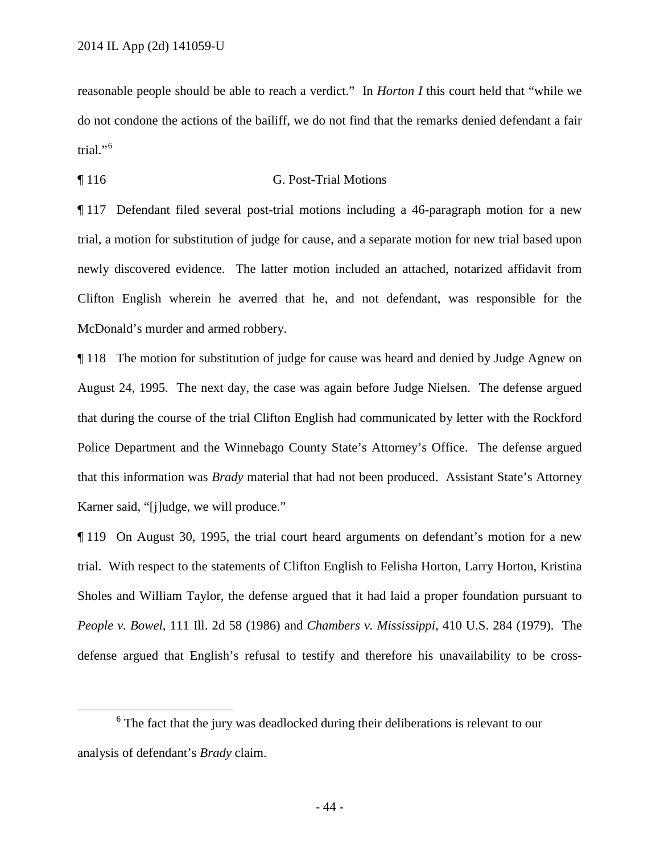reasonable people should be able to reach a verdict." In *Horton I* this court held that "while we do not condone the actions of the bailiff, we do not find that the remarks denied defendant a fair trial." $6$ 

## ¶ 116 G. Post-Trial Motions

¶ 117 Defendant filed several post-trial motions including a 46-paragraph motion for a new trial, a motion for substitution of judge for cause, and a separate motion for new trial based upon newly discovered evidence. The latter motion included an attached, notarized affidavit from Clifton English wherein he averred that he, and not defendant, was responsible for the McDonald's murder and armed robbery.

¶ 118 The motion for substitution of judge for cause was heard and denied by Judge Agnew on August 24, 1995. The next day, the case was again before Judge Nielsen. The defense argued that during the course of the trial Clifton English had communicated by letter with the Rockford Police Department and the Winnebago County State's Attorney's Office. The defense argued that this information was *Brady* material that had not been produced. Assistant State's Attorney Karner said, "[j]udge, we will produce."

¶ 119 On August 30, 1995, the trial court heard arguments on defendant's motion for a new trial. With respect to the statements of Clifton English to Felisha Horton, Larry Horton, Kristina Sholes and William Taylor, the defense argued that it had laid a proper foundation pursuant to *People v. Bowel*, 111 Ill. 2d 58 (1986) and *Chambers v. Mississippi*, 410 U.S. 284 (1979). The defense argued that English's refusal to testify and therefore his unavailability to be cross-

<span id="page-43-0"></span><sup>&</sup>lt;sup>6</sup> The fact that the jury was deadlocked during their deliberations is relevant to our analysis of defendant's *Brady* claim.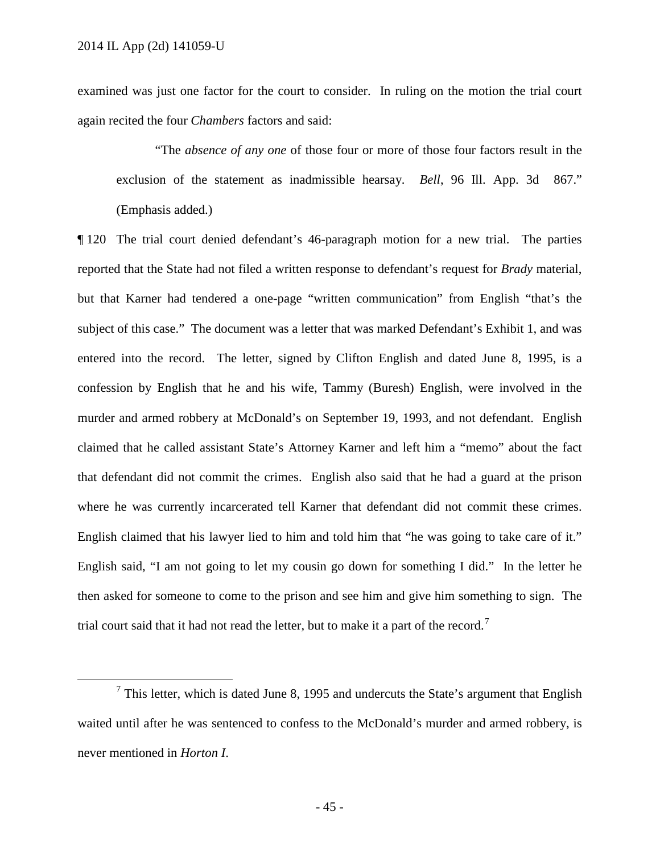examined was just one factor for the court to consider. In ruling on the motion the trial court again recited the four *Chambers* factors and said:

"The *absence of any one* of those four or more of those four factors result in the exclusion of the statement as inadmissible hearsay. *Bell*, 96 Ill. App. 3d 867." (Emphasis added.)

¶ 120 The trial court denied defendant's 46-paragraph motion for a new trial. The parties reported that the State had not filed a written response to defendant's request for *Brady* material, but that Karner had tendered a one-page "written communication" from English "that's the subject of this case." The document was a letter that was marked Defendant's Exhibit 1, and was entered into the record. The letter, signed by Clifton English and dated June 8, 1995, is a confession by English that he and his wife, Tammy (Buresh) English, were involved in the murder and armed robbery at McDonald's on September 19, 1993, and not defendant. English claimed that he called assistant State's Attorney Karner and left him a "memo" about the fact that defendant did not commit the crimes. English also said that he had a guard at the prison where he was currently incarcerated tell Karner that defendant did not commit these crimes. English claimed that his lawyer lied to him and told him that "he was going to take care of it." English said, "I am not going to let my cousin go down for something I did." In the letter he then asked for someone to come to the prison and see him and give him something to sign. The trial court said that it had not read the letter, but to make it a part of the record.<sup>[7](#page-44-0)</sup>

<span id="page-44-0"></span> $<sup>7</sup>$  This letter, which is dated June 8, 1995 and undercuts the State's argument that English</sup> waited until after he was sentenced to confess to the McDonald's murder and armed robbery, is never mentioned in *Horton I*.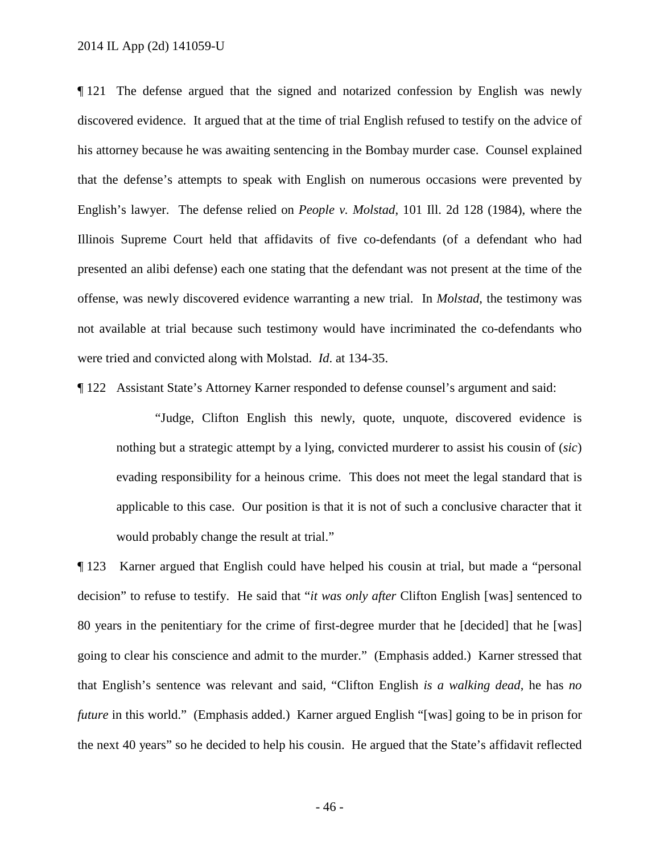2014 IL App (2d) 141059-U

¶ 121 The defense argued that the signed and notarized confession by English was newly discovered evidence. It argued that at the time of trial English refused to testify on the advice of his attorney because he was awaiting sentencing in the Bombay murder case. Counsel explained that the defense's attempts to speak with English on numerous occasions were prevented by English's lawyer. The defense relied on *People v. Molstad*, 101 Ill. 2d 128 (1984), where the Illinois Supreme Court held that affidavits of five co-defendants (of a defendant who had presented an alibi defense) each one stating that the defendant was not present at the time of the offense, was newly discovered evidence warranting a new trial. In *Molstad*, the testimony was not available at trial because such testimony would have incriminated the co-defendants who were tried and convicted along with Molstad. *Id*. at 134-35.

¶ 122 Assistant State's Attorney Karner responded to defense counsel's argument and said:

"Judge, Clifton English this newly, quote, unquote, discovered evidence is nothing but a strategic attempt by a lying, convicted murderer to assist his cousin of (*sic*) evading responsibility for a heinous crime. This does not meet the legal standard that is applicable to this case. Our position is that it is not of such a conclusive character that it would probably change the result at trial."

¶ 123 Karner argued that English could have helped his cousin at trial, but made a "personal decision" to refuse to testify. He said that "*it was only after* Clifton English [was] sentenced to 80 years in the penitentiary for the crime of first-degree murder that he [decided] that he [was] going to clear his conscience and admit to the murder." (Emphasis added.) Karner stressed that that English's sentence was relevant and said, "Clifton English *is a walking dead*, he has *no future* in this world." (Emphasis added.) Karner argued English "[was] going to be in prison for the next 40 years" so he decided to help his cousin. He argued that the State's affidavit reflected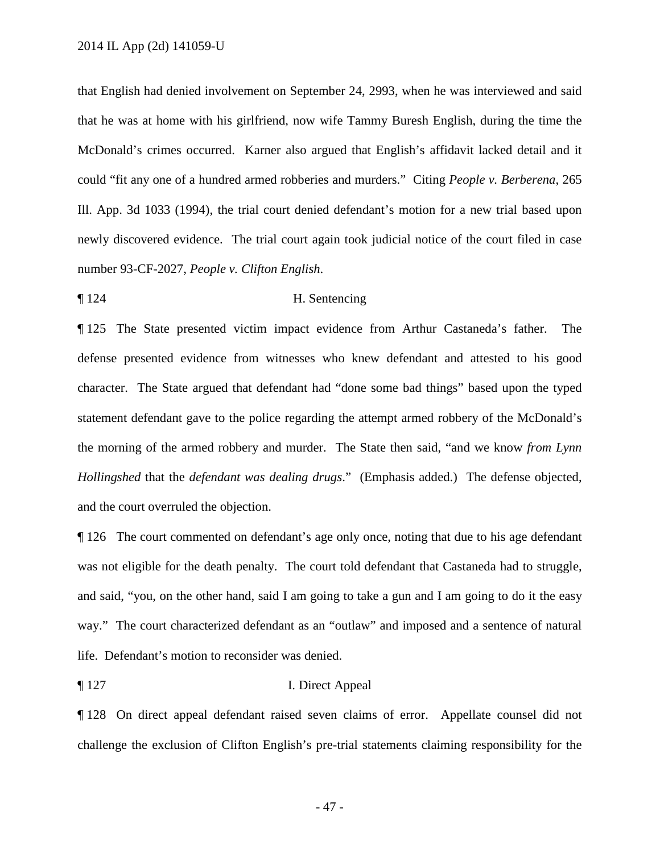that English had denied involvement on September 24, 2993, when he was interviewed and said that he was at home with his girlfriend, now wife Tammy Buresh English, during the time the McDonald's crimes occurred. Karner also argued that English's affidavit lacked detail and it could "fit any one of a hundred armed robberies and murders." Citing *People v. Berberena*, 265 Ill. App. 3d 1033 (1994), the trial court denied defendant's motion for a new trial based upon newly discovered evidence. The trial court again took judicial notice of the court filed in case number 93-CF-2027, *People v. Clifton English*.

## ¶ 124 H. Sentencing

¶ 125 The State presented victim impact evidence from Arthur Castaneda's father. The defense presented evidence from witnesses who knew defendant and attested to his good character. The State argued that defendant had "done some bad things" based upon the typed statement defendant gave to the police regarding the attempt armed robbery of the McDonald's the morning of the armed robbery and murder. The State then said, "and we know *from Lynn Hollingshed* that the *defendant was dealing drugs*." (Emphasis added.) The defense objected, and the court overruled the objection.

¶ 126 The court commented on defendant's age only once, noting that due to his age defendant was not eligible for the death penalty. The court told defendant that Castaneda had to struggle, and said, "you, on the other hand, said I am going to take a gun and I am going to do it the easy way." The court characterized defendant as an "outlaw" and imposed and a sentence of natural life. Defendant's motion to reconsider was denied.

# ¶ 127 I. Direct Appeal

¶ 128 On direct appeal defendant raised seven claims of error. Appellate counsel did not challenge the exclusion of Clifton English's pre-trial statements claiming responsibility for the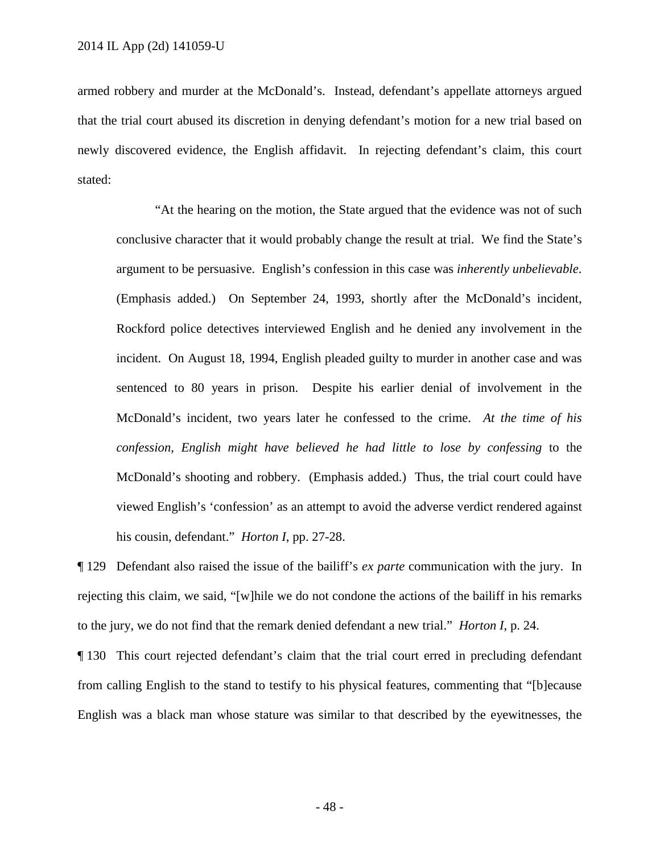armed robbery and murder at the McDonald's. Instead, defendant's appellate attorneys argued that the trial court abused its discretion in denying defendant's motion for a new trial based on newly discovered evidence, the English affidavit. In rejecting defendant's claim, this court stated:

"At the hearing on the motion, the State argued that the evidence was not of such conclusive character that it would probably change the result at trial. We find the State's argument to be persuasive. English's confession in this case was *inherently unbelievable*. (Emphasis added.) On September 24, 1993, shortly after the McDonald's incident, Rockford police detectives interviewed English and he denied any involvement in the incident. On August 18, 1994, English pleaded guilty to murder in another case and was sentenced to 80 years in prison. Despite his earlier denial of involvement in the McDonald's incident, two years later he confessed to the crime. *At the time of his confession, English might have believed he had little to lose by confessing* to the McDonald's shooting and robbery. (Emphasis added.) Thus, the trial court could have viewed English's 'confession' as an attempt to avoid the adverse verdict rendered against his cousin, defendant." *Horton I*, pp. 27-28.

¶ 129 Defendant also raised the issue of the bailiff's *ex parte* communication with the jury. In rejecting this claim, we said, "[w]hile we do not condone the actions of the bailiff in his remarks to the jury, we do not find that the remark denied defendant a new trial." *Horton I*, p. 24.

¶ 130 This court rejected defendant's claim that the trial court erred in precluding defendant from calling English to the stand to testify to his physical features, commenting that "[b]ecause English was a black man whose stature was similar to that described by the eyewitnesses, the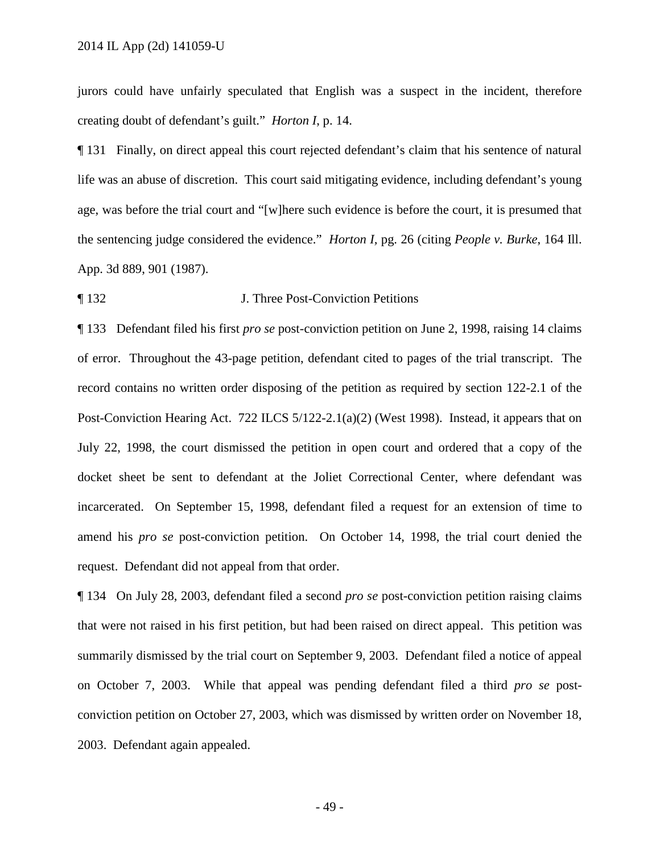jurors could have unfairly speculated that English was a suspect in the incident, therefore creating doubt of defendant's guilt." *Horton I*, p. 14.

¶ 131 Finally, on direct appeal this court rejected defendant's claim that his sentence of natural life was an abuse of discretion. This court said mitigating evidence, including defendant's young age, was before the trial court and "[w]here such evidence is before the court, it is presumed that the sentencing judge considered the evidence." *Horton I,* pg. 26 (citing *People v. Burke*, 164 Ill. App. 3d 889, 901 (1987).

#### ¶ 132 J. Three Post-Conviction Petitions

¶ 133 Defendant filed his first *pro se* post-conviction petition on June 2, 1998, raising 14 claims of error. Throughout the 43-page petition, defendant cited to pages of the trial transcript. The record contains no written order disposing of the petition as required by section 122-2.1 of the Post-Conviction Hearing Act. 722 ILCS 5/122-2.1(a)(2) (West 1998). Instead, it appears that on July 22, 1998, the court dismissed the petition in open court and ordered that a copy of the docket sheet be sent to defendant at the Joliet Correctional Center, where defendant was incarcerated. On September 15, 1998, defendant filed a request for an extension of time to amend his *pro se* post-conviction petition. On October 14, 1998, the trial court denied the request. Defendant did not appeal from that order.

¶ 134 On July 28, 2003, defendant filed a second *pro se* post-conviction petition raising claims that were not raised in his first petition, but had been raised on direct appeal. This petition was summarily dismissed by the trial court on September 9, 2003. Defendant filed a notice of appeal on October 7, 2003. While that appeal was pending defendant filed a third *pro se* postconviction petition on October 27, 2003, which was dismissed by written order on November 18, 2003. Defendant again appealed.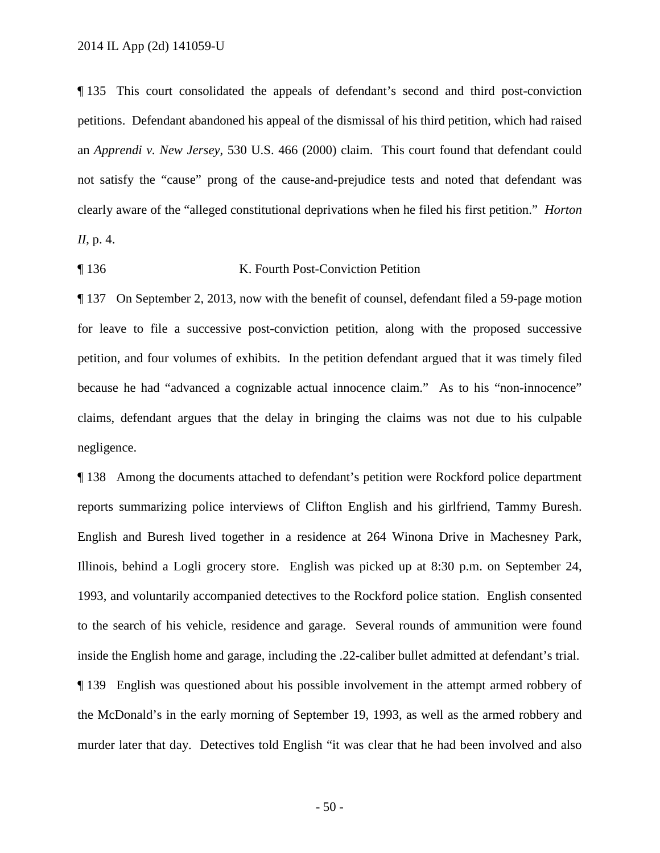¶ 135 This court consolidated the appeals of defendant's second and third post-conviction petitions. Defendant abandoned his appeal of the dismissal of his third petition, which had raised an *Apprendi v. New Jersey*, 530 U.S. 466 (2000) claim. This court found that defendant could not satisfy the "cause" prong of the cause-and-prejudice tests and noted that defendant was clearly aware of the "alleged constitutional deprivations when he filed his first petition." *Horton II*, p. 4.

## ¶ 136 K. Fourth Post-Conviction Petition

¶ 137 On September 2, 2013, now with the benefit of counsel, defendant filed a 59-page motion for leave to file a successive post-conviction petition, along with the proposed successive petition, and four volumes of exhibits. In the petition defendant argued that it was timely filed because he had "advanced a cognizable actual innocence claim." As to his "non-innocence" claims, defendant argues that the delay in bringing the claims was not due to his culpable negligence.

¶ 138 Among the documents attached to defendant's petition were Rockford police department reports summarizing police interviews of Clifton English and his girlfriend, Tammy Buresh. English and Buresh lived together in a residence at 264 Winona Drive in Machesney Park, Illinois, behind a Logli grocery store. English was picked up at 8:30 p.m. on September 24, 1993, and voluntarily accompanied detectives to the Rockford police station. English consented to the search of his vehicle, residence and garage. Several rounds of ammunition were found inside the English home and garage, including the .22-caliber bullet admitted at defendant's trial. ¶ 139 English was questioned about his possible involvement in the attempt armed robbery of the McDonald's in the early morning of September 19, 1993, as well as the armed robbery and murder later that day. Detectives told English "it was clear that he had been involved and also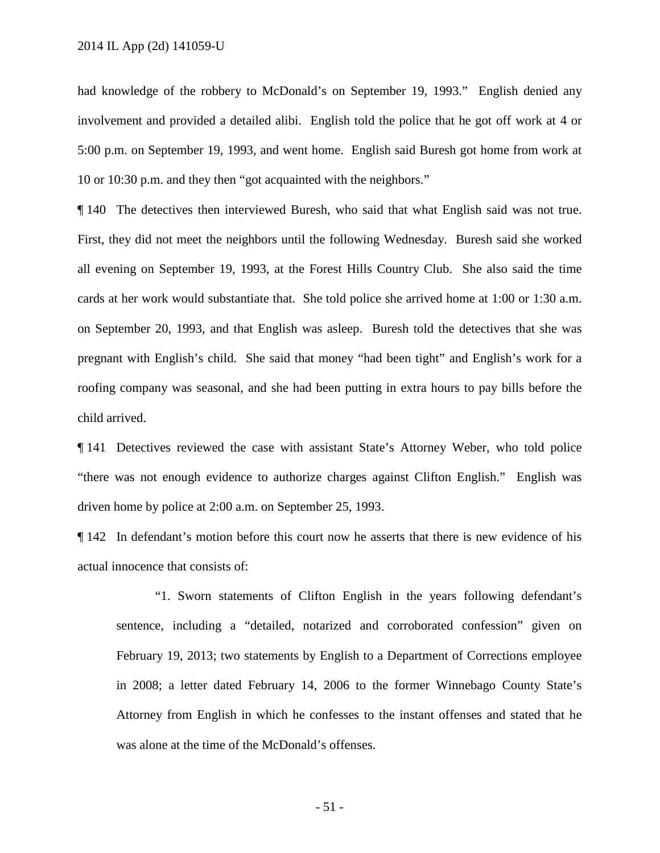had knowledge of the robbery to McDonald's on September 19, 1993." English denied any involvement and provided a detailed alibi. English told the police that he got off work at 4 or 5:00 p.m. on September 19, 1993, and went home. English said Buresh got home from work at 10 or 10:30 p.m. and they then "got acquainted with the neighbors."

¶ 140 The detectives then interviewed Buresh, who said that what English said was not true. First, they did not meet the neighbors until the following Wednesday. Buresh said she worked all evening on September 19, 1993, at the Forest Hills Country Club. She also said the time cards at her work would substantiate that. She told police she arrived home at 1:00 or 1:30 a.m. on September 20, 1993, and that English was asleep. Buresh told the detectives that she was pregnant with English's child. She said that money "had been tight" and English's work for a roofing company was seasonal, and she had been putting in extra hours to pay bills before the child arrived.

¶ 141 Detectives reviewed the case with assistant State's Attorney Weber, who told police "there was not enough evidence to authorize charges against Clifton English." English was driven home by police at 2:00 a.m. on September 25, 1993.

¶ 142 In defendant's motion before this court now he asserts that there is new evidence of his actual innocence that consists of:

"1. Sworn statements of Clifton English in the years following defendant's sentence, including a "detailed, notarized and corroborated confession" given on February 19, 2013; two statements by English to a Department of Corrections employee in 2008; a letter dated February 14, 2006 to the former Winnebago County State's Attorney from English in which he confesses to the instant offenses and stated that he was alone at the time of the McDonald's offenses.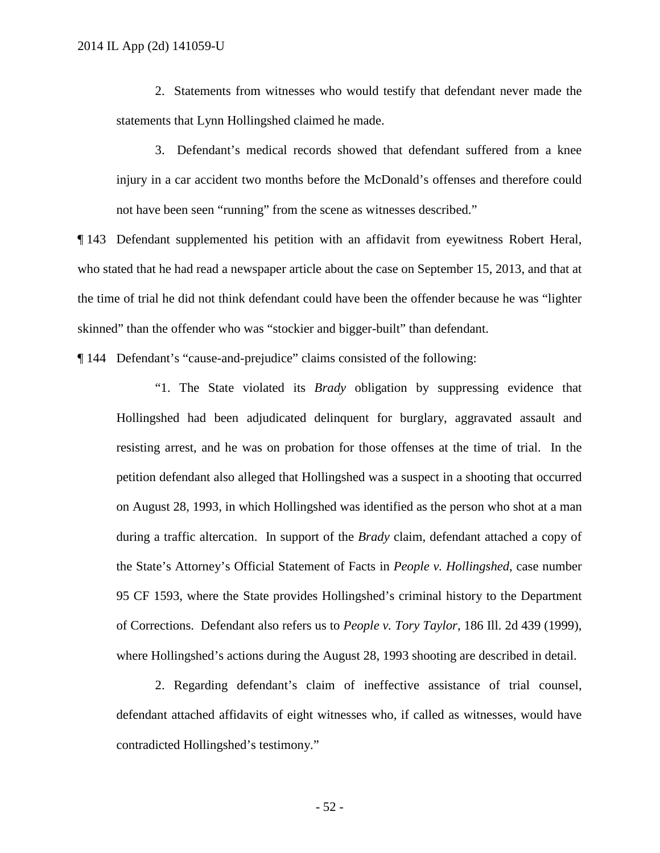2. Statements from witnesses who would testify that defendant never made the statements that Lynn Hollingshed claimed he made.

3. Defendant's medical records showed that defendant suffered from a knee injury in a car accident two months before the McDonald's offenses and therefore could not have been seen "running" from the scene as witnesses described."

¶ 143 Defendant supplemented his petition with an affidavit from eyewitness Robert Heral, who stated that he had read a newspaper article about the case on September 15, 2013, and that at the time of trial he did not think defendant could have been the offender because he was "lighter skinned" than the offender who was "stockier and bigger-built" than defendant.

¶ 144 Defendant's "cause-and-prejudice" claims consisted of the following:

"1. The State violated its *Brady* obligation by suppressing evidence that Hollingshed had been adjudicated delinquent for burglary, aggravated assault and resisting arrest, and he was on probation for those offenses at the time of trial. In the petition defendant also alleged that Hollingshed was a suspect in a shooting that occurred on August 28, 1993, in which Hollingshed was identified as the person who shot at a man during a traffic altercation. In support of the *Brady* claim, defendant attached a copy of the State's Attorney's Official Statement of Facts in *People v. Hollingshed*, case number 95 CF 1593, where the State provides Hollingshed's criminal history to the Department of Corrections. Defendant also refers us to *People v. Tory Taylor*, 186 Ill. 2d 439 (1999), where Hollingshed's actions during the August 28, 1993 shooting are described in detail.

2. Regarding defendant's claim of ineffective assistance of trial counsel, defendant attached affidavits of eight witnesses who, if called as witnesses, would have contradicted Hollingshed's testimony."

- 52 -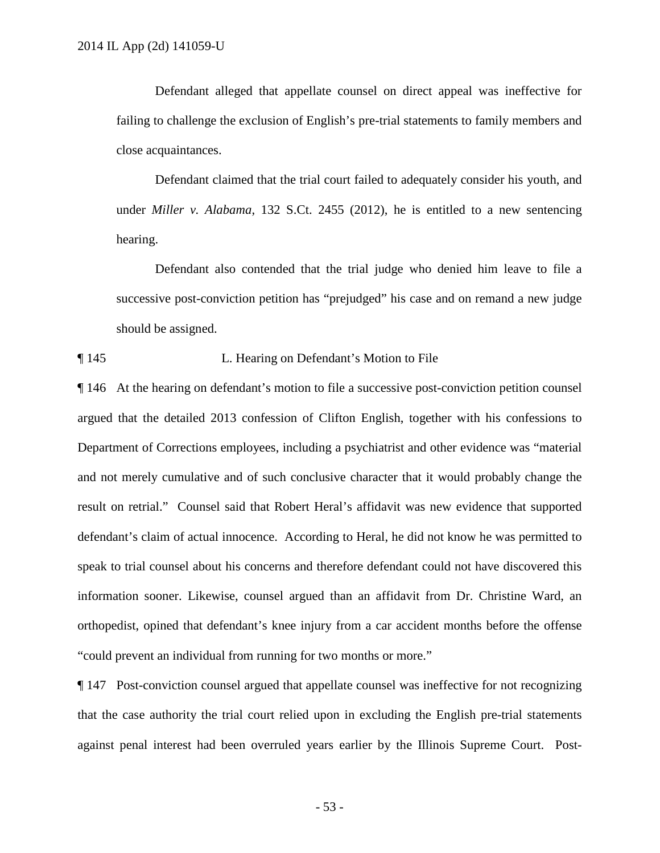Defendant alleged that appellate counsel on direct appeal was ineffective for failing to challenge the exclusion of English's pre-trial statements to family members and close acquaintances.

Defendant claimed that the trial court failed to adequately consider his youth, and under *Miller v. Alabama*, 132 S.Ct. 2455 (2012), he is entitled to a new sentencing hearing.

Defendant also contended that the trial judge who denied him leave to file a successive post-conviction petition has "prejudged" his case and on remand a new judge should be assigned.

¶ 145 L. Hearing on Defendant's Motion to File

¶ 146 At the hearing on defendant's motion to file a successive post-conviction petition counsel argued that the detailed 2013 confession of Clifton English, together with his confessions to Department of Corrections employees, including a psychiatrist and other evidence was "material and not merely cumulative and of such conclusive character that it would probably change the result on retrial." Counsel said that Robert Heral's affidavit was new evidence that supported defendant's claim of actual innocence. According to Heral, he did not know he was permitted to speak to trial counsel about his concerns and therefore defendant could not have discovered this information sooner. Likewise, counsel argued than an affidavit from Dr. Christine Ward, an orthopedist, opined that defendant's knee injury from a car accident months before the offense "could prevent an individual from running for two months or more."

¶ 147 Post-conviction counsel argued that appellate counsel was ineffective for not recognizing that the case authority the trial court relied upon in excluding the English pre-trial statements against penal interest had been overruled years earlier by the Illinois Supreme Court. Post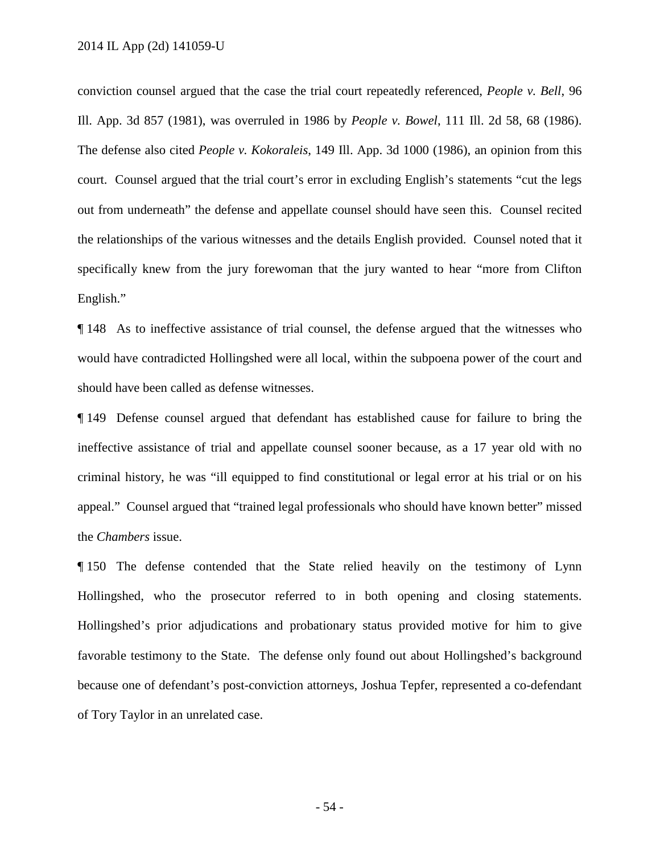conviction counsel argued that the case the trial court repeatedly referenced, *People v. Bell*, 96 Ill. App. 3d 857 (1981), was overruled in 1986 by *People v. Bowel*, 111 Ill. 2d 58, 68 (1986). The defense also cited *People v. Kokoraleis*, 149 Ill. App. 3d 1000 (1986), an opinion from this court. Counsel argued that the trial court's error in excluding English's statements "cut the legs out from underneath" the defense and appellate counsel should have seen this. Counsel recited the relationships of the various witnesses and the details English provided. Counsel noted that it specifically knew from the jury forewoman that the jury wanted to hear "more from Clifton English."

¶ 148 As to ineffective assistance of trial counsel, the defense argued that the witnesses who would have contradicted Hollingshed were all local, within the subpoena power of the court and should have been called as defense witnesses.

¶ 149 Defense counsel argued that defendant has established cause for failure to bring the ineffective assistance of trial and appellate counsel sooner because, as a 17 year old with no criminal history, he was "ill equipped to find constitutional or legal error at his trial or on his appeal." Counsel argued that "trained legal professionals who should have known better" missed the *Chambers* issue.

¶ 150 The defense contended that the State relied heavily on the testimony of Lynn Hollingshed, who the prosecutor referred to in both opening and closing statements. Hollingshed's prior adjudications and probationary status provided motive for him to give favorable testimony to the State. The defense only found out about Hollingshed's background because one of defendant's post-conviction attorneys, Joshua Tepfer, represented a co-defendant of Tory Taylor in an unrelated case.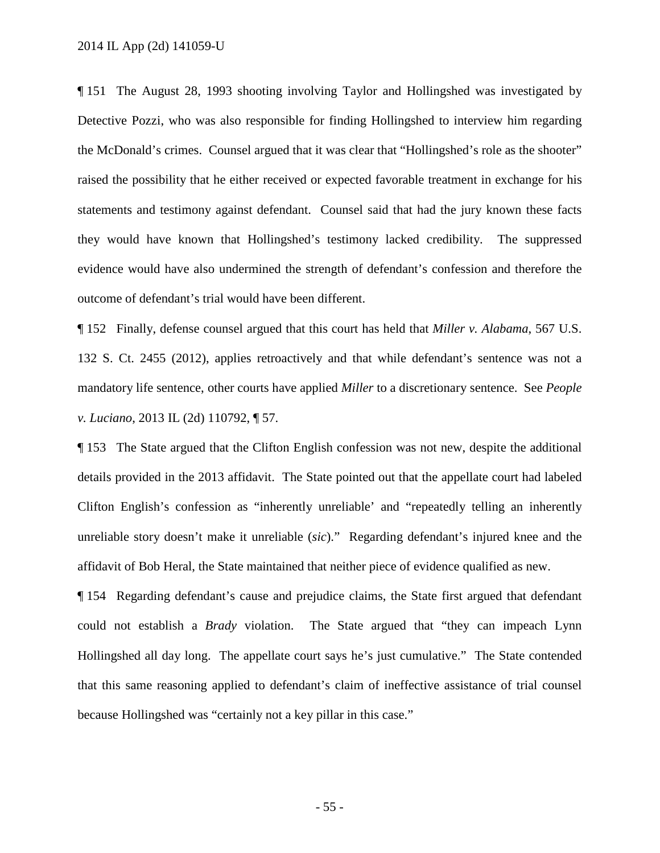¶ 151 The August 28, 1993 shooting involving Taylor and Hollingshed was investigated by Detective Pozzi, who was also responsible for finding Hollingshed to interview him regarding the McDonald's crimes. Counsel argued that it was clear that "Hollingshed's role as the shooter" raised the possibility that he either received or expected favorable treatment in exchange for his statements and testimony against defendant. Counsel said that had the jury known these facts they would have known that Hollingshed's testimony lacked credibility. The suppressed evidence would have also undermined the strength of defendant's confession and therefore the outcome of defendant's trial would have been different.

¶ 152 Finally, defense counsel argued that this court has held that *Miller v. Alabama*, 567 U.S. 132 S. Ct. 2455 (2012), applies retroactively and that while defendant's sentence was not a mandatory life sentence, other courts have applied *Miller* to a discretionary sentence. See *People v. Luciano*, 2013 IL (2d) 110792, ¶ 57.

¶ 153 The State argued that the Clifton English confession was not new, despite the additional details provided in the 2013 affidavit. The State pointed out that the appellate court had labeled Clifton English's confession as "inherently unreliable' and "repeatedly telling an inherently unreliable story doesn't make it unreliable (*sic*)." Regarding defendant's injured knee and the affidavit of Bob Heral, the State maintained that neither piece of evidence qualified as new.

¶ 154 Regarding defendant's cause and prejudice claims, the State first argued that defendant could not establish a *Brady* violation. The State argued that "they can impeach Lynn Hollingshed all day long. The appellate court says he's just cumulative." The State contended that this same reasoning applied to defendant's claim of ineffective assistance of trial counsel because Hollingshed was "certainly not a key pillar in this case."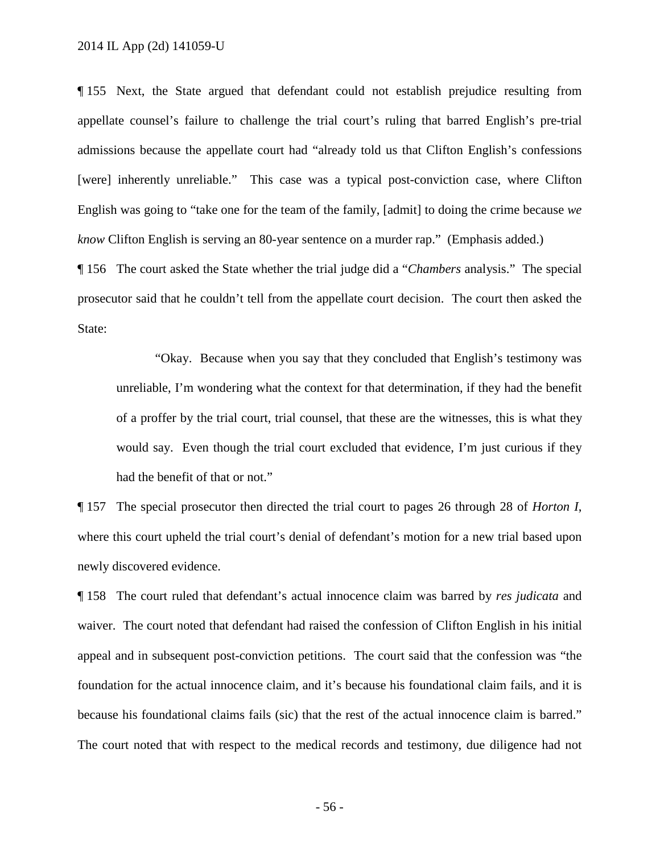¶ 155 Next, the State argued that defendant could not establish prejudice resulting from appellate counsel's failure to challenge the trial court's ruling that barred English's pre-trial admissions because the appellate court had "already told us that Clifton English's confessions [were] inherently unreliable." This case was a typical post-conviction case, where Clifton English was going to "take one for the team of the family, [admit] to doing the crime because *we know* Clifton English is serving an 80-year sentence on a murder rap." (Emphasis added.)

¶ 156 The court asked the State whether the trial judge did a "*Chambers* analysis." The special prosecutor said that he couldn't tell from the appellate court decision. The court then asked the State:

"Okay. Because when you say that they concluded that English's testimony was unreliable, I'm wondering what the context for that determination, if they had the benefit of a proffer by the trial court, trial counsel, that these are the witnesses, this is what they would say. Even though the trial court excluded that evidence, I'm just curious if they had the benefit of that or not."

¶ 157 The special prosecutor then directed the trial court to pages 26 through 28 of *Horton I*, where this court upheld the trial court's denial of defendant's motion for a new trial based upon newly discovered evidence.

¶ 158 The court ruled that defendant's actual innocence claim was barred by *res judicata* and waiver. The court noted that defendant had raised the confession of Clifton English in his initial appeal and in subsequent post-conviction petitions. The court said that the confession was "the foundation for the actual innocence claim, and it's because his foundational claim fails, and it is because his foundational claims fails (sic) that the rest of the actual innocence claim is barred." The court noted that with respect to the medical records and testimony, due diligence had not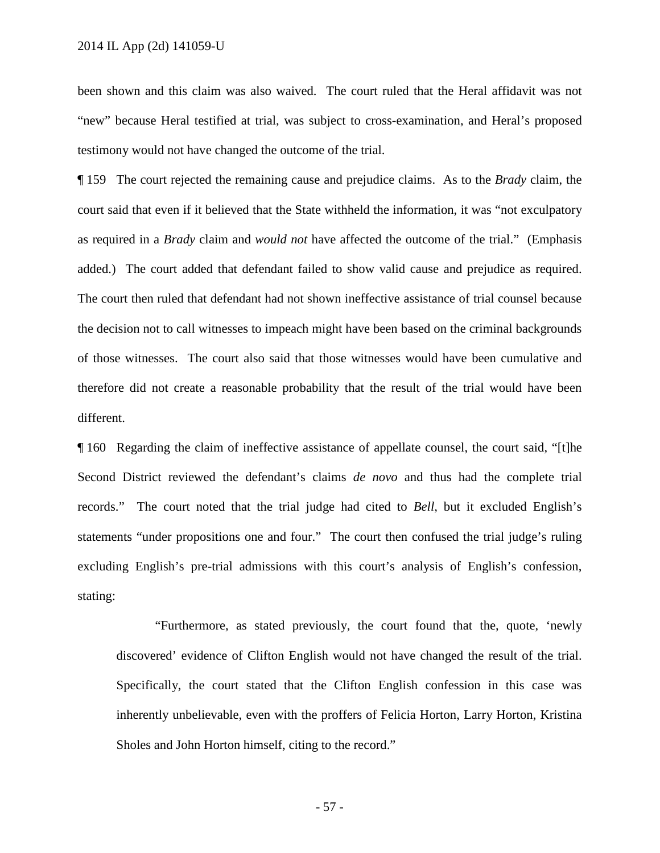been shown and this claim was also waived. The court ruled that the Heral affidavit was not "new" because Heral testified at trial, was subject to cross-examination, and Heral's proposed testimony would not have changed the outcome of the trial.

¶ 159 The court rejected the remaining cause and prejudice claims. As to the *Brady* claim, the court said that even if it believed that the State withheld the information, it was "not exculpatory as required in a *Brady* claim and *would not* have affected the outcome of the trial." (Emphasis added.) The court added that defendant failed to show valid cause and prejudice as required. The court then ruled that defendant had not shown ineffective assistance of trial counsel because the decision not to call witnesses to impeach might have been based on the criminal backgrounds of those witnesses. The court also said that those witnesses would have been cumulative and therefore did not create a reasonable probability that the result of the trial would have been different.

¶ 160 Regarding the claim of ineffective assistance of appellate counsel, the court said, "[t]he Second District reviewed the defendant's claims *de novo* and thus had the complete trial records." The court noted that the trial judge had cited to *Bell*, but it excluded English's statements "under propositions one and four." The court then confused the trial judge's ruling excluding English's pre-trial admissions with this court's analysis of English's confession, stating:

"Furthermore, as stated previously, the court found that the, quote, 'newly discovered' evidence of Clifton English would not have changed the result of the trial. Specifically, the court stated that the Clifton English confession in this case was inherently unbelievable, even with the proffers of Felicia Horton, Larry Horton, Kristina Sholes and John Horton himself, citing to the record."

- 57 -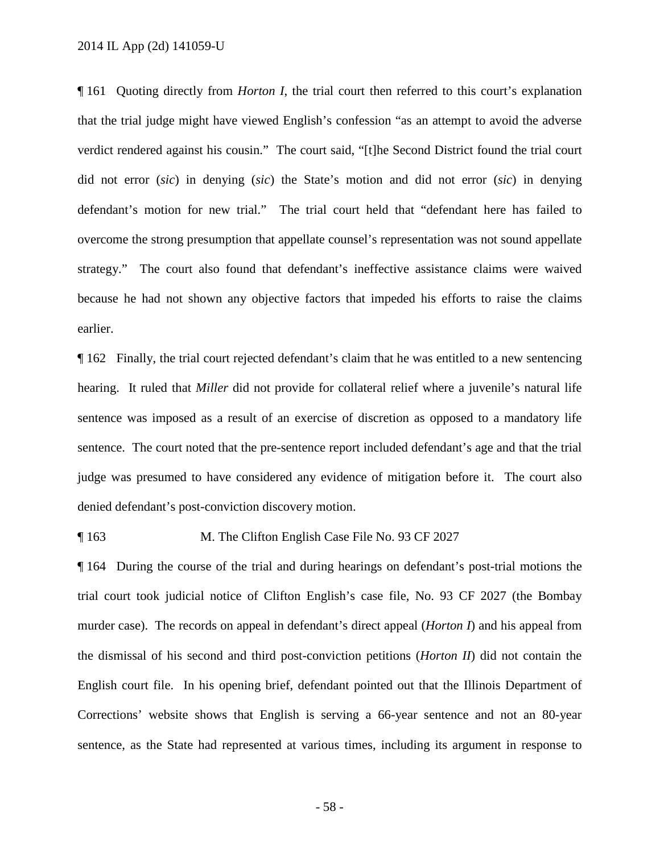¶ 161 Quoting directly from *Horton I*, the trial court then referred to this court's explanation that the trial judge might have viewed English's confession "as an attempt to avoid the adverse verdict rendered against his cousin." The court said, "[t]he Second District found the trial court did not error (*sic*) in denying (*sic*) the State's motion and did not error (*sic*) in denying defendant's motion for new trial." The trial court held that "defendant here has failed to overcome the strong presumption that appellate counsel's representation was not sound appellate strategy." The court also found that defendant's ineffective assistance claims were waived because he had not shown any objective factors that impeded his efforts to raise the claims earlier.

¶ 162 Finally, the trial court rejected defendant's claim that he was entitled to a new sentencing hearing. It ruled that *Miller* did not provide for collateral relief where a juvenile's natural life sentence was imposed as a result of an exercise of discretion as opposed to a mandatory life sentence. The court noted that the pre-sentence report included defendant's age and that the trial judge was presumed to have considered any evidence of mitigation before it. The court also denied defendant's post-conviction discovery motion.

#### ¶ 163 M. The Clifton English Case File No. 93 CF 2027

¶ 164 During the course of the trial and during hearings on defendant's post-trial motions the trial court took judicial notice of Clifton English's case file, No. 93 CF 2027 (the Bombay murder case). The records on appeal in defendant's direct appeal (*Horton I*) and his appeal from the dismissal of his second and third post-conviction petitions (*Horton II*) did not contain the English court file. In his opening brief, defendant pointed out that the Illinois Department of Corrections' website shows that English is serving a 66-year sentence and not an 80-year sentence, as the State had represented at various times, including its argument in response to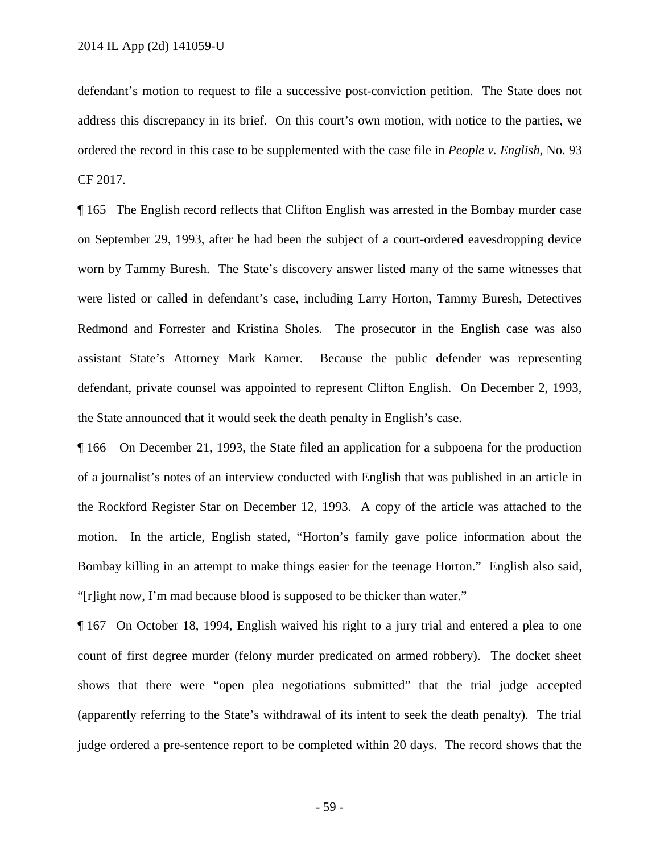defendant's motion to request to file a successive post-conviction petition. The State does not address this discrepancy in its brief. On this court's own motion, with notice to the parties, we ordered the record in this case to be supplemented with the case file in *People v. English*, No. 93 CF 2017.

¶ 165 The English record reflects that Clifton English was arrested in the Bombay murder case on September 29, 1993, after he had been the subject of a court-ordered eavesdropping device worn by Tammy Buresh. The State's discovery answer listed many of the same witnesses that were listed or called in defendant's case, including Larry Horton, Tammy Buresh, Detectives Redmond and Forrester and Kristina Sholes. The prosecutor in the English case was also assistant State's Attorney Mark Karner. Because the public defender was representing defendant, private counsel was appointed to represent Clifton English. On December 2, 1993, the State announced that it would seek the death penalty in English's case.

¶ 166 On December 21, 1993, the State filed an application for a subpoena for the production of a journalist's notes of an interview conducted with English that was published in an article in the Rockford Register Star on December 12, 1993. A copy of the article was attached to the motion. In the article, English stated, "Horton's family gave police information about the Bombay killing in an attempt to make things easier for the teenage Horton." English also said, "[r]ight now, I'm mad because blood is supposed to be thicker than water."

¶ 167 On October 18, 1994, English waived his right to a jury trial and entered a plea to one count of first degree murder (felony murder predicated on armed robbery). The docket sheet shows that there were "open plea negotiations submitted" that the trial judge accepted (apparently referring to the State's withdrawal of its intent to seek the death penalty). The trial judge ordered a pre-sentence report to be completed within 20 days. The record shows that the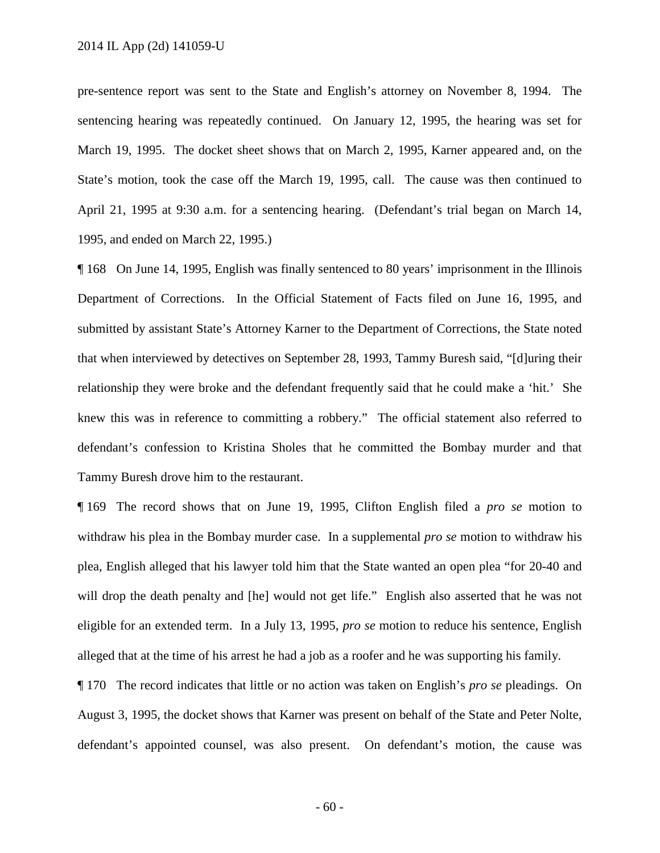pre-sentence report was sent to the State and English's attorney on November 8, 1994. The sentencing hearing was repeatedly continued. On January 12, 1995, the hearing was set for March 19, 1995. The docket sheet shows that on March 2, 1995, Karner appeared and, on the State's motion, took the case off the March 19, 1995, call. The cause was then continued to April 21, 1995 at 9:30 a.m. for a sentencing hearing. (Defendant's trial began on March 14, 1995, and ended on March 22, 1995.)

¶ 168 On June 14, 1995, English was finally sentenced to 80 years' imprisonment in the Illinois Department of Corrections. In the Official Statement of Facts filed on June 16, 1995, and submitted by assistant State's Attorney Karner to the Department of Corrections, the State noted that when interviewed by detectives on September 28, 1993, Tammy Buresh said, "[d]uring their relationship they were broke and the defendant frequently said that he could make a 'hit.' She knew this was in reference to committing a robbery." The official statement also referred to defendant's confession to Kristina Sholes that he committed the Bombay murder and that Tammy Buresh drove him to the restaurant.

¶ 169 The record shows that on June 19, 1995, Clifton English filed a *pro se* motion to withdraw his plea in the Bombay murder case. In a supplemental *pro se* motion to withdraw his plea, English alleged that his lawyer told him that the State wanted an open plea "for 20-40 and will drop the death penalty and [he] would not get life." English also asserted that he was not eligible for an extended term. In a July 13, 1995, *pro se* motion to reduce his sentence, English alleged that at the time of his arrest he had a job as a roofer and he was supporting his family.

¶ 170 The record indicates that little or no action was taken on English's *pro se* pleadings. On August 3, 1995, the docket shows that Karner was present on behalf of the State and Peter Nolte, defendant's appointed counsel, was also present. On defendant's motion, the cause was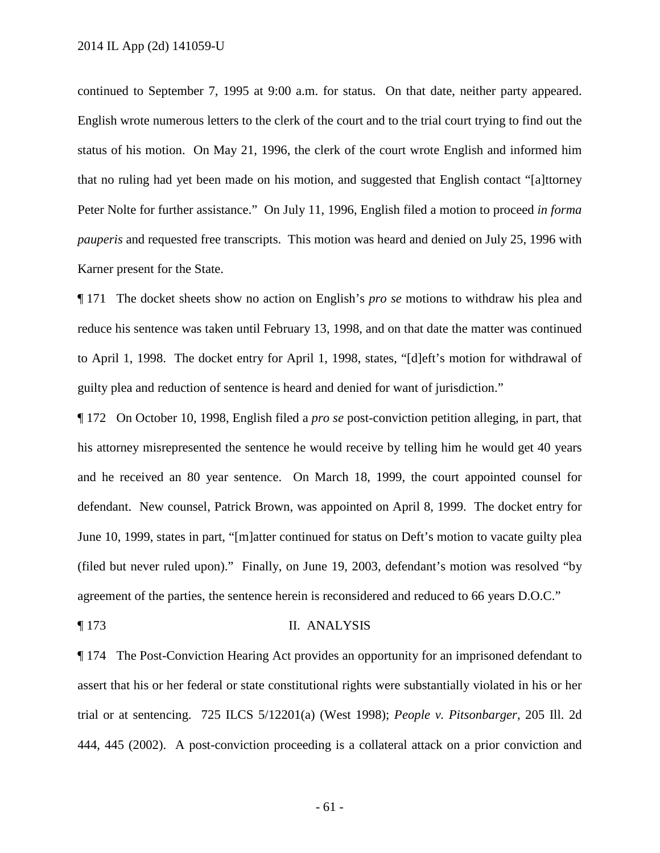continued to September 7, 1995 at 9:00 a.m. for status. On that date, neither party appeared. English wrote numerous letters to the clerk of the court and to the trial court trying to find out the status of his motion. On May 21, 1996, the clerk of the court wrote English and informed him that no ruling had yet been made on his motion, and suggested that English contact "[a]ttorney Peter Nolte for further assistance." On July 11, 1996, English filed a motion to proceed *in forma pauperis* and requested free transcripts. This motion was heard and denied on July 25, 1996 with Karner present for the State.

¶ 171 The docket sheets show no action on English's *pro se* motions to withdraw his plea and reduce his sentence was taken until February 13, 1998, and on that date the matter was continued to April 1, 1998. The docket entry for April 1, 1998, states, "[d]eft's motion for withdrawal of guilty plea and reduction of sentence is heard and denied for want of jurisdiction."

¶ 172 On October 10, 1998, English filed a *pro se* post-conviction petition alleging, in part, that his attorney misrepresented the sentence he would receive by telling him he would get 40 years and he received an 80 year sentence. On March 18, 1999, the court appointed counsel for defendant. New counsel, Patrick Brown, was appointed on April 8, 1999. The docket entry for June 10, 1999, states in part, "[m]atter continued for status on Deft's motion to vacate guilty plea (filed but never ruled upon)." Finally, on June 19, 2003, defendant's motion was resolved "by agreement of the parties, the sentence herein is reconsidered and reduced to 66 years D.O.C."

#### ¶ 173 II. ANALYSIS

¶ 174 The Post-Conviction Hearing Act provides an opportunity for an imprisoned defendant to assert that his or her federal or state constitutional rights were substantially violated in his or her trial or at sentencing. 725 ILCS 5/12201(a) (West 1998); *People v. Pitsonbarger*, 205 Ill. 2d 444, 445 (2002). A post-conviction proceeding is a collateral attack on a prior conviction and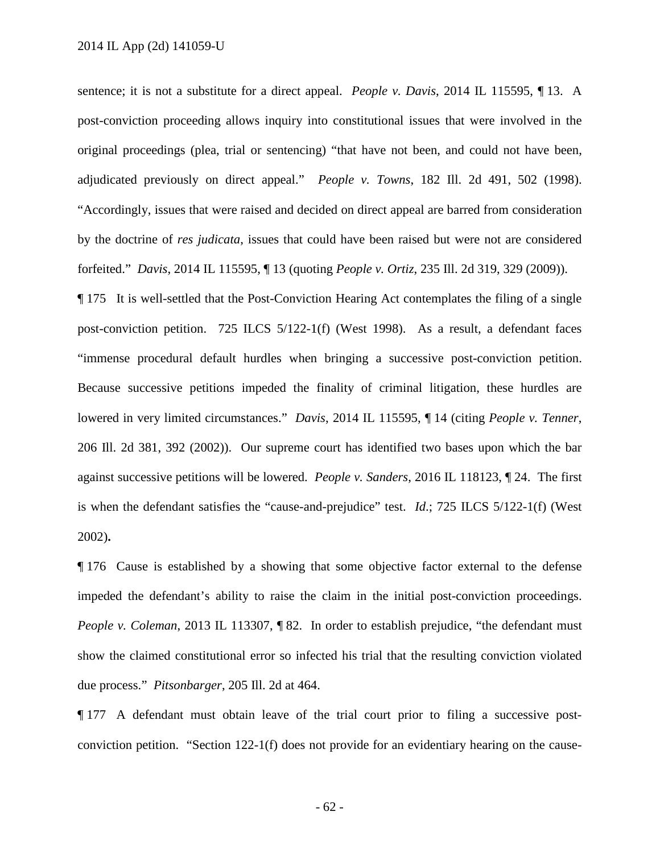sentence; it is not a substitute for a direct appeal. *People v. Davis*, 2014 IL 115595, ¶ 13. A post-conviction proceeding allows inquiry into constitutional issues that were involved in the original proceedings (plea, trial or sentencing) "that have not been, and could not have been, adjudicated previously on direct appeal." *People v. Towns*, 182 Ill. 2d 491, 502 (1998). "Accordingly, issues that were raised and decided on direct appeal are barred from consideration by the doctrine of *res judicata*, issues that could have been raised but were not are considered forfeited." *Davis*, 2014 IL 115595, ¶ 13 (quoting *People v. Ortiz*, 235 Ill. 2d 319, 329 (2009)).

¶ 175 It is well-settled that the Post-Conviction Hearing Act contemplates the filing of a single post-conviction petition. 725 ILCS 5/122-1(f) (West 1998). As a result, a defendant faces "immense procedural default hurdles when bringing a successive post-conviction petition. Because successive petitions impeded the finality of criminal litigation, these hurdles are lowered in very limited circumstances." *Davis*, 2014 IL 115595, ¶ 14 (citing *People v. Tenner*, 206 Ill. 2d 381, 392 (2002)). Our supreme court has identified two bases upon which the bar against successive petitions will be lowered. *People v. Sanders*, 2016 IL 118123, ¶ 24. The first is when the defendant satisfies the "cause-and-prejudice" test. *Id*.; 725 ILCS 5/122-1(f) (West 2002)**.**

¶ 176 Cause is established by a showing that some objective factor external to the defense impeded the defendant's ability to raise the claim in the initial post-conviction proceedings. *People v. Coleman*, 2013 IL 113307, ¶ 82. In order to establish prejudice, "the defendant must show the claimed constitutional error so infected his trial that the resulting conviction violated due process." *Pitsonbarger*, 205 Ill. 2d at 464.

¶ 177 A defendant must obtain leave of the trial court prior to filing a successive postconviction petition. "Section 122-1(f) does not provide for an evidentiary hearing on the cause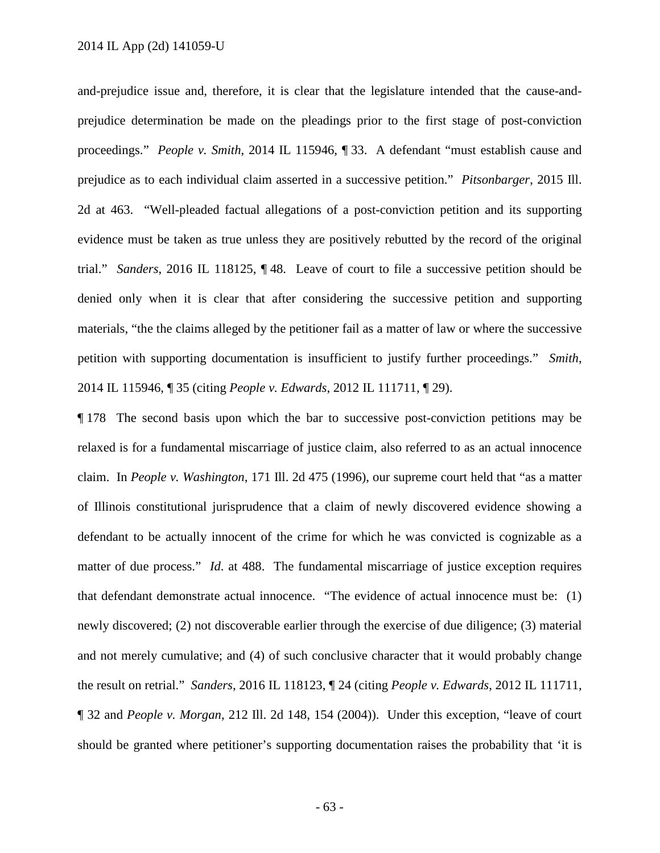and-prejudice issue and, therefore, it is clear that the legislature intended that the cause-andprejudice determination be made on the pleadings prior to the first stage of post-conviction proceedings." *People v. Smith*, 2014 IL 115946, ¶ 33. A defendant "must establish cause and prejudice as to each individual claim asserted in a successive petition." *Pitsonbarger*, 2015 Ill. 2d at 463. "Well-pleaded factual allegations of a post-conviction petition and its supporting evidence must be taken as true unless they are positively rebutted by the record of the original trial." *Sanders*, 2016 IL 118125, ¶ 48. Leave of court to file a successive petition should be denied only when it is clear that after considering the successive petition and supporting materials, "the the claims alleged by the petitioner fail as a matter of law or where the successive petition with supporting documentation is insufficient to justify further proceedings." *Smith*, 2014 IL 115946, ¶ 35 (citing *People v. Edwards*, 2012 IL 111711, ¶ 29).

¶ 178 The second basis upon which the bar to successive post-conviction petitions may be relaxed is for a fundamental miscarriage of justice claim, also referred to as an actual innocence claim. In *People v. Washington*, 171 Ill. 2d 475 (1996), our supreme court held that "as a matter of Illinois constitutional jurisprudence that a claim of newly discovered evidence showing a defendant to be actually innocent of the crime for which he was convicted is cognizable as a matter of due process." *Id.* at 488. The fundamental miscarriage of justice exception requires that defendant demonstrate actual innocence. "The evidence of actual innocence must be: (1) newly discovered; (2) not discoverable earlier through the exercise of due diligence; (3) material and not merely cumulative; and (4) of such conclusive character that it would probably change the result on retrial." *Sanders*, 2016 IL 118123, ¶ 24 (citing *People v. Edwards*, 2012 IL 111711, ¶ 32 and *People v. Morgan*, 212 Ill. 2d 148, 154 (2004)). Under this exception, "leave of court should be granted where petitioner's supporting documentation raises the probability that 'it is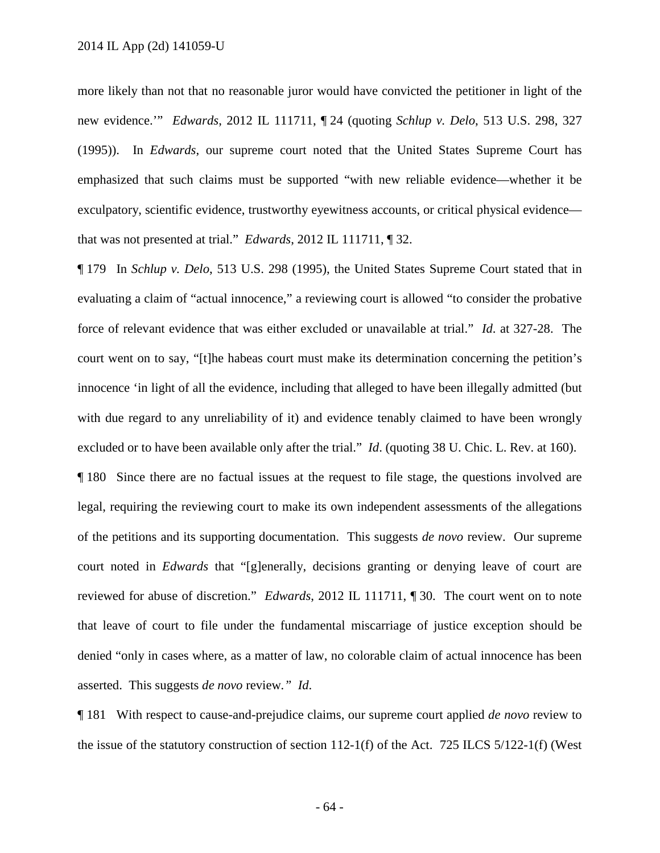more likely than not that no reasonable juror would have convicted the petitioner in light of the new evidence.'" *Edwards*, 2012 IL 111711, ¶ 24 (quoting *Schlup v. Delo*, 513 U.S. 298, 327 (1995)). In *Edwards*, our supreme court noted that the United States Supreme Court has emphasized that such claims must be supported "with new reliable evidence—whether it be exculpatory, scientific evidence, trustworthy eyewitness accounts, or critical physical evidence that was not presented at trial." *Edwards*, 2012 IL 111711, ¶ 32.

¶ 179 In *Schlup v. Delo*, 513 U.S. 298 (1995), the United States Supreme Court stated that in evaluating a claim of "actual innocence," a reviewing court is allowed "to consider the probative force of relevant evidence that was either excluded or unavailable at trial." *Id*. at 327-28. The court went on to say, "[t]he habeas court must make its determination concerning the petition's innocence 'in light of all the evidence, including that alleged to have been illegally admitted (but with due regard to any unreliability of it) and evidence tenably claimed to have been wrongly excluded or to have been available only after the trial." *Id*. (quoting 38 U. Chic. L. Rev. at 160).

¶ 180 Since there are no factual issues at the request to file stage, the questions involved are legal, requiring the reviewing court to make its own independent assessments of the allegations of the petitions and its supporting documentation. This suggests *de novo* review. Our supreme court noted in *Edwards* that "[g]enerally, decisions granting or denying leave of court are reviewed for abuse of discretion." *Edwards*, 2012 IL 111711, ¶ 30. The court went on to note that leave of court to file under the fundamental miscarriage of justice exception should be denied "only in cases where, as a matter of law, no colorable claim of actual innocence has been asserted. This suggests *de novo* review*." Id*.

¶ 181 With respect to cause-and-prejudice claims, our supreme court applied *de novo* review to the issue of the statutory construction of section 112-1(f) of the Act. 725 ILCS 5/122-1(f) (West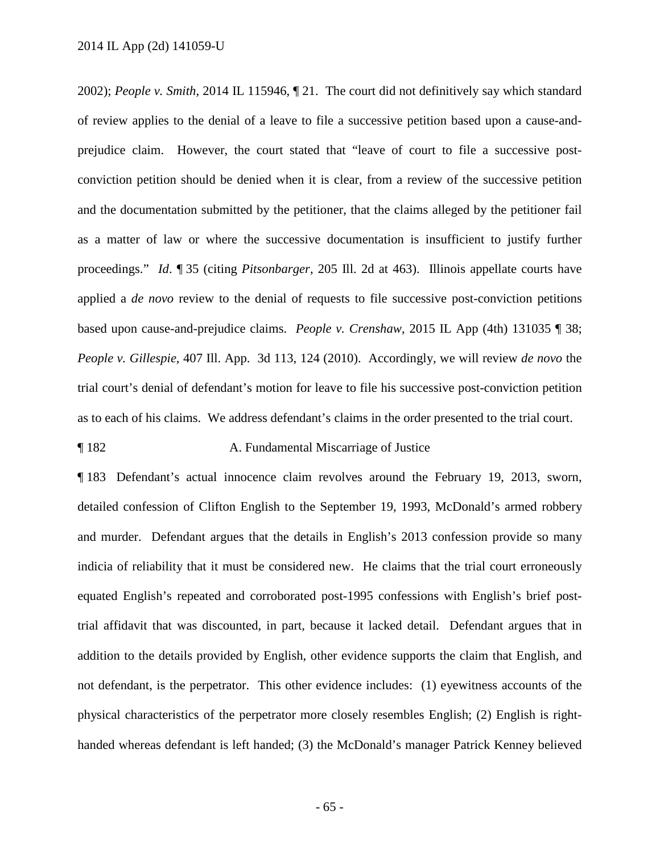2002); *People v. Smith*, 2014 IL 115946, ¶ 21. The court did not definitively say which standard of review applies to the denial of a leave to file a successive petition based upon a cause-andprejudice claim. However, the court stated that "leave of court to file a successive postconviction petition should be denied when it is clear, from a review of the successive petition and the documentation submitted by the petitioner, that the claims alleged by the petitioner fail as a matter of law or where the successive documentation is insufficient to justify further proceedings." *Id*. ¶ 35 (citing *Pitsonbarger*, 205 Ill. 2d at 463). Illinois appellate courts have applied a *de novo* review to the denial of requests to file successive post-conviction petitions based upon cause-and-prejudice claims. *People v. Crenshaw*, 2015 IL App (4th) 131035 ¶ 38; *People v. Gillespie*, 407 Ill. App. 3d 113, 124 (2010). Accordingly, we will review *de novo* the trial court's denial of defendant's motion for leave to file his successive post-conviction petition as to each of his claims. We address defendant's claims in the order presented to the trial court.

## ¶ 182 A. Fundamental Miscarriage of Justice

¶ 183 Defendant's actual innocence claim revolves around the February 19, 2013, sworn, detailed confession of Clifton English to the September 19, 1993, McDonald's armed robbery and murder. Defendant argues that the details in English's 2013 confession provide so many indicia of reliability that it must be considered new. He claims that the trial court erroneously equated English's repeated and corroborated post-1995 confessions with English's brief posttrial affidavit that was discounted, in part, because it lacked detail. Defendant argues that in addition to the details provided by English, other evidence supports the claim that English, and not defendant, is the perpetrator. This other evidence includes: (1) eyewitness accounts of the physical characteristics of the perpetrator more closely resembles English; (2) English is righthanded whereas defendant is left handed; (3) the McDonald's manager Patrick Kenney believed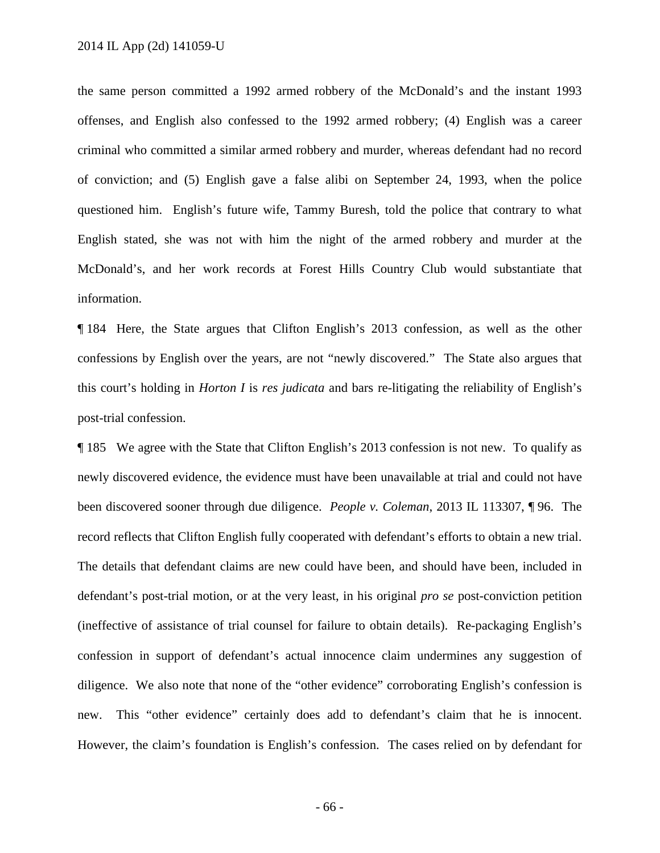the same person committed a 1992 armed robbery of the McDonald's and the instant 1993 offenses, and English also confessed to the 1992 armed robbery; (4) English was a career criminal who committed a similar armed robbery and murder, whereas defendant had no record of conviction; and (5) English gave a false alibi on September 24, 1993, when the police questioned him. English's future wife, Tammy Buresh, told the police that contrary to what English stated, she was not with him the night of the armed robbery and murder at the McDonald's, and her work records at Forest Hills Country Club would substantiate that information.

¶ 184 Here, the State argues that Clifton English's 2013 confession, as well as the other confessions by English over the years, are not "newly discovered." The State also argues that this court's holding in *Horton I* is *res judicata* and bars re-litigating the reliability of English's post-trial confession.

¶ 185 We agree with the State that Clifton English's 2013 confession is not new. To qualify as newly discovered evidence, the evidence must have been unavailable at trial and could not have been discovered sooner through due diligence. *People v. Coleman*, 2013 IL 113307, ¶ 96. The record reflects that Clifton English fully cooperated with defendant's efforts to obtain a new trial. The details that defendant claims are new could have been, and should have been, included in defendant's post-trial motion, or at the very least, in his original *pro se* post-conviction petition (ineffective of assistance of trial counsel for failure to obtain details). Re-packaging English's confession in support of defendant's actual innocence claim undermines any suggestion of diligence. We also note that none of the "other evidence" corroborating English's confession is new. This "other evidence" certainly does add to defendant's claim that he is innocent. However, the claim's foundation is English's confession. The cases relied on by defendant for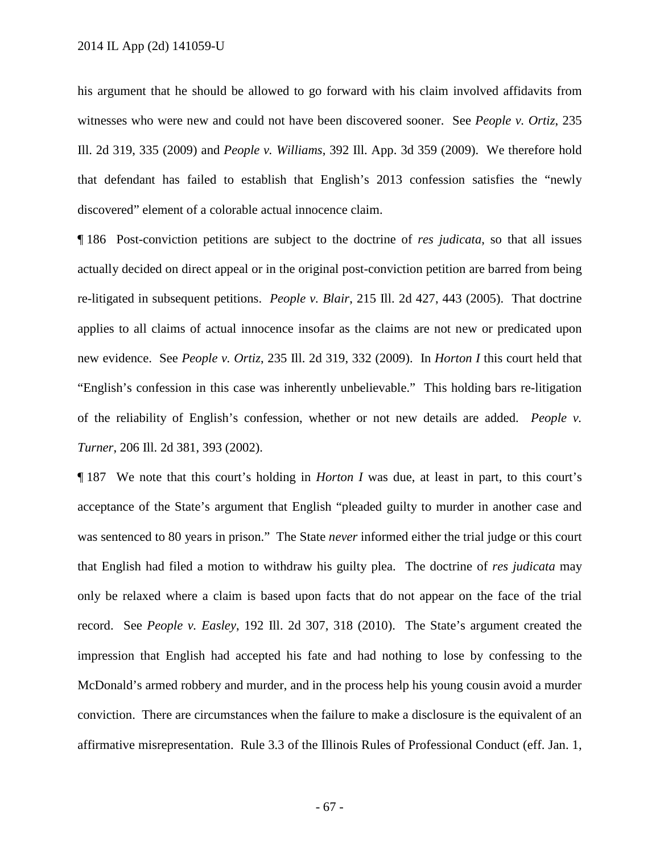his argument that he should be allowed to go forward with his claim involved affidavits from witnesses who were new and could not have been discovered sooner. See *People v. Ortiz*, 235 Ill. 2d 319, 335 (2009) and *People v. Williams*, 392 Ill. App. 3d 359 (2009). We therefore hold that defendant has failed to establish that English's 2013 confession satisfies the "newly discovered" element of a colorable actual innocence claim.

¶ 186 Post-conviction petitions are subject to the doctrine of *res judicata*, so that all issues actually decided on direct appeal or in the original post-conviction petition are barred from being re-litigated in subsequent petitions. *People v. Blair*, 215 Ill. 2d 427, 443 (2005). That doctrine applies to all claims of actual innocence insofar as the claims are not new or predicated upon new evidence. See *People v. Ortiz*, 235 Ill. 2d 319, 332 (2009). In *Horton I* this court held that "English's confession in this case was inherently unbelievable." This holding bars re-litigation of the reliability of English's confession, whether or not new details are added. *People v. Turner*, 206 Ill. 2d 381, 393 (2002).

¶ 187 We note that this court's holding in *Horton I* was due, at least in part, to this court's acceptance of the State's argument that English "pleaded guilty to murder in another case and was sentenced to 80 years in prison." The State *never* informed either the trial judge or this court that English had filed a motion to withdraw his guilty plea. The doctrine of *res judicata* may only be relaxed where a claim is based upon facts that do not appear on the face of the trial record. See *People v. Easley*, 192 Ill. 2d 307, 318 (2010). The State's argument created the impression that English had accepted his fate and had nothing to lose by confessing to the McDonald's armed robbery and murder, and in the process help his young cousin avoid a murder conviction. There are circumstances when the failure to make a disclosure is the equivalent of an affirmative misrepresentation. Rule 3.3 of the Illinois Rules of Professional Conduct (eff. Jan. 1,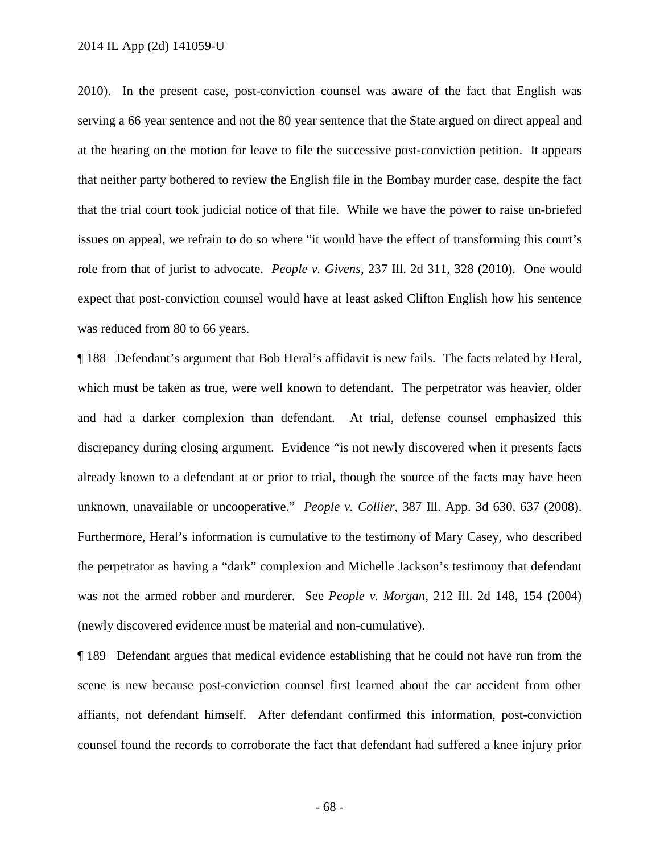#### 2014 IL App (2d) 141059-U

2010). In the present case, post-conviction counsel was aware of the fact that English was serving a 66 year sentence and not the 80 year sentence that the State argued on direct appeal and at the hearing on the motion for leave to file the successive post-conviction petition. It appears that neither party bothered to review the English file in the Bombay murder case, despite the fact that the trial court took judicial notice of that file. While we have the power to raise un-briefed issues on appeal, we refrain to do so where "it would have the effect of transforming this court's role from that of jurist to advocate. *People v. Givens*, 237 Ill. 2d 311, 328 (2010). One would expect that post-conviction counsel would have at least asked Clifton English how his sentence was reduced from 80 to 66 years.

¶ 188 Defendant's argument that Bob Heral's affidavit is new fails. The facts related by Heral, which must be taken as true, were well known to defendant. The perpetrator was heavier, older and had a darker complexion than defendant. At trial, defense counsel emphasized this discrepancy during closing argument. Evidence "is not newly discovered when it presents facts already known to a defendant at or prior to trial, though the source of the facts may have been unknown, unavailable or uncooperative." *People v. Collier*, 387 Ill. App. 3d 630, 637 (2008). Furthermore, Heral's information is cumulative to the testimony of Mary Casey, who described the perpetrator as having a "dark" complexion and Michelle Jackson's testimony that defendant was not the armed robber and murderer. See *People v. Morgan*, 212 Ill. 2d 148, 154 (2004) (newly discovered evidence must be material and non-cumulative).

¶ 189 Defendant argues that medical evidence establishing that he could not have run from the scene is new because post-conviction counsel first learned about the car accident from other affiants, not defendant himself. After defendant confirmed this information, post-conviction counsel found the records to corroborate the fact that defendant had suffered a knee injury prior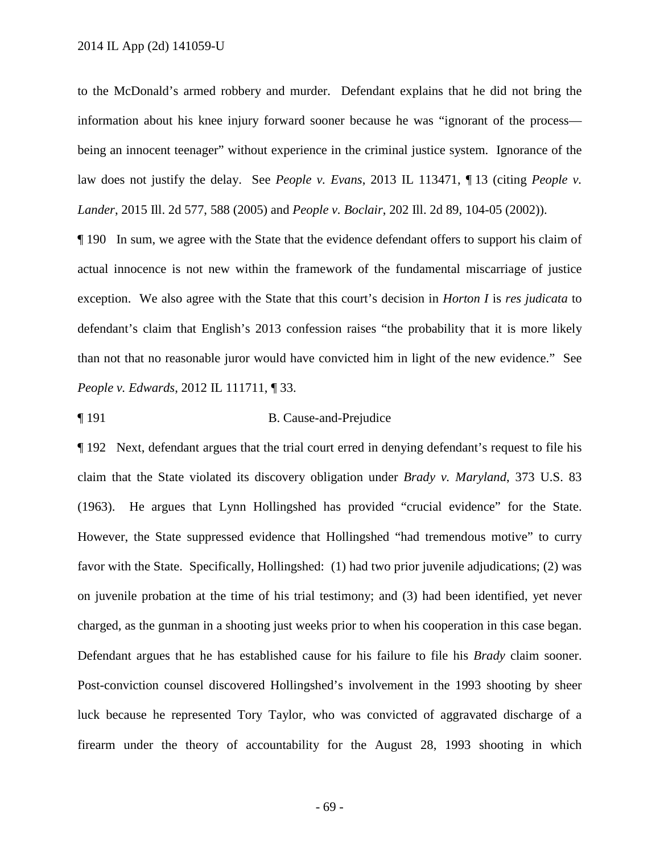2014 IL App (2d) 141059-U

to the McDonald's armed robbery and murder. Defendant explains that he did not bring the information about his knee injury forward sooner because he was "ignorant of the process being an innocent teenager" without experience in the criminal justice system. Ignorance of the law does not justify the delay. See *People v. Evans*, 2013 IL 113471, ¶ 13 (citing *People v. Lander*, 2015 Ill. 2d 577, 588 (2005) and *People v. Boclair*, 202 Ill. 2d 89, 104-05 (2002)).

¶ 190 In sum, we agree with the State that the evidence defendant offers to support his claim of actual innocence is not new within the framework of the fundamental miscarriage of justice exception. We also agree with the State that this court's decision in *Horton I* is *res judicata* to defendant's claim that English's 2013 confession raises "the probability that it is more likely than not that no reasonable juror would have convicted him in light of the new evidence." See *People v. Edwards*, 2012 IL 111711, ¶ 33.

¶ 191 B. Cause-and-Prejudice

¶ 192 Next, defendant argues that the trial court erred in denying defendant's request to file his claim that the State violated its discovery obligation under *Brady v. Maryland*, 373 U.S. 83 (1963). He argues that Lynn Hollingshed has provided "crucial evidence" for the State. However, the State suppressed evidence that Hollingshed "had tremendous motive" to curry favor with the State. Specifically, Hollingshed: (1) had two prior juvenile adjudications; (2) was on juvenile probation at the time of his trial testimony; and (3) had been identified, yet never charged, as the gunman in a shooting just weeks prior to when his cooperation in this case began. Defendant argues that he has established cause for his failure to file his *Brady* claim sooner. Post-conviction counsel discovered Hollingshed's involvement in the 1993 shooting by sheer luck because he represented Tory Taylor, who was convicted of aggravated discharge of a firearm under the theory of accountability for the August 28, 1993 shooting in which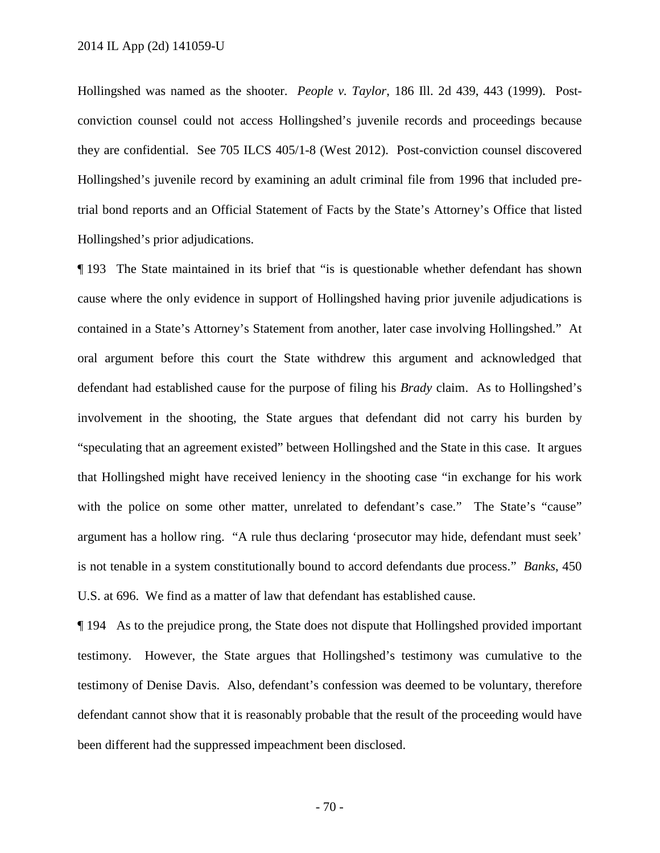Hollingshed was named as the shooter. *People v. Taylor*, 186 Ill. 2d 439, 443 (1999). Postconviction counsel could not access Hollingshed's juvenile records and proceedings because they are confidential. See 705 ILCS 405/1-8 (West 2012). Post-conviction counsel discovered Hollingshed's juvenile record by examining an adult criminal file from 1996 that included pretrial bond reports and an Official Statement of Facts by the State's Attorney's Office that listed Hollingshed's prior adjudications.

¶ 193 The State maintained in its brief that "is is questionable whether defendant has shown cause where the only evidence in support of Hollingshed having prior juvenile adjudications is contained in a State's Attorney's Statement from another, later case involving Hollingshed." At oral argument before this court the State withdrew this argument and acknowledged that defendant had established cause for the purpose of filing his *Brady* claim. As to Hollingshed's involvement in the shooting, the State argues that defendant did not carry his burden by "speculating that an agreement existed" between Hollingshed and the State in this case. It argues that Hollingshed might have received leniency in the shooting case "in exchange for his work with the police on some other matter, unrelated to defendant's case." The State's "cause" argument has a hollow ring. "A rule thus declaring 'prosecutor may hide, defendant must seek' is not tenable in a system constitutionally bound to accord defendants due process." *Banks*, 450 U.S. at 696. We find as a matter of law that defendant has established cause.

¶ 194 As to the prejudice prong, the State does not dispute that Hollingshed provided important testimony. However, the State argues that Hollingshed's testimony was cumulative to the testimony of Denise Davis. Also, defendant's confession was deemed to be voluntary, therefore defendant cannot show that it is reasonably probable that the result of the proceeding would have been different had the suppressed impeachment been disclosed.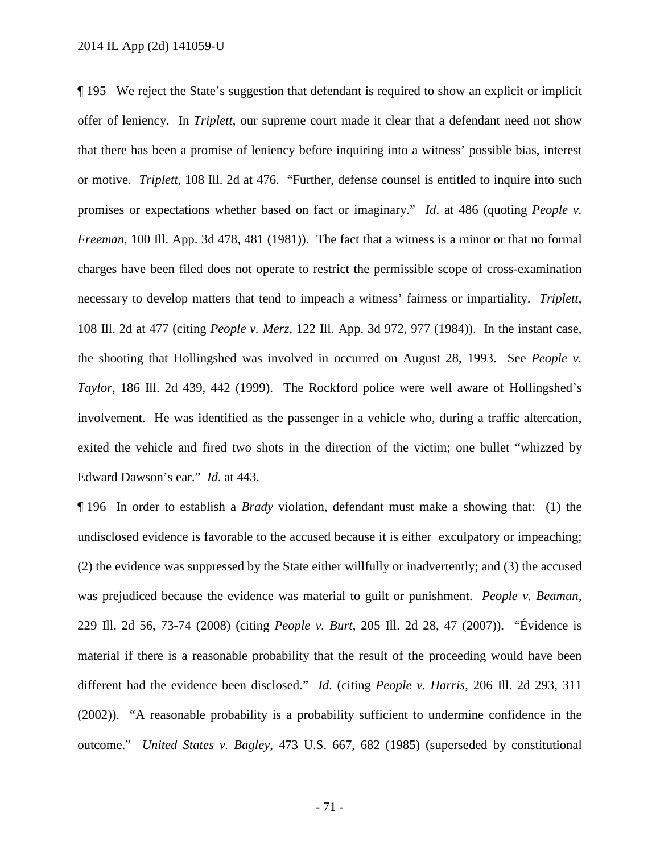¶ 195 We reject the State's suggestion that defendant is required to show an explicit or implicit offer of leniency. In *Triplett*, our supreme court made it clear that a defendant need not show that there has been a promise of leniency before inquiring into a witness' possible bias, interest or motive. *Triplett*, 108 Ill. 2d at 476. "Further, defense counsel is entitled to inquire into such promises or expectations whether based on fact or imaginary." *Id*. at 486 (quoting *People v. Freeman*, 100 Ill. App. 3d 478, 481 (1981)). The fact that a witness is a minor or that no formal charges have been filed does not operate to restrict the permissible scope of cross-examination necessary to develop matters that tend to impeach a witness' fairness or impartiality. *Triplett*, 108 Ill. 2d at 477 (citing *People v. Merz*, 122 Ill. App. 3d 972, 977 (1984)). In the instant case, the shooting that Hollingshed was involved in occurred on August 28, 1993. See *People v. Taylor*, 186 Ill. 2d 439, 442 (1999). The Rockford police were well aware of Hollingshed's involvement. He was identified as the passenger in a vehicle who, during a traffic altercation, exited the vehicle and fired two shots in the direction of the victim; one bullet "whizzed by Edward Dawson's ear." *Id*. at 443.

¶ 196 In order to establish a *Brady* violation, defendant must make a showing that: (1) the undisclosed evidence is favorable to the accused because it is either exculpatory or impeaching; (2) the evidence was suppressed by the State either willfully or inadvertently; and (3) the accused was prejudiced because the evidence was material to guilt or punishment. *People v. Beaman*, 229 Ill. 2d 56, 73-74 (2008) (citing *People v. Burt*, 205 Ill. 2d 28, 47 (2007)). "Évidence is material if there is a reasonable probability that the result of the proceeding would have been different had the evidence been disclosed." *Id*. (citing *People v. Harris*, 206 Ill. 2d 293, 311 (2002)). "A reasonable probability is a probability sufficient to undermine confidence in the outcome." *United States v. Bagley*, 473 U.S. 667, 682 (1985) (superseded by constitutional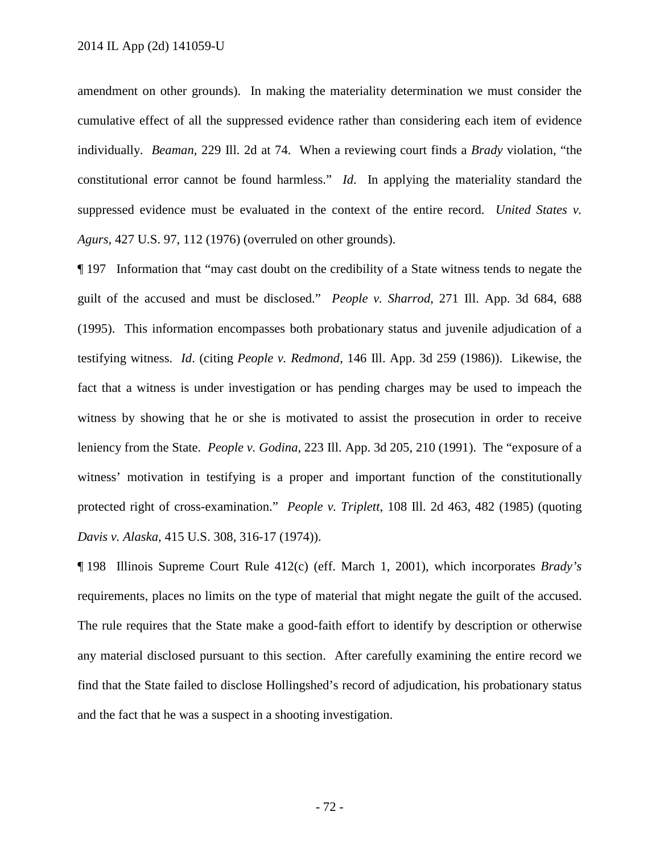amendment on other grounds). In making the materiality determination we must consider the cumulative effect of all the suppressed evidence rather than considering each item of evidence individually. *Beaman*, 229 Ill. 2d at 74. When a reviewing court finds a *Brady* violation, "the constitutional error cannot be found harmless." *Id*. In applying the materiality standard the suppressed evidence must be evaluated in the context of the entire record. *United States v. Agurs*, 427 U.S. 97, 112 (1976) (overruled on other grounds).

¶ 197 Information that "may cast doubt on the credibility of a State witness tends to negate the guilt of the accused and must be disclosed." *People v. Sharrod*, 271 Ill. App. 3d 684, 688 (1995). This information encompasses both probationary status and juvenile adjudication of a testifying witness. *Id*. (citing *People v. Redmond*, 146 Ill. App. 3d 259 (1986)). Likewise, the fact that a witness is under investigation or has pending charges may be used to impeach the witness by showing that he or she is motivated to assist the prosecution in order to receive leniency from the State. *People v. Godina*, 223 Ill. App. 3d 205, 210 (1991). The "exposure of a witness' motivation in testifying is a proper and important function of the constitutionally protected right of cross-examination." *People v. Triplett*, 108 Ill. 2d 463, 482 (1985) (quoting *Davis v. Alaska*, 415 U.S. 308, 316-17 (1974)).

¶ 198 Illinois Supreme Court Rule 412(c) (eff. March 1, 2001), which incorporates *Brady's* requirements, places no limits on the type of material that might negate the guilt of the accused. The rule requires that the State make a good-faith effort to identify by description or otherwise any material disclosed pursuant to this section. After carefully examining the entire record we find that the State failed to disclose Hollingshed's record of adjudication, his probationary status and the fact that he was a suspect in a shooting investigation.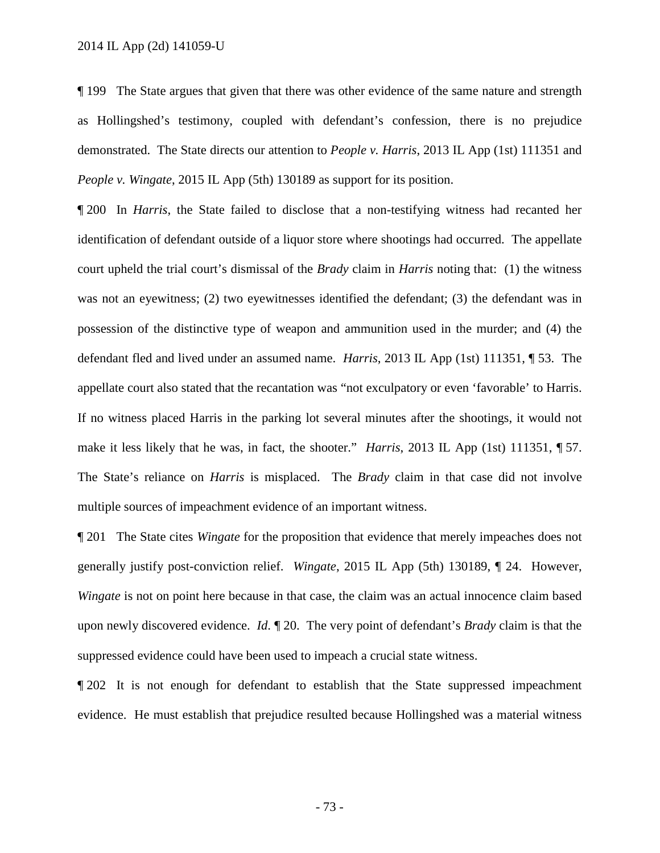¶ 199 The State argues that given that there was other evidence of the same nature and strength as Hollingshed's testimony, coupled with defendant's confession, there is no prejudice demonstrated. The State directs our attention to *People v. Harris*, 2013 IL App (1st) 111351 and *People v. Wingate*, 2015 IL App (5th) 130189 as support for its position.

¶ 200 In *Harris*, the State failed to disclose that a non-testifying witness had recanted her identification of defendant outside of a liquor store where shootings had occurred. The appellate court upheld the trial court's dismissal of the *Brady* claim in *Harris* noting that: (1) the witness was not an eyewitness; (2) two eyewitnesses identified the defendant; (3) the defendant was in possession of the distinctive type of weapon and ammunition used in the murder; and (4) the defendant fled and lived under an assumed name. *Harris*, 2013 IL App (1st) 111351, ¶ 53. The appellate court also stated that the recantation was "not exculpatory or even 'favorable' to Harris. If no witness placed Harris in the parking lot several minutes after the shootings, it would not make it less likely that he was, in fact, the shooter." *Harris*, 2013 IL App (1st) 111351, ¶ 57. The State's reliance on *Harris* is misplaced. The *Brady* claim in that case did not involve multiple sources of impeachment evidence of an important witness.

¶ 201 The State cites *Wingate* for the proposition that evidence that merely impeaches does not generally justify post-conviction relief. *Wingate*, 2015 IL App (5th) 130189, ¶ 24. However, *Wingate* is not on point here because in that case, the claim was an actual innocence claim based upon newly discovered evidence. *Id*. ¶ 20. The very point of defendant's *Brady* claim is that the suppressed evidence could have been used to impeach a crucial state witness.

¶ 202 It is not enough for defendant to establish that the State suppressed impeachment evidence. He must establish that prejudice resulted because Hollingshed was a material witness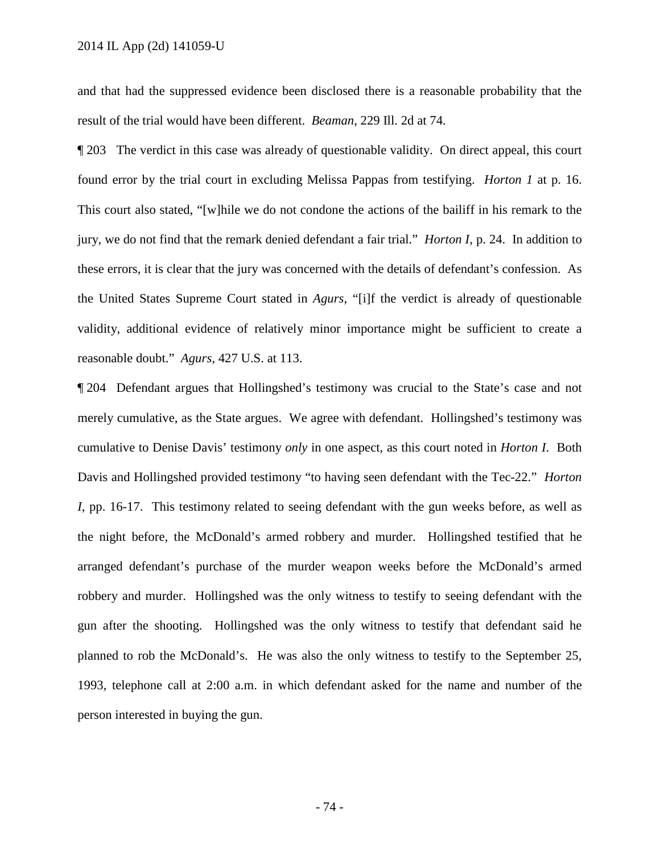and that had the suppressed evidence been disclosed there is a reasonable probability that the result of the trial would have been different. *Beaman*, 229 Ill. 2d at 74.

¶ 203 The verdict in this case was already of questionable validity. On direct appeal, this court found error by the trial court in excluding Melissa Pappas from testifying. *Horton 1* at p. 16. This court also stated, "[w]hile we do not condone the actions of the bailiff in his remark to the jury, we do not find that the remark denied defendant a fair trial." *Horton I*, p. 24. In addition to these errors, it is clear that the jury was concerned with the details of defendant's confession. As the United States Supreme Court stated in *Agurs*, "[i]f the verdict is already of questionable validity, additional evidence of relatively minor importance might be sufficient to create a reasonable doubt." *Agurs*, 427 U.S. at 113.

¶ 204 Defendant argues that Hollingshed's testimony was crucial to the State's case and not merely cumulative, as the State argues. We agree with defendant. Hollingshed's testimony was cumulative to Denise Davis' testimony *only* in one aspect, as this court noted in *Horton I*. Both Davis and Hollingshed provided testimony "to having seen defendant with the Tec-22." *Horton I*, pp. 16-17. This testimony related to seeing defendant with the gun weeks before, as well as the night before, the McDonald's armed robbery and murder. Hollingshed testified that he arranged defendant's purchase of the murder weapon weeks before the McDonald's armed robbery and murder. Hollingshed was the only witness to testify to seeing defendant with the gun after the shooting. Hollingshed was the only witness to testify that defendant said he planned to rob the McDonald's. He was also the only witness to testify to the September 25, 1993, telephone call at 2:00 a.m. in which defendant asked for the name and number of the person interested in buying the gun.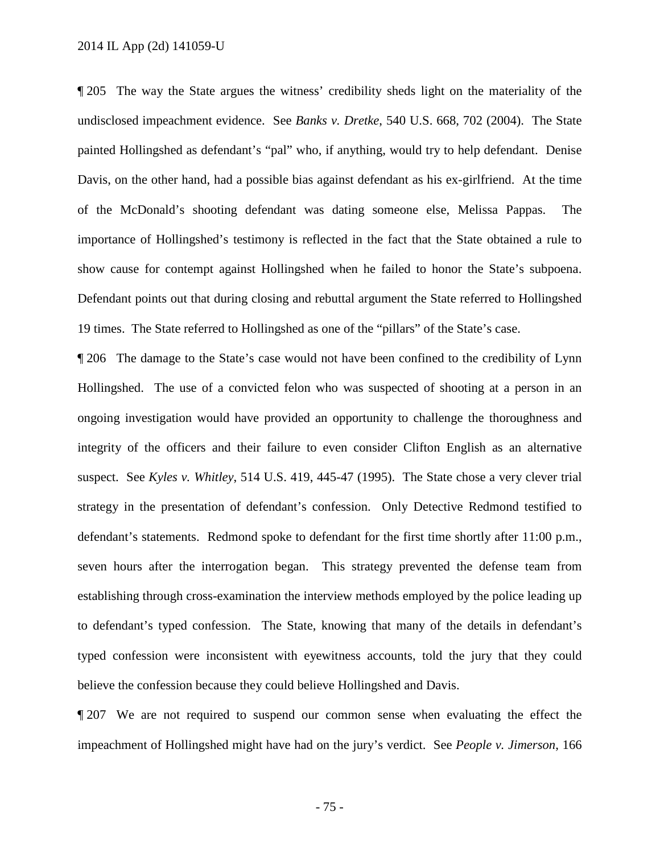¶ 205 The way the State argues the witness' credibility sheds light on the materiality of the undisclosed impeachment evidence. See *Banks v. Dretke*, 540 U.S. 668, 702 (2004). The State painted Hollingshed as defendant's "pal" who, if anything, would try to help defendant. Denise Davis, on the other hand, had a possible bias against defendant as his ex-girlfriend. At the time of the McDonald's shooting defendant was dating someone else, Melissa Pappas. The importance of Hollingshed's testimony is reflected in the fact that the State obtained a rule to show cause for contempt against Hollingshed when he failed to honor the State's subpoena. Defendant points out that during closing and rebuttal argument the State referred to Hollingshed 19 times. The State referred to Hollingshed as one of the "pillars" of the State's case.

¶ 206 The damage to the State's case would not have been confined to the credibility of Lynn Hollingshed. The use of a convicted felon who was suspected of shooting at a person in an ongoing investigation would have provided an opportunity to challenge the thoroughness and integrity of the officers and their failure to even consider Clifton English as an alternative suspect. See *Kyles v. Whitley*, 514 U.S. 419, 445-47 (1995). The State chose a very clever trial strategy in the presentation of defendant's confession. Only Detective Redmond testified to defendant's statements. Redmond spoke to defendant for the first time shortly after 11:00 p.m., seven hours after the interrogation began. This strategy prevented the defense team from establishing through cross-examination the interview methods employed by the police leading up to defendant's typed confession. The State, knowing that many of the details in defendant's typed confession were inconsistent with eyewitness accounts, told the jury that they could believe the confession because they could believe Hollingshed and Davis.

¶ 207 We are not required to suspend our common sense when evaluating the effect the impeachment of Hollingshed might have had on the jury's verdict. See *People v. Jimerson*, 166

- 75 -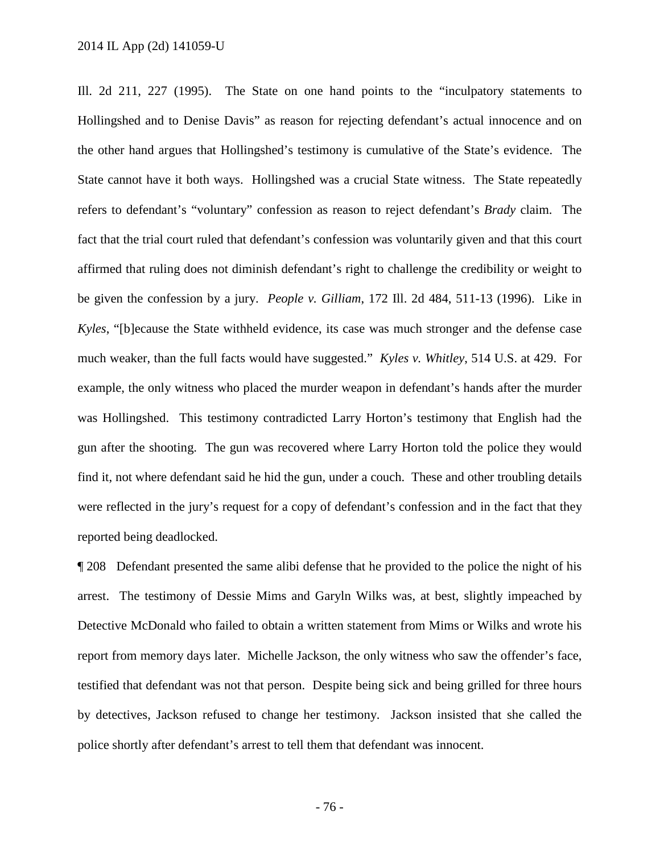Ill. 2d 211, 227 (1995). The State on one hand points to the "inculpatory statements to Hollingshed and to Denise Davis" as reason for rejecting defendant's actual innocence and on the other hand argues that Hollingshed's testimony is cumulative of the State's evidence. The State cannot have it both ways. Hollingshed was a crucial State witness. The State repeatedly refers to defendant's "voluntary" confession as reason to reject defendant's *Brady* claim. The fact that the trial court ruled that defendant's confession was voluntarily given and that this court affirmed that ruling does not diminish defendant's right to challenge the credibility or weight to be given the confession by a jury. *People v. Gilliam*, 172 Ill. 2d 484, 511-13 (1996). Like in *Kyles*, "[b]ecause the State withheld evidence, its case was much stronger and the defense case much weaker, than the full facts would have suggested." *Kyles v. Whitley*, 514 U.S. at 429. For example, the only witness who placed the murder weapon in defendant's hands after the murder was Hollingshed. This testimony contradicted Larry Horton's testimony that English had the gun after the shooting. The gun was recovered where Larry Horton told the police they would find it, not where defendant said he hid the gun, under a couch. These and other troubling details were reflected in the jury's request for a copy of defendant's confession and in the fact that they reported being deadlocked.

¶ 208 Defendant presented the same alibi defense that he provided to the police the night of his arrest. The testimony of Dessie Mims and Garyln Wilks was, at best, slightly impeached by Detective McDonald who failed to obtain a written statement from Mims or Wilks and wrote his report from memory days later. Michelle Jackson, the only witness who saw the offender's face, testified that defendant was not that person. Despite being sick and being grilled for three hours by detectives, Jackson refused to change her testimony. Jackson insisted that she called the police shortly after defendant's arrest to tell them that defendant was innocent.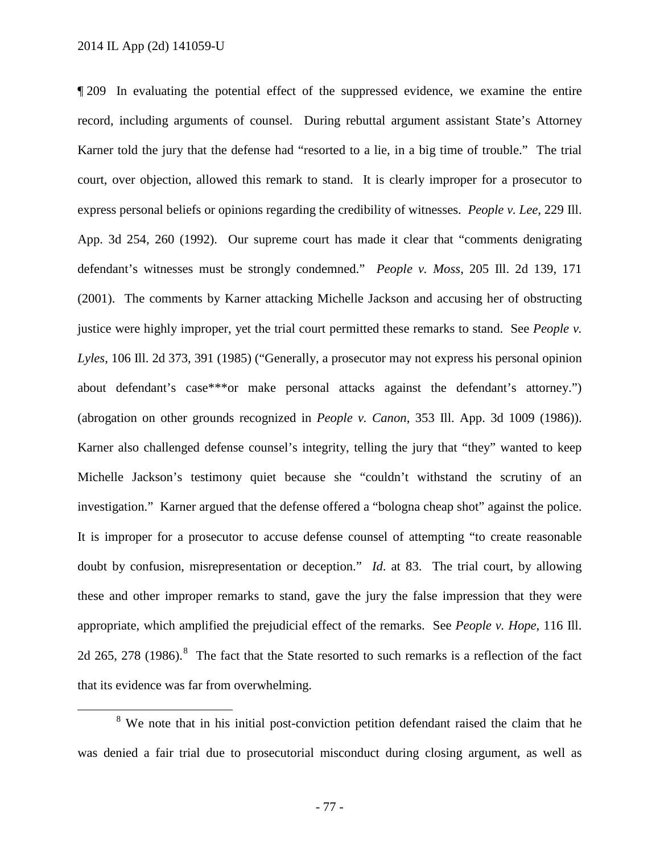¶ 209 In evaluating the potential effect of the suppressed evidence, we examine the entire record, including arguments of counsel. During rebuttal argument assistant State's Attorney Karner told the jury that the defense had "resorted to a lie, in a big time of trouble." The trial court, over objection, allowed this remark to stand. It is clearly improper for a prosecutor to express personal beliefs or opinions regarding the credibility of witnesses. *People v. Lee*, 229 Ill. App. 3d 254, 260 (1992). Our supreme court has made it clear that "comments denigrating defendant's witnesses must be strongly condemned." *People v. Moss*, 205 Ill. 2d 139, 171 (2001). The comments by Karner attacking Michelle Jackson and accusing her of obstructing justice were highly improper, yet the trial court permitted these remarks to stand. See *People v. Lyles*, 106 Ill. 2d 373, 391 (1985) ("Generally, a prosecutor may not express his personal opinion about defendant's case\*\*\*or make personal attacks against the defendant's attorney.") (abrogation on other grounds recognized in *People v. Canon*, 353 Ill. App. 3d 1009 (1986)). Karner also challenged defense counsel's integrity, telling the jury that "they" wanted to keep Michelle Jackson's testimony quiet because she "couldn't withstand the scrutiny of an investigation." Karner argued that the defense offered a "bologna cheap shot" against the police. It is improper for a prosecutor to accuse defense counsel of attempting "to create reasonable doubt by confusion, misrepresentation or deception." *Id*. at 83. The trial court, by allowing these and other improper remarks to stand, gave the jury the false impression that they were appropriate, which amplified the prejudicial effect of the remarks. See *People v. Hope*, 116 Ill. 2d 265, 27[8](#page-76-0) (1986).<sup>8</sup> The fact that the State resorted to such remarks is a reflection of the fact that its evidence was far from overwhelming.

<span id="page-76-0"></span><sup>&</sup>lt;sup>8</sup> We note that in his initial post-conviction petition defendant raised the claim that he was denied a fair trial due to prosecutorial misconduct during closing argument, as well as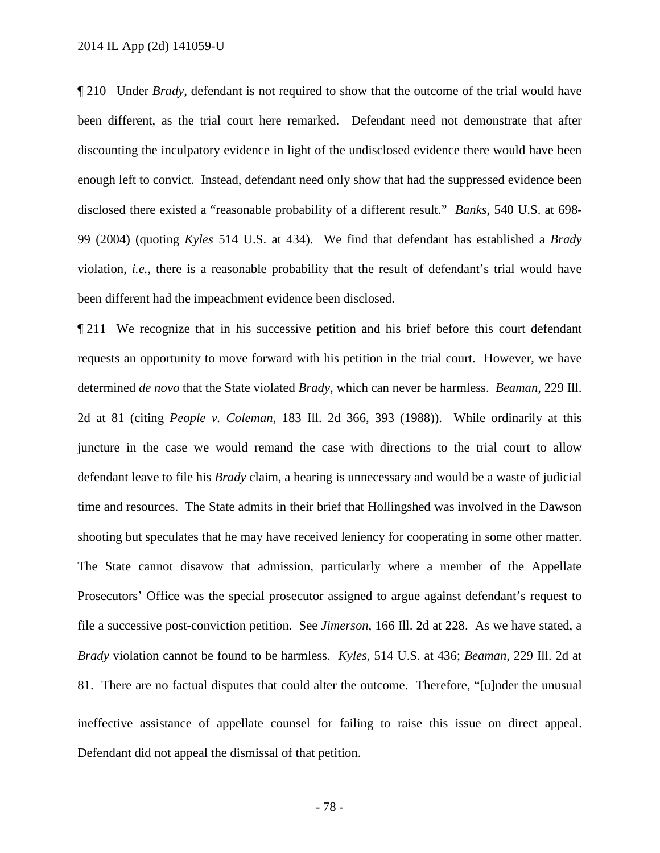$\overline{a}$ 

¶ 210 Under *Brady*, defendant is not required to show that the outcome of the trial would have been different, as the trial court here remarked. Defendant need not demonstrate that after discounting the inculpatory evidence in light of the undisclosed evidence there would have been enough left to convict. Instead, defendant need only show that had the suppressed evidence been disclosed there existed a "reasonable probability of a different result." *Banks*, 540 U.S. at 698- 99 (2004) (quoting *Kyles* 514 U.S. at 434). We find that defendant has established a *Brady* violation, *i.e.*, there is a reasonable probability that the result of defendant's trial would have been different had the impeachment evidence been disclosed.

¶ 211 We recognize that in his successive petition and his brief before this court defendant requests an opportunity to move forward with his petition in the trial court. However, we have determined *de novo* that the State violated *Brady*, which can never be harmless. *Beaman*, 229 Ill. 2d at 81 (citing *People v. Coleman*, 183 Ill. 2d 366, 393 (1988)). While ordinarily at this juncture in the case we would remand the case with directions to the trial court to allow defendant leave to file his *Brady* claim, a hearing is unnecessary and would be a waste of judicial time and resources. The State admits in their brief that Hollingshed was involved in the Dawson shooting but speculates that he may have received leniency for cooperating in some other matter. The State cannot disavow that admission, particularly where a member of the Appellate Prosecutors' Office was the special prosecutor assigned to argue against defendant's request to file a successive post-conviction petition. See *Jimerson*, 166 Ill. 2d at 228. As we have stated, a *Brady* violation cannot be found to be harmless. *Kyles*, 514 U.S. at 436; *Beaman*, 229 Ill. 2d at 81. There are no factual disputes that could alter the outcome. Therefore, "[u]nder the unusual

ineffective assistance of appellate counsel for failing to raise this issue on direct appeal. Defendant did not appeal the dismissal of that petition.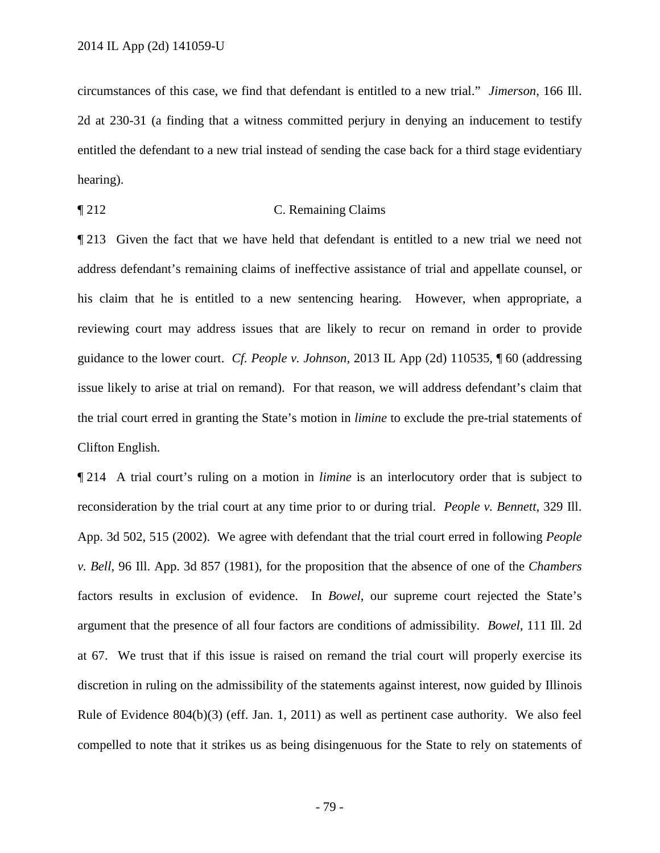circumstances of this case, we find that defendant is entitled to a new trial." *Jimerson*, 166 Ill. 2d at 230-31 (a finding that a witness committed perjury in denying an inducement to testify entitled the defendant to a new trial instead of sending the case back for a third stage evidentiary hearing).

## ¶ 212 C. Remaining Claims

¶ 213 Given the fact that we have held that defendant is entitled to a new trial we need not address defendant's remaining claims of ineffective assistance of trial and appellate counsel, or his claim that he is entitled to a new sentencing hearing. However, when appropriate, a reviewing court may address issues that are likely to recur on remand in order to provide guidance to the lower court. *Cf. People v. Johnson,* 2013 IL App (2d) 110535, ¶ 60 (addressing issue likely to arise at trial on remand). For that reason, we will address defendant's claim that the trial court erred in granting the State's motion in *limine* to exclude the pre-trial statements of Clifton English.

¶ 214 A trial court's ruling on a motion in *limine* is an interlocutory order that is subject to reconsideration by the trial court at any time prior to or during trial. *People v. Bennett*, 329 Ill. App. 3d 502, 515 (2002). We agree with defendant that the trial court erred in following *People v. Bell*, 96 Ill. App. 3d 857 (1981), for the proposition that the absence of one of the *Chambers* factors results in exclusion of evidence. In *Bowel*, our supreme court rejected the State's argument that the presence of all four factors are conditions of admissibility. *Bowel*, 111 Ill. 2d at 67. We trust that if this issue is raised on remand the trial court will properly exercise its discretion in ruling on the admissibility of the statements against interest, now guided by Illinois Rule of Evidence 804(b)(3) (eff. Jan. 1, 2011) as well as pertinent case authority. We also feel compelled to note that it strikes us as being disingenuous for the State to rely on statements of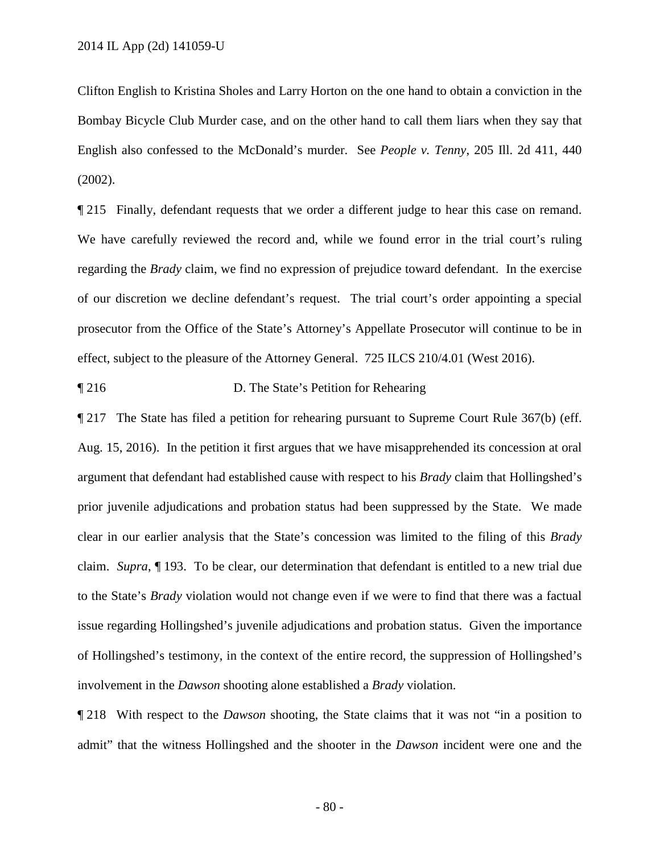Clifton English to Kristina Sholes and Larry Horton on the one hand to obtain a conviction in the Bombay Bicycle Club Murder case, and on the other hand to call them liars when they say that English also confessed to the McDonald's murder. See *People v. Tenny*, 205 Ill. 2d 411, 440 (2002).

¶ 215 Finally, defendant requests that we order a different judge to hear this case on remand. We have carefully reviewed the record and, while we found error in the trial court's ruling regarding the *Brady* claim, we find no expression of prejudice toward defendant. In the exercise of our discretion we decline defendant's request. The trial court's order appointing a special prosecutor from the Office of the State's Attorney's Appellate Prosecutor will continue to be in effect, subject to the pleasure of the Attorney General. 725 ILCS 210/4.01 (West 2016).

¶ 216 D. The State's Petition for Rehearing

¶ 217 The State has filed a petition for rehearing pursuant to Supreme Court Rule 367(b) (eff. Aug. 15, 2016). In the petition it first argues that we have misapprehended its concession at oral argument that defendant had established cause with respect to his *Brady* claim that Hollingshed's prior juvenile adjudications and probation status had been suppressed by the State. We made clear in our earlier analysis that the State's concession was limited to the filing of this *Brady* claim. *Supra*, ¶ 193. To be clear, our determination that defendant is entitled to a new trial due to the State's *Brady* violation would not change even if we were to find that there was a factual issue regarding Hollingshed's juvenile adjudications and probation status. Given the importance of Hollingshed's testimony, in the context of the entire record, the suppression of Hollingshed's involvement in the *Dawson* shooting alone established a *Brady* violation.

¶ 218 With respect to the *Dawson* shooting, the State claims that it was not "in a position to admit" that the witness Hollingshed and the shooter in the *Dawson* incident were one and the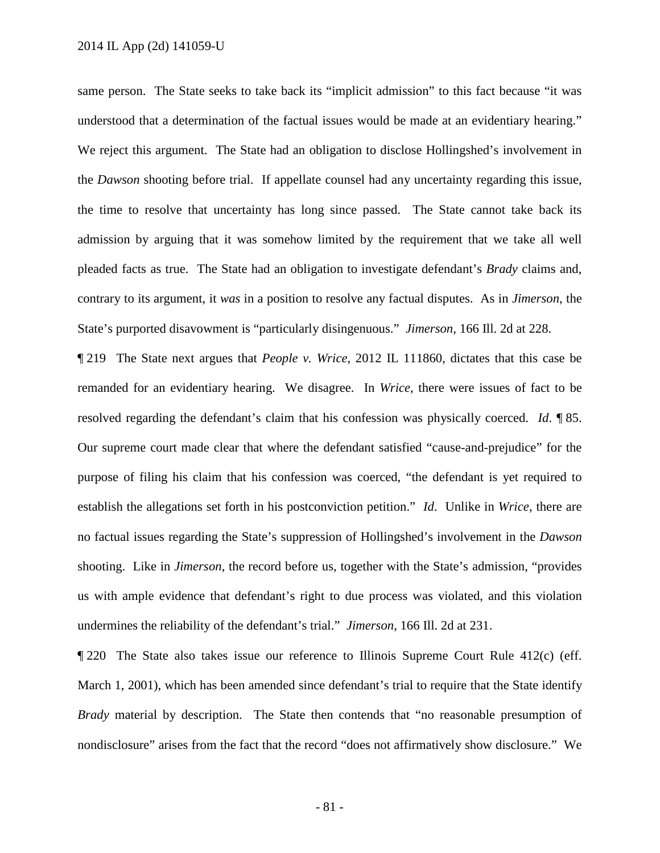same person. The State seeks to take back its "implicit admission" to this fact because "it was understood that a determination of the factual issues would be made at an evidentiary hearing." We reject this argument. The State had an obligation to disclose Hollingshed's involvement in the *Dawson* shooting before trial. If appellate counsel had any uncertainty regarding this issue, the time to resolve that uncertainty has long since passed. The State cannot take back its admission by arguing that it was somehow limited by the requirement that we take all well pleaded facts as true. The State had an obligation to investigate defendant's *Brady* claims and, contrary to its argument, it *was* in a position to resolve any factual disputes. As in *Jimerson*, the State's purported disavowment is "particularly disingenuous." *Jimerson*, 166 Ill. 2d at 228.

¶ 219 The State next argues that *People v. Wrice*, 2012 IL 111860, dictates that this case be remanded for an evidentiary hearing. We disagree. In *Wrice*, there were issues of fact to be resolved regarding the defendant's claim that his confession was physically coerced. *Id*. ¶ 85. Our supreme court made clear that where the defendant satisfied "cause-and-prejudice" for the purpose of filing his claim that his confession was coerced, "the defendant is yet required to establish the allegations set forth in his postconviction petition." *Id*. Unlike in *Wrice*, there are no factual issues regarding the State's suppression of Hollingshed's involvement in the *Dawson* shooting. Like in *Jimerson*, the record before us, together with the State's admission, "provides us with ample evidence that defendant's right to due process was violated, and this violation undermines the reliability of the defendant's trial." *Jimerson*, 166 Ill. 2d at 231.

¶ 220 The State also takes issue our reference to Illinois Supreme Court Rule 412(c) (eff. March 1, 2001), which has been amended since defendant's trial to require that the State identify *Brady* material by description. The State then contends that "no reasonable presumption of nondisclosure" arises from the fact that the record "does not affirmatively show disclosure." We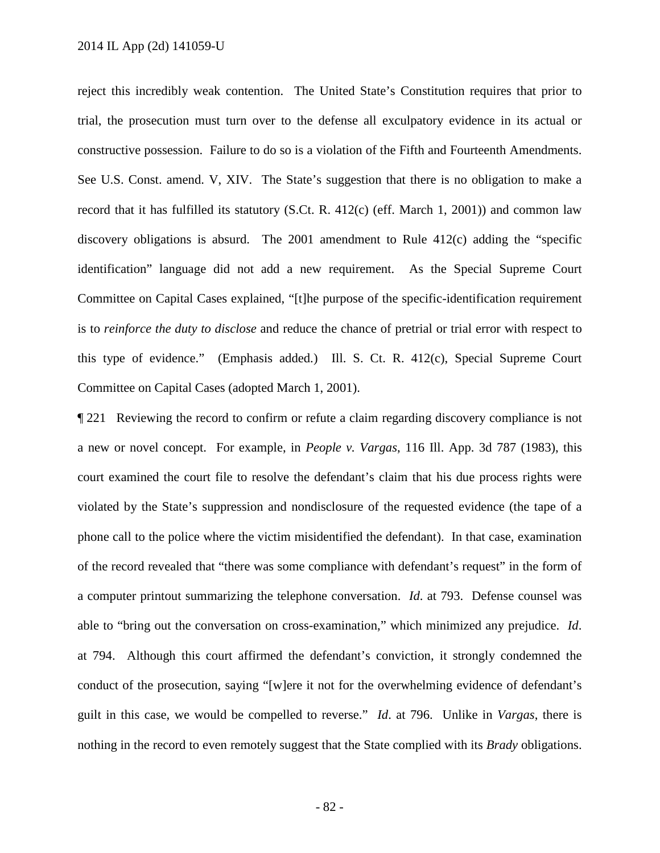reject this incredibly weak contention. The United State's Constitution requires that prior to trial, the prosecution must turn over to the defense all exculpatory evidence in its actual or constructive possession. Failure to do so is a violation of the Fifth and Fourteenth Amendments. See U.S. Const. amend. V, XIV. The State's suggestion that there is no obligation to make a record that it has fulfilled its statutory (S.Ct. R. 412(c) (eff. March 1, 2001)) and common law discovery obligations is absurd. The 2001 amendment to Rule 412(c) adding the "specific identification" language did not add a new requirement. As the Special Supreme Court Committee on Capital Cases explained, "[t]he purpose of the specific-identification requirement is to *reinforce the duty to disclose* and reduce the chance of pretrial or trial error with respect to this type of evidence." (Emphasis added.) Ill. S. Ct. R. 412(c), Special Supreme Court Committee on Capital Cases (adopted March 1, 2001).

¶ 221 Reviewing the record to confirm or refute a claim regarding discovery compliance is not a new or novel concept. For example, in *People v. Vargas*, 116 Ill. App. 3d 787 (1983), this court examined the court file to resolve the defendant's claim that his due process rights were violated by the State's suppression and nondisclosure of the requested evidence (the tape of a phone call to the police where the victim misidentified the defendant). In that case, examination of the record revealed that "there was some compliance with defendant's request" in the form of a computer printout summarizing the telephone conversation. *Id*. at 793. Defense counsel was able to "bring out the conversation on cross-examination," which minimized any prejudice. *Id*. at 794. Although this court affirmed the defendant's conviction, it strongly condemned the conduct of the prosecution, saying "[w]ere it not for the overwhelming evidence of defendant's guilt in this case, we would be compelled to reverse." *Id*. at 796. Unlike in *Vargas*, there is nothing in the record to even remotely suggest that the State complied with its *Brady* obligations.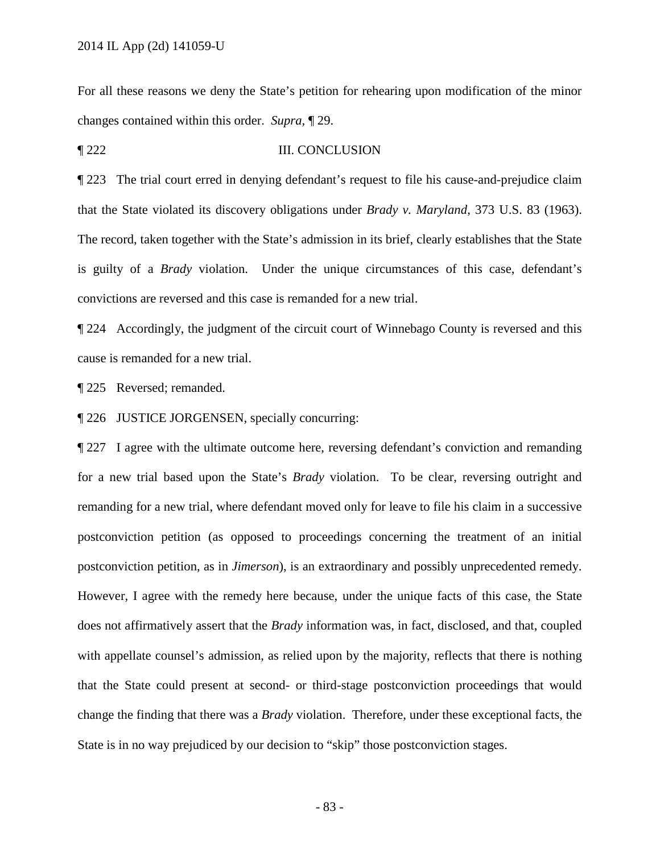For all these reasons we deny the State's petition for rehearing upon modification of the minor changes contained within this order. *Supra,* ¶ 29.

## ¶ 222 III. CONCLUSION

¶ 223 The trial court erred in denying defendant's request to file his cause-and-prejudice claim that the State violated its discovery obligations under *Brady v. Maryland*, 373 U.S. 83 (1963). The record, taken together with the State's admission in its brief, clearly establishes that the State is guilty of a *Brady* violation. Under the unique circumstances of this case, defendant's convictions are reversed and this case is remanded for a new trial.

¶ 224 Accordingly, the judgment of the circuit court of Winnebago County is reversed and this cause is remanded for a new trial.

¶ 225 Reversed; remanded.

¶ 226 JUSTICE JORGENSEN, specially concurring:

¶ 227 I agree with the ultimate outcome here, reversing defendant's conviction and remanding for a new trial based upon the State's *Brady* violation. To be clear, reversing outright and remanding for a new trial, where defendant moved only for leave to file his claim in a successive postconviction petition (as opposed to proceedings concerning the treatment of an initial postconviction petition, as in *Jimerson*), is an extraordinary and possibly unprecedented remedy. However, I agree with the remedy here because, under the unique facts of this case, the State does not affirmatively assert that the *Brady* information was, in fact, disclosed, and that, coupled with appellate counsel's admission, as relied upon by the majority, reflects that there is nothing that the State could present at second- or third-stage postconviction proceedings that would change the finding that there was a *Brady* violation. Therefore, under these exceptional facts, the State is in no way prejudiced by our decision to "skip" those postconviction stages.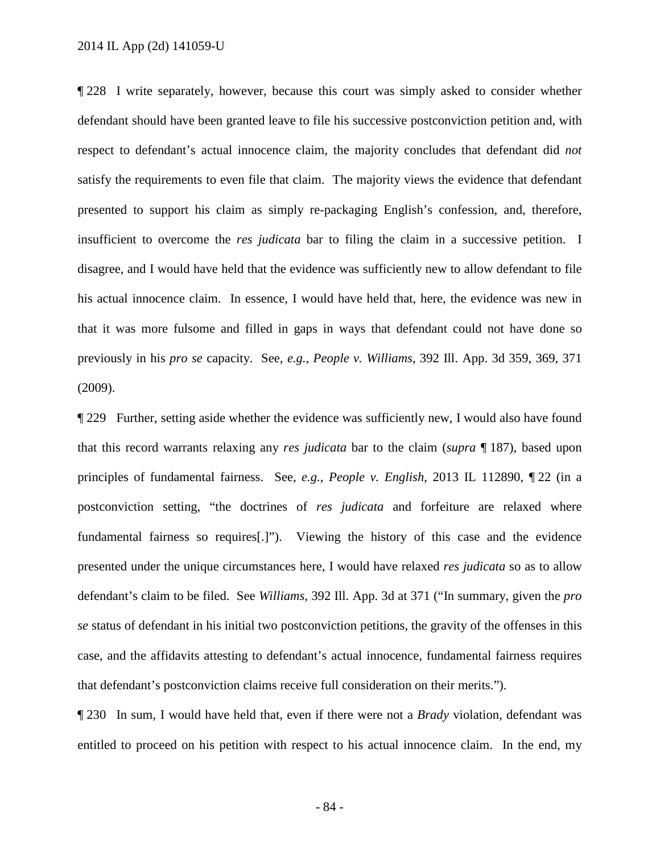¶ 228 I write separately, however, because this court was simply asked to consider whether defendant should have been granted leave to file his successive postconviction petition and, with respect to defendant's actual innocence claim, the majority concludes that defendant did *not*  satisfy the requirements to even file that claim. The majority views the evidence that defendant presented to support his claim as simply re-packaging English's confession, and, therefore, insufficient to overcome the *res judicata* bar to filing the claim in a successive petition. I disagree, and I would have held that the evidence was sufficiently new to allow defendant to file his actual innocence claim. In essence, I would have held that, here, the evidence was new in that it was more fulsome and filled in gaps in ways that defendant could not have done so previously in his *pro se* capacity. See, *e.g.*, *People v. Williams*, 392 Ill. App. 3d 359, 369, 371 (2009).

¶ 229 Further, setting aside whether the evidence was sufficiently new, I would also have found that this record warrants relaxing any *res judicata* bar to the claim (*supra* ¶ 187), based upon principles of fundamental fairness. See, *e.g.*, *People v. English*, 2013 IL 112890, ¶ 22 (in a postconviction setting, "the doctrines of *res judicata* and forfeiture are relaxed where fundamental fairness so requires[.]"). Viewing the history of this case and the evidence presented under the unique circumstances here, I would have relaxed *res judicata* so as to allow defendant's claim to be filed. See *Williams*, 392 Ill. App. 3d at 371 ("In summary, given the *pro se* status of defendant in his initial two postconviction petitions, the gravity of the offenses in this case, and the affidavits attesting to defendant's actual innocence, fundamental fairness requires that defendant's postconviction claims receive full consideration on their merits.").

¶ 230 In sum, I would have held that, even if there were not a *Brady* violation, defendant was entitled to proceed on his petition with respect to his actual innocence claim. In the end, my

- 84 -